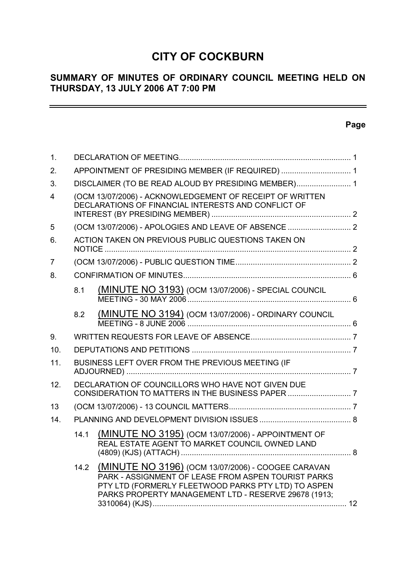# **CITY OF COCKBURN**

# **SUMMARY OF MINUTES OF ORDINARY COUNCIL MEETING HELD ON THURSDAY, 13 JULY 2006 AT 7:00 PM**

# **Page**

 $\equiv$ 

| 1.             |                                                                                                                 |                                                                                                                                                                                                                          |  |  |  |  |
|----------------|-----------------------------------------------------------------------------------------------------------------|--------------------------------------------------------------------------------------------------------------------------------------------------------------------------------------------------------------------------|--|--|--|--|
| 2.             | APPOINTMENT OF PRESIDING MEMBER (IF REQUIRED)  1                                                                |                                                                                                                                                                                                                          |  |  |  |  |
| 3.             | DISCLAIMER (TO BE READ ALOUD BY PRESIDING MEMBER) 1                                                             |                                                                                                                                                                                                                          |  |  |  |  |
| $\overline{4}$ | (OCM 13/07/2006) - ACKNOWLEDGEMENT OF RECEIPT OF WRITTEN<br>DECLARATIONS OF FINANCIAL INTERESTS AND CONFLICT OF |                                                                                                                                                                                                                          |  |  |  |  |
| 5              |                                                                                                                 |                                                                                                                                                                                                                          |  |  |  |  |
| 6.             |                                                                                                                 | ACTION TAKEN ON PREVIOUS PUBLIC QUESTIONS TAKEN ON                                                                                                                                                                       |  |  |  |  |
| 7              |                                                                                                                 |                                                                                                                                                                                                                          |  |  |  |  |
| 8.             |                                                                                                                 |                                                                                                                                                                                                                          |  |  |  |  |
|                | 8.1                                                                                                             | (MINUTE NO 3193) (OCM 13/07/2006) - SPECIAL COUNCIL                                                                                                                                                                      |  |  |  |  |
|                | 8.2                                                                                                             | (MINUTE NO 3194) (OCM 13/07/2006) - ORDINARY COUNCIL                                                                                                                                                                     |  |  |  |  |
| 9.             |                                                                                                                 |                                                                                                                                                                                                                          |  |  |  |  |
| 10.            |                                                                                                                 |                                                                                                                                                                                                                          |  |  |  |  |
| 11.            |                                                                                                                 | BUSINESS LEFT OVER FROM THE PREVIOUS MEETING (IF                                                                                                                                                                         |  |  |  |  |
| 12.            |                                                                                                                 | DECLARATION OF COUNCILLORS WHO HAVE NOT GIVEN DUE                                                                                                                                                                        |  |  |  |  |
| 13             |                                                                                                                 |                                                                                                                                                                                                                          |  |  |  |  |
| 14.            |                                                                                                                 |                                                                                                                                                                                                                          |  |  |  |  |
|                | 14.1                                                                                                            | (MINUTE NO 3195) (OCM 13/07/2006) - APPOINTMENT OF<br>REAL ESTATE AGENT TO MARKET COUNCIL OWNED LAND                                                                                                                     |  |  |  |  |
|                | 14.2                                                                                                            | (MINUTE NO 3196) (OCM 13/07/2006) - COOGEE CARAVAN<br>PARK - ASSIGNMENT OF LEASE FROM ASPEN TOURIST PARKS<br>PTY LTD (FORMERLY FLEETWOOD PARKS PTY LTD) TO ASPEN<br>PARKS PROPERTY MANAGEMENT LTD - RESERVE 29678 (1913; |  |  |  |  |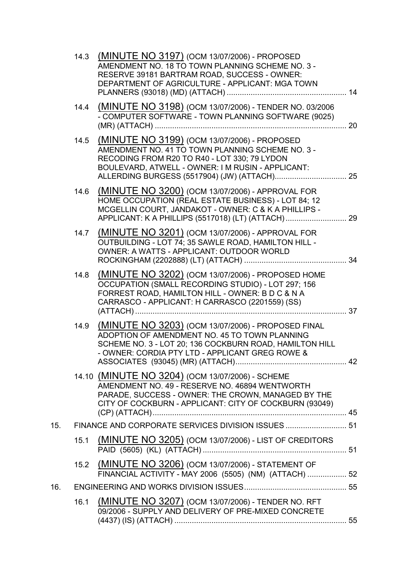|     |      | 14.3 (MINUTE NO 3197) (OCM 13/07/2006) - PROPOSED<br>AMENDMENT NO. 18 TO TOWN PLANNING SCHEME NO. 3 -<br>RESERVE 39181 BARTRAM ROAD, SUCCESS - OWNER:<br>DEPARTMENT OF AGRICULTURE - APPLICANT: MGA TOWN           |    |
|-----|------|--------------------------------------------------------------------------------------------------------------------------------------------------------------------------------------------------------------------|----|
|     | 14.4 | (MINUTE NO 3198) (OCM 13/07/2006) - TENDER NO. 03/2006<br>- COMPUTER SOFTWARE - TOWN PLANNING SOFTWARE (9025)                                                                                                      |    |
|     | 14.5 | (MINUTE NO 3199) (OCM 13/07/2006) - PROPOSED<br>AMENDMENT NO. 41 TO TOWN PLANNING SCHEME NO. 3 -<br>RECODING FROM R20 TO R40 - LOT 330; 79 LYDON<br>BOULEVARD, ATWELL - OWNER: I M RUSIN - APPLICANT:              |    |
|     | 14.6 | (MINUTE NO 3200) (OCM 13/07/2006) - APPROVAL FOR<br>HOME OCCUPATION (REAL ESTATE BUSINESS) - LOT 84; 12<br>MCGELLIN COURT, JANDAKOT - OWNER: C & K A PHILLIPS -                                                    |    |
|     | 14.7 | (MINUTE NO 3201) (OCM 13/07/2006) - APPROVAL FOR<br>OUTBUILDING - LOT 74; 35 SAWLE ROAD, HAMILTON HILL -<br>OWNER: A WATTS - APPLICANT: OUTDOOR WORLD                                                              |    |
|     | 14.8 | (MINUTE NO 3202) (OCM 13/07/2006) - PROPOSED HOME<br>OCCUPATION (SMALL RECORDING STUDIO) - LOT 297; 156<br>FORREST ROAD, HAMILTON HILL - OWNER: B D C & N A<br>CARRASCO - APPLICANT: H CARRASCO (2201559) (SS)     |    |
|     | 14.9 | (MINUTE NO 3203) (OCM 13/07/2006) - PROPOSED FINAL<br>ADOPTION OF AMENDMENT NO. 45 TO TOWN PLANNING<br>SCHEME NO. 3 - LOT 20; 136 COCKBURN ROAD, HAMILTON HILL<br>- OWNER: CORDIA PTY LTD - APPLICANT GREG ROWE &  | 42 |
|     |      | 14.10 (MINUTE NO 3204) (OCM 13/07/2006) - SCHEME<br>AMENDMENT NO. 49 - RESERVE NO. 46894 WENTWORTH<br>PARADE, SUCCESS - OWNER: THE CROWN, MANAGED BY THE<br>CITY OF COCKBURN - APPLICANT: CITY OF COCKBURN (93049) |    |
| 15. |      | FINANCE AND CORPORATE SERVICES DIVISION ISSUES  51                                                                                                                                                                 |    |
|     | 15.1 | <b>(MINUTE NO 3205)</b> (OCM 13/07/2006) - LIST OF CREDITORS                                                                                                                                                       |    |
|     |      | 15.2 (MINUTE NO 3206) (OCM 13/07/2006) - STATEMENT OF<br>FINANCIAL ACTIVITY - MAY 2006 (5505) (NM) (ATTACH)  52                                                                                                    |    |
| 16. |      |                                                                                                                                                                                                                    |    |
|     | 16.1 | (MINUTE NO 3207) (OCM 13/07/2006) - TENDER NO. RFT<br>09/2006 - SUPPLY AND DELIVERY OF PRE-MIXED CONCRETE                                                                                                          |    |
|     |      |                                                                                                                                                                                                                    |    |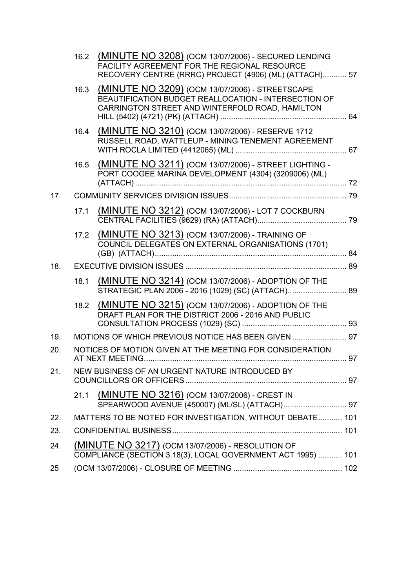|     | 16.2 | (MINUTE NO 3208) (OCM 13/07/2006) - SECURED LENDING<br>FACILITY AGREEMENT FOR THE REGIONAL RESOURCE<br>RECOVERY CENTRE (RRRC) PROJECT (4906) (ML) (ATTACH) 57 |  |
|-----|------|---------------------------------------------------------------------------------------------------------------------------------------------------------------|--|
|     | 16.3 | (MINUTE NO 3209) (OCM 13/07/2006) - STREETSCAPE<br>BEAUTIFICATION BUDGET REALLOCATION - INTERSECTION OF<br>CARRINGTON STREET AND WINTERFOLD ROAD, HAMILTON    |  |
|     | 16.4 | (MINUTE NO 3210) (OCM 13/07/2006) - RESERVE 1712<br>RUSSELL ROAD, WATTLEUP - MINING TENEMENT AGREEMENT                                                        |  |
|     | 16.5 | (MINUTE NO 3211) (OCM 13/07/2006) - STREET LIGHTING -<br>PORT COOGEE MARINA DEVELOPMENT (4304) (3209006) (ML)                                                 |  |
| 17. |      |                                                                                                                                                               |  |
|     | 17.1 | (MINUTE NO 3212) (OCM 13/07/2006) - LOT 7 COCKBURN                                                                                                            |  |
|     | 17.2 | (MINUTE NO 3213) (OCM 13/07/2006) - TRAINING OF<br>COUNCIL DELEGATES ON EXTERNAL ORGANISATIONS (1701)                                                         |  |
| 18. |      |                                                                                                                                                               |  |
|     | 18.1 | (MINUTE NO 3214) (OCM 13/07/2006) - ADOPTION OF THE<br>STRATEGIC PLAN 2006 - 2016 (1029) (SC) (ATTACH) 89                                                     |  |
|     | 18.2 | (MINUTE NO 3215) (OCM 13/07/2006) - ADOPTION OF THE<br>DRAFT PLAN FOR THE DISTRICT 2006 - 2016 AND PUBLIC                                                     |  |
| 19. |      | MOTIONS OF WHICH PREVIOUS NOTICE HAS BEEN GIVEN  97                                                                                                           |  |
| 20. |      | NOTICES OF MOTION GIVEN AT THE MEETING FOR CONSIDERATION                                                                                                      |  |
|     |      |                                                                                                                                                               |  |
| 21. |      | NEW BUSINESS OF AN URGENT NATURE INTRODUCED BY                                                                                                                |  |
|     | 21.1 | (MINUTE NO 3216) (OCM 13/07/2006) - CREST IN                                                                                                                  |  |
| 22. |      | MATTERS TO BE NOTED FOR INVESTIGATION, WITHOUT DEBATE 101                                                                                                     |  |
| 23. |      |                                                                                                                                                               |  |
| 24. |      | (MINUTE NO 3217) (OCM 13/07/2006) - RESOLUTION OF<br>COMPLIANCE (SECTION 3.18(3), LOCAL GOVERNMENT ACT 1995)  101                                             |  |
| 25  |      |                                                                                                                                                               |  |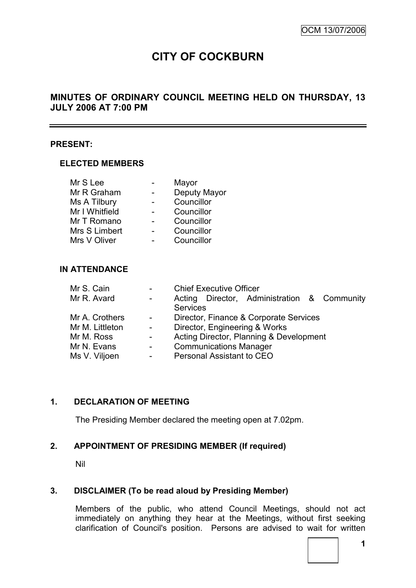# **CITY OF COCKBURN**

# **MINUTES OF ORDINARY COUNCIL MEETING HELD ON THURSDAY, 13 JULY 2006 AT 7:00 PM**

#### **PRESENT:**

#### **ELECTED MEMBERS**

| Mr S Lee       | Mayor        |
|----------------|--------------|
| Mr R Graham    | Deputy Mayor |
| Ms A Tilbury   | Councillor   |
| Mr I Whitfield | Councillor   |
| Mr T Romano    | Councillor   |
| Mrs S Limbert  | Councillor   |
| Mrs V Oliver   | Councillor   |

# **IN ATTENDANCE**

|                | <b>Chief Executive Officer</b>              |  |  |  |  |
|----------------|---------------------------------------------|--|--|--|--|
| $\sim 100$     | Acting Director, Administration & Community |  |  |  |  |
|                | <b>Services</b>                             |  |  |  |  |
| $\sim 100$     | Director, Finance & Corporate Services      |  |  |  |  |
| $\sim$         | Director, Engineering & Works               |  |  |  |  |
| $\sim$         | Acting Director, Planning & Development     |  |  |  |  |
| $\blacksquare$ | <b>Communications Manager</b>               |  |  |  |  |
|                | Personal Assistant to CEO                   |  |  |  |  |
|                |                                             |  |  |  |  |

# **1. DECLARATION OF MEETING**

The Presiding Member declared the meeting open at 7.02pm.

# **2. APPOINTMENT OF PRESIDING MEMBER (If required)**

Nil

# **3. DISCLAIMER (To be read aloud by Presiding Member)**

Members of the public, who attend Council Meetings, should not act immediately on anything they hear at the Meetings, without first seeking clarification of Council's position. Persons are advised to wait for written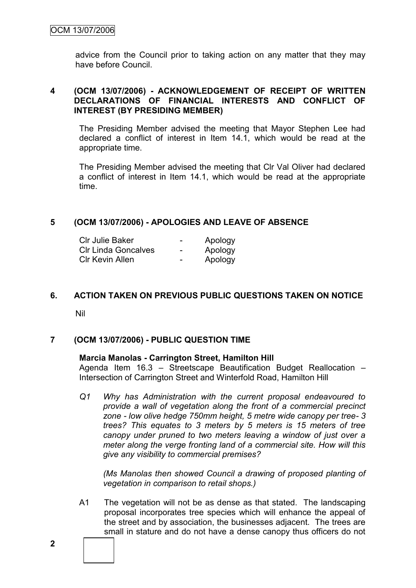advice from the Council prior to taking action on any matter that they may have before Council.

# **4 (OCM 13/07/2006) - ACKNOWLEDGEMENT OF RECEIPT OF WRITTEN DECLARATIONS OF FINANCIAL INTERESTS AND CONFLICT OF INTEREST (BY PRESIDING MEMBER)**

The Presiding Member advised the meeting that Mayor Stephen Lee had declared a conflict of interest in Item 14.1, which would be read at the appropriate time.

The Presiding Member advised the meeting that Clr Val Oliver had declared a conflict of interest in Item 14.1, which would be read at the appropriate time.

# **5 (OCM 13/07/2006) - APOLOGIES AND LEAVE OF ABSENCE**

| CIr Julie Baker            | $\overline{\phantom{0}}$     | Apology |
|----------------------------|------------------------------|---------|
| <b>CIr Linda Goncalves</b> | $\overline{\phantom{0}}$     | Apology |
| Clr Kevin Allen            | $\qquad \qquad \blacksquare$ | Apology |

# **6. ACTION TAKEN ON PREVIOUS PUBLIC QUESTIONS TAKEN ON NOTICE**

Nil

# **7 (OCM 13/07/2006) - PUBLIC QUESTION TIME**

#### **Marcia Manolas - Carrington Street, Hamilton Hill**

Agenda Item 16.3 – Streetscape Beautification Budget Reallocation – Intersection of Carrington Street and Winterfold Road, Hamilton Hill

*Q1 Why has Administration with the current proposal endeavoured to provide a wall of vegetation along the front of a commercial precinct zone - low olive hedge 750mm height, 5 metre wide canopy per tree- 3 trees? This equates to 3 meters by 5 meters is 15 meters of tree canopy under pruned to two meters leaving a window of just over a meter along the verge fronting land of a commercial site. How will this give any visibility to commercial premises?*

*(Ms Manolas then showed Council a drawing of proposed planting of vegetation in comparison to retail shops.)*

A1 The vegetation will not be as dense as that stated. The landscaping proposal incorporates tree species which will enhance the appeal of the street and by association, the businesses adjacent. The trees are small in stature and do not have a dense canopy thus officers do not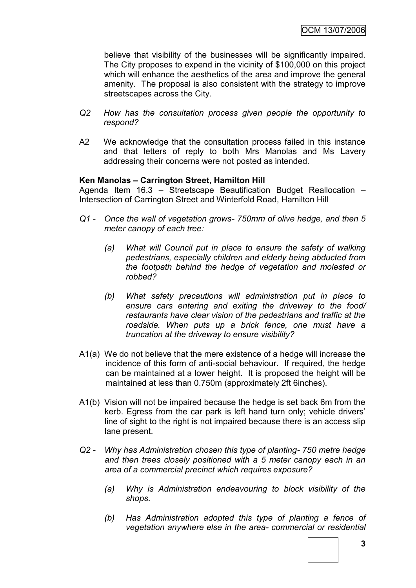believe that visibility of the businesses will be significantly impaired. The City proposes to expend in the vicinity of \$100,000 on this project which will enhance the aesthetics of the area and improve the general amenity. The proposal is also consistent with the strategy to improve streetscapes across the City.

- *Q2 How has the consultation process given people the opportunity to respond?*
- A2 We acknowledge that the consultation process failed in this instance and that letters of reply to both Mrs Manolas and Ms Lavery addressing their concerns were not posted as intended.

# **Ken Manolas – Carrington Street, Hamilton Hill**

Agenda Item 16.3 – Streetscape Beautification Budget Reallocation – Intersection of Carrington Street and Winterfold Road, Hamilton Hill

- *Q1 - Once the wall of vegetation grows- 750mm of olive hedge, and then 5 meter canopy of each tree:*
	- *(a) What will Council put in place to ensure the safety of walking pedestrians, especially children and elderly being abducted from the footpath behind the hedge of vegetation and molested or robbed?*
	- *(b) What safety precautions will administration put in place to ensure cars entering and exiting the driveway to the food/ restaurants have clear vision of the pedestrians and traffic at the roadside. When puts up a brick fence, one must have a truncation at the driveway to ensure visibility?*
- A1(a) We do not believe that the mere existence of a hedge will increase the incidence of this form of anti-social behaviour. If required, the hedge can be maintained at a lower height. It is proposed the height will be maintained at less than 0.750m (approximately 2ft 6inches).
- A1(b) Vision will not be impaired because the hedge is set back 6m from the kerb. Egress from the car park is left hand turn only; vehicle drivers' line of sight to the right is not impaired because there is an access slip lane present.
- *Q2 - Why has Administration chosen this type of planting- 750 metre hedge and then trees closely positioned with a 5 meter canopy each in an area of a commercial precinct which requires exposure?*
	- *(a) Why is Administration endeavouring to block visibility of the shops.*
	- *(b) Has Administration adopted this type of planting a fence of vegetation anywhere else in the area- commercial or residential*

**3**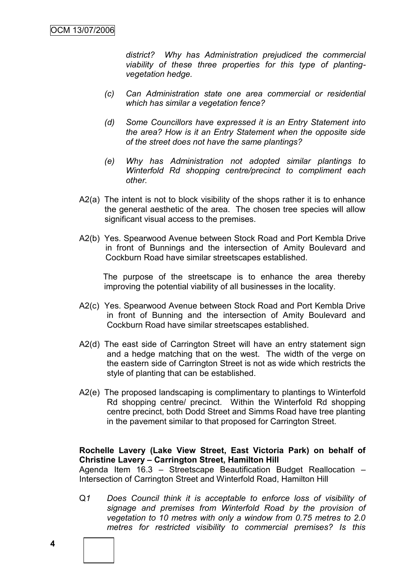*district? Why has Administration prejudiced the commercial viability of these three properties for this type of plantingvegetation hedge.*

- *(c) Can Administration state one area commercial or residential which has similar a vegetation fence?*
- *(d) Some Councillors have expressed it is an Entry Statement into the area? How is it an Entry Statement when the opposite side of the street does not have the same plantings?*
- *(e) Why has Administration not adopted similar plantings to Winterfold Rd shopping centre/precinct to compliment each other.*
- A2(a) The intent is not to block visibility of the shops rather it is to enhance the general aesthetic of the area. The chosen tree species will allow significant visual access to the premises.
- A2(b) Yes. Spearwood Avenue between Stock Road and Port Kembla Drive in front of Bunnings and the intersection of Amity Boulevard and Cockburn Road have similar streetscapes established.

The purpose of the streetscape is to enhance the area thereby improving the potential viability of all businesses in the locality.

- A2(c) Yes. Spearwood Avenue between Stock Road and Port Kembla Drive in front of Bunning and the intersection of Amity Boulevard and Cockburn Road have similar streetscapes established.
- A2(d) The east side of Carrington Street will have an entry statement sign and a hedge matching that on the west. The width of the verge on the eastern side of Carrington Street is not as wide which restricts the style of planting that can be established.
- A2(e) The proposed landscaping is complimentary to plantings to Winterfold Rd shopping centre/ precinct. Within the Winterfold Rd shopping centre precinct, both Dodd Street and Simms Road have tree planting in the pavement similar to that proposed for Carrington Street.

# **Rochelle Lavery (Lake View Street, East Victoria Park) on behalf of Christine Lavery – Carrington Street, Hamilton Hill**

Agenda Item 16.3 – Streetscape Beautification Budget Reallocation – Intersection of Carrington Street and Winterfold Road, Hamilton Hill

Q*1 Does Council think it is acceptable to enforce loss of visibility of signage and premises from Winterfold Road by the provision of vegetation to 10 metres with only a window from 0.75 metres to 2.0 metres for restricted visibility to commercial premises? Is this*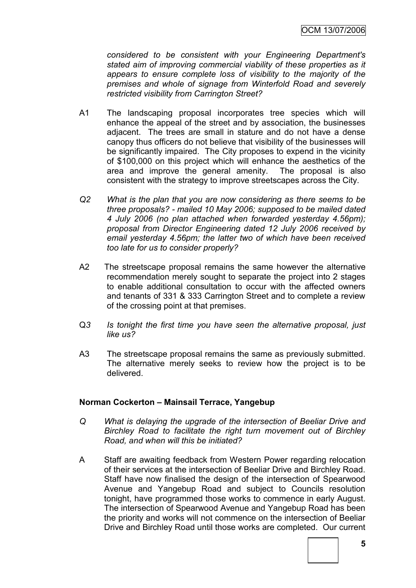*considered to be consistent with your Engineering Department's stated aim of improving commercial viability of these properties as it appears to ensure complete loss of visibility to the majority of the premises and whole of signage from Winterfold Road and severely restricted visibility from Carrington Street?* 

- A1 The landscaping proposal incorporates tree species which will enhance the appeal of the street and by association, the businesses adjacent. The trees are small in stature and do not have a dense canopy thus officers do not believe that visibility of the businesses will be significantly impaired. The City proposes to expend in the vicinity of \$100,000 on this project which will enhance the aesthetics of the area and improve the general amenity. The proposal is also consistent with the strategy to improve streetscapes across the City.
- *Q2 What is the plan that you are now considering as there seems to be three proposals? - mailed 10 May 2006; supposed to be mailed dated 4 July 2006 (no plan attached when forwarded yesterday 4.56pm); proposal from Director Engineering dated 12 July 2006 received by email yesterday 4.56pm; the latter two of which have been received too late for us to consider properly?*
- A2 The streetscape proposal remains the same however the alternative recommendation merely sought to separate the project into 2 stages to enable additional consultation to occur with the affected owners and tenants of 331 & 333 Carrington Street and to complete a review of the crossing point at that premises.
- Q*3 Is tonight the first time you have seen the alternative proposal, just like us?*
- A3 The streetscape proposal remains the same as previously submitted. The alternative merely seeks to review how the project is to be delivered.

# **Norman Cockerton – Mainsail Terrace, Yangebup**

- *Q What is delaying the upgrade of the intersection of Beeliar Drive and Birchley Road to facilitate the right turn movement out of Birchley Road, and when will this be initiated?*
- A Staff are awaiting feedback from Western Power regarding relocation of their services at the intersection of Beeliar Drive and Birchley Road. Staff have now finalised the design of the intersection of Spearwood Avenue and Yangebup Road and subject to Councils resolution tonight, have programmed those works to commence in early August. The intersection of Spearwood Avenue and Yangebup Road has been the priority and works will not commence on the intersection of Beeliar Drive and Birchley Road until those works are completed. Our current

**5**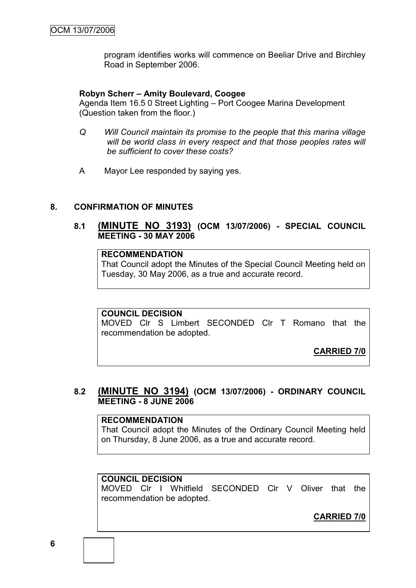program identifies works will commence on Beeliar Drive and Birchley Road in September 2006.

### **Robyn Scherr – Amity Boulevard, Coogee**

Agenda Item 16.5 0 Street Lighting – Port Coogee Marina Development (Question taken from the floor.)

- *Q Will Council maintain its promise to the people that this marina village will be world class in every respect and that those peoples rates will be sufficient to cover these costs?*
- A Mayor Lee responded by saying yes.

#### **8. CONFIRMATION OF MINUTES**

# **8.1 (MINUTE NO 3193) (OCM 13/07/2006) - SPECIAL COUNCIL MEETING - 30 MAY 2006**

# **RECOMMENDATION**

That Council adopt the Minutes of the Special Council Meeting held on Tuesday, 30 May 2006, as a true and accurate record.

#### **COUNCIL DECISION**

MOVED Clr S Limbert SECONDED Clr T Romano that the recommendation be adopted.

**CARRIED 7/0**

# **8.2 (MINUTE NO 3194) (OCM 13/07/2006) - ORDINARY COUNCIL MEETING - 8 JUNE 2006**

#### **RECOMMENDATION**

That Council adopt the Minutes of the Ordinary Council Meeting held on Thursday, 8 June 2006, as a true and accurate record.

# **COUNCIL DECISION**

MOVED Clr I Whitfield SECONDED Clr V Oliver that the recommendation be adopted.

**CARRIED 7/0**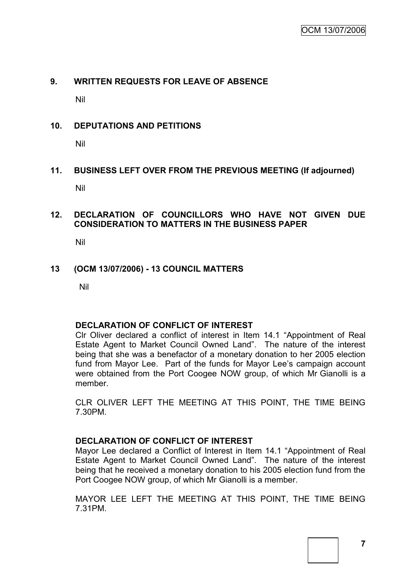# **9. WRITTEN REQUESTS FOR LEAVE OF ABSENCE**

Nil

# **10. DEPUTATIONS AND PETITIONS**

Nil

# **11. BUSINESS LEFT OVER FROM THE PREVIOUS MEETING (If adjourned)**

Nil

# **12. DECLARATION OF COUNCILLORS WHO HAVE NOT GIVEN DUE CONSIDERATION TO MATTERS IN THE BUSINESS PAPER**

Nil

# **13 (OCM 13/07/2006) - 13 COUNCIL MATTERS**

Nil

# **DECLARATION OF CONFLICT OF INTEREST**

Clr Oliver declared a conflict of interest in Item 14.1 "Appointment of Real Estate Agent to Market Council Owned Land". The nature of the interest being that she was a benefactor of a monetary donation to her 2005 election fund from Mayor Lee. Part of the funds for Mayor Lee"s campaign account were obtained from the Port Coogee NOW group, of which Mr Gianolli is a member.

CLR OLIVER LEFT THE MEETING AT THIS POINT, THE TIME BEING 7.30PM.

# **DECLARATION OF CONFLICT OF INTEREST**

Mayor Lee declared a Conflict of Interest in Item 14.1 "Appointment of Real Estate Agent to Market Council Owned Land". The nature of the interest being that he received a monetary donation to his 2005 election fund from the Port Coogee NOW group, of which Mr Gianolli is a member.

MAYOR LEE LEFT THE MEETING AT THIS POINT, THE TIME BEING 7.31PM.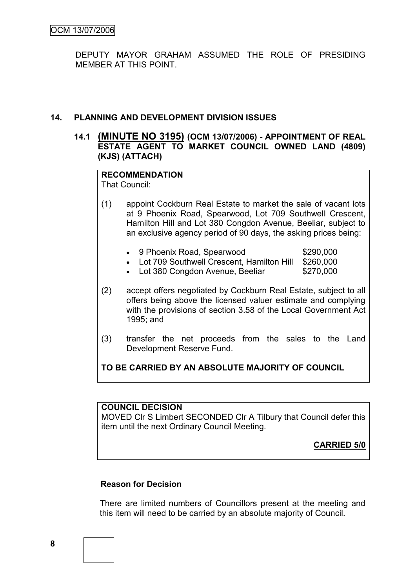DEPUTY MAYOR GRAHAM ASSUMED THE ROLE OF PRESIDING MEMBER AT THIS POINT.

# **14. PLANNING AND DEVELOPMENT DIVISION ISSUES**

# **14.1 (MINUTE NO 3195) (OCM 13/07/2006) - APPOINTMENT OF REAL ESTATE AGENT TO MARKET COUNCIL OWNED LAND (4809) (KJS) (ATTACH)**

# **RECOMMENDATION**

That Council:

- (1) appoint Cockburn Real Estate to market the sale of vacant lots at 9 Phoenix Road, Spearwood, Lot 709 Southwell Crescent, Hamilton Hill and Lot 380 Congdon Avenue, Beeliar, subject to an exclusive agency period of 90 days, the asking prices being:
	- 9 Phoenix Road, Spearwood \$290,000
	- Lot 709 Southwell Crescent, Hamilton Hill \$260,000
	- Lot 380 Congdon Avenue, Beeliar \$270,000
- (2) accept offers negotiated by Cockburn Real Estate, subject to all offers being above the licensed valuer estimate and complying with the provisions of section 3.58 of the Local Government Act 1995; and
- (3) transfer the net proceeds from the sales to the Land Development Reserve Fund.

**TO BE CARRIED BY AN ABSOLUTE MAJORITY OF COUNCIL**

# **COUNCIL DECISION**

MOVED Clr S Limbert SECONDED Clr A Tilbury that Council defer this item until the next Ordinary Council Meeting.

**CARRIED 5/0**

# **Reason for Decision**

There are limited numbers of Councillors present at the meeting and this item will need to be carried by an absolute majority of Council.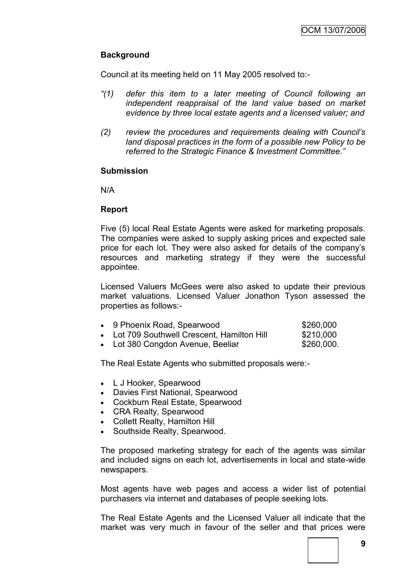# **Background**

Council at its meeting held on 11 May 2005 resolved to:-

- *"(1) defer this item to a later meeting of Council following an independent reappraisal of the land value based on market evidence by three local estate agents and a licensed valuer; and*
- *(2) review the procedures and requirements dealing with Council"s land disposal practices in the form of a possible new Policy to be referred to the Strategic Finance & Investment Committee."*

#### **Submission**

N/A

# **Report**

Five (5) local Real Estate Agents were asked for marketing proposals. The companies were asked to supply asking prices and expected sale price for each lot. They were also asked for details of the company"s resources and marketing strategy if they were the successful appointee.

Licensed Valuers McGees were also asked to update their previous market valuations. Licensed Valuer Jonathon Tyson assessed the properties as follows:-

| 9 Phoenix Road, Spearwood | \$260,000 |
|---------------------------|-----------|
|                           |           |

- Lot 709 Southwell Crescent, Hamilton Hill \$210,000
- Lot 380 Congdon Avenue, Beeliar \$260,000.

The Real Estate Agents who submitted proposals were:-

- L J Hooker, Spearwood
- Davies First National, Spearwood
- Cockburn Real Estate, Spearwood
- CRA Realty, Spearwood
- Collett Realty, Hamilton Hill
- Southside Realty, Spearwood.

The proposed marketing strategy for each of the agents was similar and included signs on each lot, advertisements in local and state-wide newspapers.

Most agents have web pages and access a wider list of potential purchasers via internet and databases of people seeking lots.

The Real Estate Agents and the Licensed Valuer all indicate that the market was very much in favour of the seller and that prices were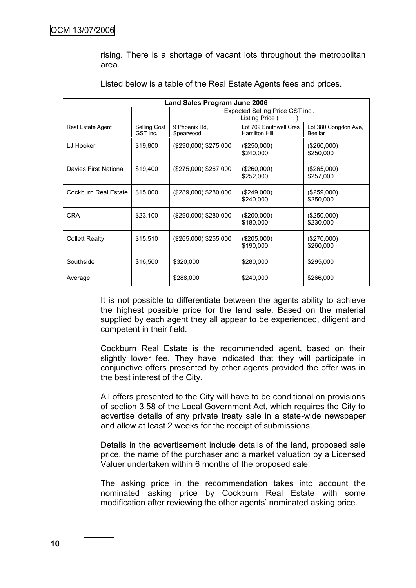rising. There is a shortage of vacant lots throughout the metropolitan area.

| <b>Land Sales Program June 2006</b> |                                  |                                                   |                                                |                                        |  |  |
|-------------------------------------|----------------------------------|---------------------------------------------------|------------------------------------------------|----------------------------------------|--|--|
|                                     | Expected Selling Price GST incl. |                                                   |                                                |                                        |  |  |
|                                     |                                  |                                                   | Listing Price (                                |                                        |  |  |
| Real Estate Agent                   | Selling Cost<br>GST Inc.         | 9 Phoenix Rd,<br>Spearwood                        | Lot 709 Southwell Cres<br><b>Hamilton Hill</b> | Lot 380 Congdon Ave,<br><b>Beeliar</b> |  |  |
| LJ Hooker                           | \$19,800                         | (\$290,000) \$275,000                             | (\$250,000)<br>\$240,000                       | (\$260,000)<br>\$250,000               |  |  |
| Davies First National               | \$19,400                         | (\$275,000) \$267,000<br>(\$260,000)<br>\$252,000 |                                                | $(\$265,000)$<br>\$257,000             |  |  |
| Cockburn Real Estate                | \$15,000                         | (\$289,000) \$280,000                             | (\$249,000)<br>\$240,000                       | (\$259,000)<br>\$250,000               |  |  |
| <b>CRA</b>                          | \$23,100                         | (\$290,000) \$280,000                             | $(\$200,000)$<br>\$180,000                     | $(\$250,000)$<br>\$230,000             |  |  |
| <b>Collett Realty</b>               | \$15,510                         | (\$265,000) \$255,000                             | (\$205,000)<br>\$190,000                       | $(\$270,000)$<br>\$260,000             |  |  |
| Southside                           | \$16,500                         | \$320,000                                         | \$280,000                                      | \$295,000                              |  |  |
| Average                             |                                  | \$288,000                                         | \$240,000                                      | \$266,000                              |  |  |

Listed below is a table of the Real Estate Agents fees and prices.

It is not possible to differentiate between the agents ability to achieve the highest possible price for the land sale. Based on the material supplied by each agent they all appear to be experienced, diligent and competent in their field.

Cockburn Real Estate is the recommended agent, based on their slightly lower fee. They have indicated that they will participate in conjunctive offers presented by other agents provided the offer was in the best interest of the City.

All offers presented to the City will have to be conditional on provisions of section 3.58 of the Local Government Act, which requires the City to advertise details of any private treaty sale in a state-wide newspaper and allow at least 2 weeks for the receipt of submissions.

Details in the advertisement include details of the land, proposed sale price, the name of the purchaser and a market valuation by a Licensed Valuer undertaken within 6 months of the proposed sale.

The asking price in the recommendation takes into account the nominated asking price by Cockburn Real Estate with some modification after reviewing the other agents' nominated asking price.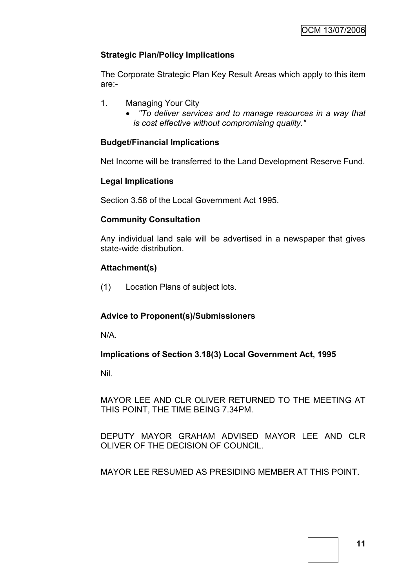# **Strategic Plan/Policy Implications**

The Corporate Strategic Plan Key Result Areas which apply to this item are:-

- 1. Managing Your City
	- *"To deliver services and to manage resources in a way that is cost effective without compromising quality."*

# **Budget/Financial Implications**

Net Income will be transferred to the Land Development Reserve Fund.

# **Legal Implications**

Section 3.58 of the Local Government Act 1995.

# **Community Consultation**

Any individual land sale will be advertised in a newspaper that gives state-wide distribution.

# **Attachment(s)**

(1) Location Plans of subject lots.

# **Advice to Proponent(s)/Submissioners**

N/A.

# **Implications of Section 3.18(3) Local Government Act, 1995**

Nil.

MAYOR LEE AND CLR OLIVER RETURNED TO THE MEETING AT THIS POINT, THE TIME BEING 7.34PM.

DEPUTY MAYOR GRAHAM ADVISED MAYOR LEE AND CLR OLIVER OF THE DECISION OF COUNCIL.

MAYOR LEE RESUMED AS PRESIDING MEMBER AT THIS POINT.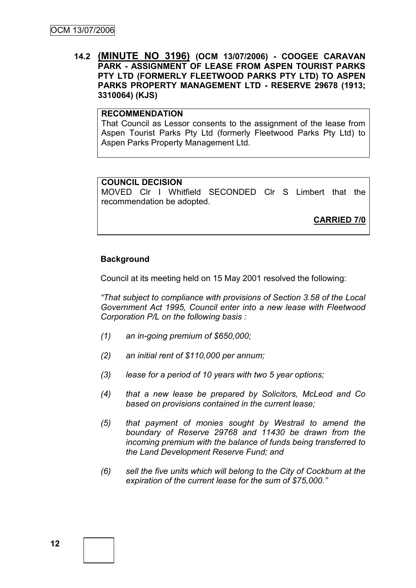# **14.2 (MINUTE NO 3196) (OCM 13/07/2006) - COOGEE CARAVAN PARK - ASSIGNMENT OF LEASE FROM ASPEN TOURIST PARKS PTY LTD (FORMERLY FLEETWOOD PARKS PTY LTD) TO ASPEN PARKS PROPERTY MANAGEMENT LTD - RESERVE 29678 (1913; 3310064) (KJS)**

# **RECOMMENDATION**

That Council as Lessor consents to the assignment of the lease from Aspen Tourist Parks Pty Ltd (formerly Fleetwood Parks Pty Ltd) to Aspen Parks Property Management Ltd.

#### **COUNCIL DECISION**

MOVED Clr I Whitfield SECONDED Clr S Limbert that the recommendation be adopted.

**CARRIED 7/0**

#### **Background**

Council at its meeting held on 15 May 2001 resolved the following:

*"That subject to compliance with provisions of Section 3.58 of the Local Government Act 1995, Council enter into a new lease with Fleetwood Corporation P/L on the following basis :*

- *(1) an in-going premium of \$650,000;*
- *(2) an initial rent of \$110,000 per annum;*
- *(3) lease for a period of 10 years with two 5 year options;*
- *(4) that a new lease be prepared by Solicitors, McLeod and Co based on provisions contained in the current lease;*
- *(5) that payment of monies sought by Westrail to amend the boundary of Reserve 29768 and 11430 be drawn from the incoming premium with the balance of funds being transferred to the Land Development Reserve Fund; and*
- *(6) sell the five units which will belong to the City of Cockburn at the expiration of the current lease for the sum of \$75,000."*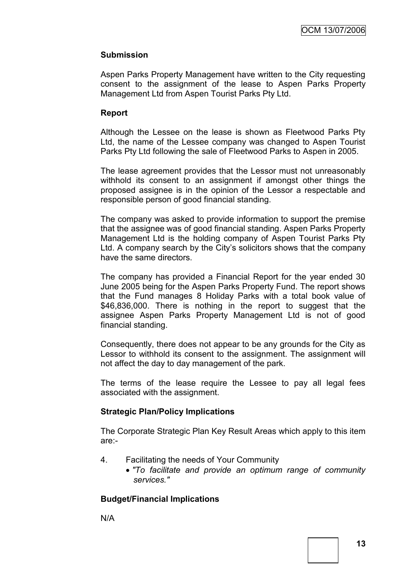# **Submission**

Aspen Parks Property Management have written to the City requesting consent to the assignment of the lease to Aspen Parks Property Management Ltd from Aspen Tourist Parks Pty Ltd.

# **Report**

Although the Lessee on the lease is shown as Fleetwood Parks Pty Ltd, the name of the Lessee company was changed to Aspen Tourist Parks Pty Ltd following the sale of Fleetwood Parks to Aspen in 2005.

The lease agreement provides that the Lessor must not unreasonably withhold its consent to an assignment if amongst other things the proposed assignee is in the opinion of the Lessor a respectable and responsible person of good financial standing.

The company was asked to provide information to support the premise that the assignee was of good financial standing. Aspen Parks Property Management Ltd is the holding company of Aspen Tourist Parks Pty Ltd. A company search by the City"s solicitors shows that the company have the same directors.

The company has provided a Financial Report for the year ended 30 June 2005 being for the Aspen Parks Property Fund. The report shows that the Fund manages 8 Holiday Parks with a total book value of \$46,836,000. There is nothing in the report to suggest that the assignee Aspen Parks Property Management Ltd is not of good financial standing.

Consequently, there does not appear to be any grounds for the City as Lessor to withhold its consent to the assignment. The assignment will not affect the day to day management of the park.

The terms of the lease require the Lessee to pay all legal fees associated with the assignment.

# **Strategic Plan/Policy Implications**

The Corporate Strategic Plan Key Result Areas which apply to this item are:-

- 4. Facilitating the needs of Your Community
	- *"To facilitate and provide an optimum range of community services."*

# **Budget/Financial Implications**

N/A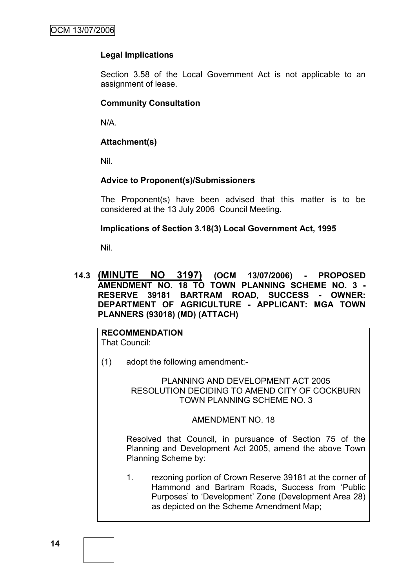# **Legal Implications**

Section 3.58 of the Local Government Act is not applicable to an assignment of lease.

# **Community Consultation**

N/A.

# **Attachment(s)**

Nil.

# **Advice to Proponent(s)/Submissioners**

The Proponent(s) have been advised that this matter is to be considered at the 13 July 2006 Council Meeting.

# **Implications of Section 3.18(3) Local Government Act, 1995**

Nil.

# **14.3 (MINUTE NO 3197) (OCM 13/07/2006) - PROPOSED AMENDMENT NO. 18 TO TOWN PLANNING SCHEME NO. 3 - RESERVE 39181 BARTRAM ROAD, SUCCESS - OWNER: DEPARTMENT OF AGRICULTURE - APPLICANT: MGA TOWN PLANNERS (93018) (MD) (ATTACH)**

**RECOMMENDATION** That Council:

(1) adopt the following amendment:-

PLANNING AND DEVELOPMENT ACT 2005 RESOLUTION DECIDING TO AMEND CITY OF COCKBURN TOWN PLANNING SCHEME NO. 3

#### AMENDMENT NO. 18

Resolved that Council, in pursuance of Section 75 of the Planning and Development Act 2005, amend the above Town Planning Scheme by:

1. rezoning portion of Crown Reserve 39181 at the corner of Hammond and Bartram Roads, Success from "Public Purposes" to "Development" Zone (Development Area 28) as depicted on the Scheme Amendment Map;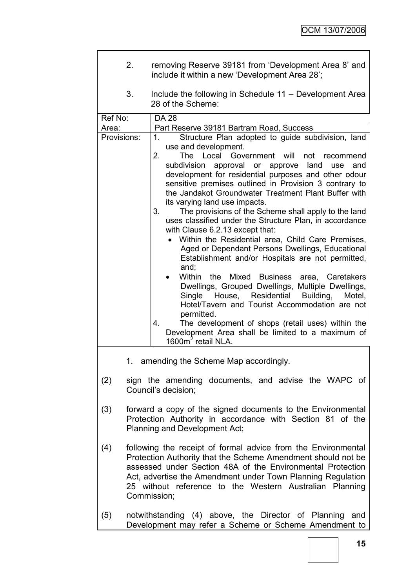| 2.          | removing Reserve 39181 from 'Development Area 8' and<br>include it within a new 'Development Area 28':                                                                                                                                                                                                                                                                                                                                                                                                                                                                                                                                                                                                                                                                                                                                                                                                                                                                                                                                                                                                                      |
|-------------|-----------------------------------------------------------------------------------------------------------------------------------------------------------------------------------------------------------------------------------------------------------------------------------------------------------------------------------------------------------------------------------------------------------------------------------------------------------------------------------------------------------------------------------------------------------------------------------------------------------------------------------------------------------------------------------------------------------------------------------------------------------------------------------------------------------------------------------------------------------------------------------------------------------------------------------------------------------------------------------------------------------------------------------------------------------------------------------------------------------------------------|
| 3.          | Include the following in Schedule 11 – Development Area<br>28 of the Scheme:                                                                                                                                                                                                                                                                                                                                                                                                                                                                                                                                                                                                                                                                                                                                                                                                                                                                                                                                                                                                                                                |
| Ref No:     | <b>DA 28</b>                                                                                                                                                                                                                                                                                                                                                                                                                                                                                                                                                                                                                                                                                                                                                                                                                                                                                                                                                                                                                                                                                                                |
| Area:       | Part Reserve 39181 Bartram Road, Success                                                                                                                                                                                                                                                                                                                                                                                                                                                                                                                                                                                                                                                                                                                                                                                                                                                                                                                                                                                                                                                                                    |
|             |                                                                                                                                                                                                                                                                                                                                                                                                                                                                                                                                                                                                                                                                                                                                                                                                                                                                                                                                                                                                                                                                                                                             |
| Provisions: | Structure Plan adopted to guide subdivision, land<br>1.<br>use and development.<br>The Local Government<br>2.<br>will<br>not<br>recommend<br>approval or approve land<br>subdivision<br>and<br>use<br>development for residential purposes and other odour<br>sensitive premises outlined in Provision 3 contrary to<br>the Jandakot Groundwater Treatment Plant Buffer with<br>its varying land use impacts.<br>3.<br>The provisions of the Scheme shall apply to the land<br>uses classified under the Structure Plan, in accordance<br>with Clause 6.2.13 except that:<br>Within the Residential area, Child Care Premises,<br>Aged or Dependant Persons Dwellings, Educational<br>Establishment and/or Hospitals are not permitted,<br>and;<br>Mixed Business area, Caretakers<br>Within<br>the<br>Dwellings, Grouped Dwellings, Multiple Dwellings,<br>Single House, Residential Building,<br>Motel,<br>Hotel/Tavern and Tourist Accommodation are not<br>permitted.<br>The development of shops (retail uses) within the<br>4.<br>Development Area shall be limited to a maximum of<br>1600m <sup>2</sup> retail NLA. |
|             |                                                                                                                                                                                                                                                                                                                                                                                                                                                                                                                                                                                                                                                                                                                                                                                                                                                                                                                                                                                                                                                                                                                             |
| 1.          | amending the Scheme Map accordingly.                                                                                                                                                                                                                                                                                                                                                                                                                                                                                                                                                                                                                                                                                                                                                                                                                                                                                                                                                                                                                                                                                        |
| (2)         | sign the amending documents, and advise the WAPC of<br>Council's decision;                                                                                                                                                                                                                                                                                                                                                                                                                                                                                                                                                                                                                                                                                                                                                                                                                                                                                                                                                                                                                                                  |
| (3)         | forward a copy of the signed documents to the Environmental<br>Protection Authority in accordance with Section 81 of the<br>Planning and Development Act;                                                                                                                                                                                                                                                                                                                                                                                                                                                                                                                                                                                                                                                                                                                                                                                                                                                                                                                                                                   |
| (4)         | following the receipt of formal advice from the Environmental<br>Protection Authority that the Scheme Amendment should not be<br>assessed under Section 48A of the Environmental Protection<br>Act, advertise the Amendment under Town Planning Regulation<br>25 without reference to the Western Australian Planning<br>Commission;                                                                                                                                                                                                                                                                                                                                                                                                                                                                                                                                                                                                                                                                                                                                                                                        |
| (5)         | notwithstanding (4) above, the Director of Planning<br>and<br>Development may refer a Scheme or Scheme Amendment to                                                                                                                                                                                                                                                                                                                                                                                                                                                                                                                                                                                                                                                                                                                                                                                                                                                                                                                                                                                                         |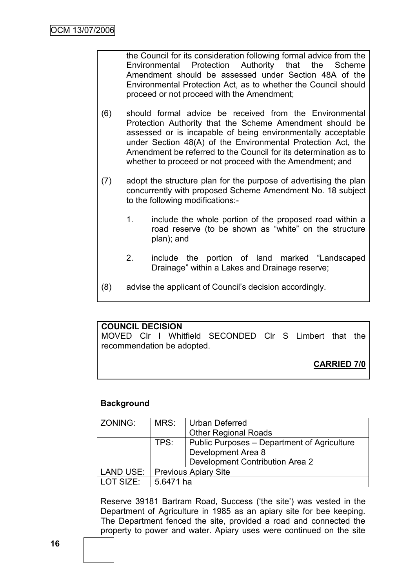the Council for its consideration following formal advice from the Environmental Protection Authority that the Scheme Amendment should be assessed under Section 48A of the Environmental Protection Act, as to whether the Council should proceed or not proceed with the Amendment;

- (6) should formal advice be received from the Environmental Protection Authority that the Scheme Amendment should be assessed or is incapable of being environmentally acceptable under Section 48(A) of the Environmental Protection Act, the Amendment be referred to the Council for its determination as to whether to proceed or not proceed with the Amendment; and
- (7) adopt the structure plan for the purpose of advertising the plan concurrently with proposed Scheme Amendment No. 18 subject to the following modifications:-
	- 1. include the whole portion of the proposed road within a road reserve (to be shown as "white" on the structure plan); and
	- 2. include the portion of land marked "Landscaped Drainage" within a Lakes and Drainage reserve;
- (8) advise the applicant of Council"s decision accordingly.

# **COUNCIL DECISION**

MOVED Clr I Whitfield SECONDED Clr S Limbert that the recommendation be adopted.

**CARRIED 7/0**

# **Background**

| ZONING:          | MRS:<br>Urban Deferred |                                             |  |  |
|------------------|------------------------|---------------------------------------------|--|--|
|                  |                        | <b>Other Regional Roads</b>                 |  |  |
| TPS:             |                        | Public Purposes - Department of Agriculture |  |  |
|                  |                        | Development Area 8                          |  |  |
|                  |                        | Development Contribution Area 2             |  |  |
| LAND USE:        |                        | <b>Previous Apiary Site</b>                 |  |  |
| <b>LOT SIZE:</b> | 5.6471 ha              |                                             |  |  |

Reserve 39181 Bartram Road, Success ("the site") was vested in the Department of Agriculture in 1985 as an apiary site for bee keeping. The Department fenced the site, provided a road and connected the property to power and water. Apiary uses were continued on the site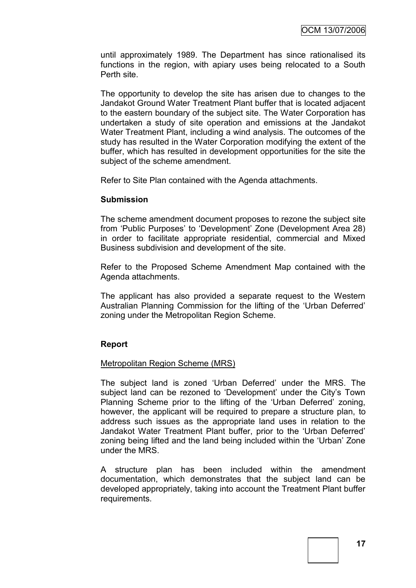until approximately 1989. The Department has since rationalised its functions in the region, with apiary uses being relocated to a South Perth site.

The opportunity to develop the site has arisen due to changes to the Jandakot Ground Water Treatment Plant buffer that is located adjacent to the eastern boundary of the subject site. The Water Corporation has undertaken a study of site operation and emissions at the Jandakot Water Treatment Plant, including a wind analysis. The outcomes of the study has resulted in the Water Corporation modifying the extent of the buffer, which has resulted in development opportunities for the site the subject of the scheme amendment.

Refer to Site Plan contained with the Agenda attachments.

#### **Submission**

The scheme amendment document proposes to rezone the subject site from "Public Purposes" to "Development" Zone (Development Area 28) in order to facilitate appropriate residential, commercial and Mixed Business subdivision and development of the site.

Refer to the Proposed Scheme Amendment Map contained with the Agenda attachments.

The applicant has also provided a separate request to the Western Australian Planning Commission for the lifting of the "Urban Deferred" zoning under the Metropolitan Region Scheme.

# **Report**

#### Metropolitan Region Scheme (MRS)

The subject land is zoned "Urban Deferred" under the MRS. The subject land can be rezoned to 'Development' under the City's Town Planning Scheme prior to the lifting of the "Urban Deferred" zoning, however, the applicant will be required to prepare a structure plan, to address such issues as the appropriate land uses in relation to the Jandakot Water Treatment Plant buffer, prior to the "Urban Deferred" zoning being lifted and the land being included within the "Urban" Zone under the MRS.

A structure plan has been included within the amendment documentation, which demonstrates that the subject land can be developed appropriately, taking into account the Treatment Plant buffer requirements.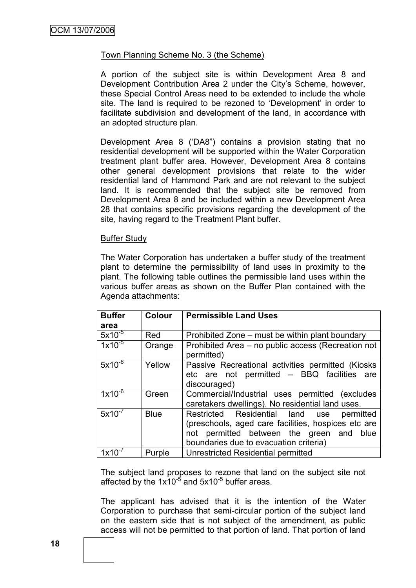# Town Planning Scheme No. 3 (the Scheme)

A portion of the subject site is within Development Area 8 and Development Contribution Area 2 under the City"s Scheme, however, these Special Control Areas need to be extended to include the whole site. The land is required to be rezoned to 'Development' in order to facilitate subdivision and development of the land, in accordance with an adopted structure plan.

Development Area 8 ("DA8") contains a provision stating that no residential development will be supported within the Water Corporation treatment plant buffer area. However, Development Area 8 contains other general development provisions that relate to the wider residential land of Hammond Park and are not relevant to the subject land. It is recommended that the subject site be removed from Development Area 8 and be included within a new Development Area 28 that contains specific provisions regarding the development of the site, having regard to the Treatment Plant buffer.

#### Buffer Study

The Water Corporation has undertaken a buffer study of the treatment plant to determine the permissibility of land uses in proximity to the plant. The following table outlines the permissible land uses within the various buffer areas as shown on the Buffer Plan contained with the Agenda attachments:

| <b>Buffer</b> | <b>Colour</b> | <b>Permissible Land Uses</b>                                                                                                                                                              |
|---------------|---------------|-------------------------------------------------------------------------------------------------------------------------------------------------------------------------------------------|
| area          |               |                                                                                                                                                                                           |
| $5x10^{-5}$   | Red           | Prohibited Zone – must be within plant boundary                                                                                                                                           |
| $1x10^{-5}$   | Orange        | Prohibited Area – no public access (Recreation not<br>permitted)                                                                                                                          |
| $5x10^{-6}$   | Yellow        | Passive Recreational activities permitted (Kiosks<br>etc are not permitted - BBQ facilities are<br>discouraged)                                                                           |
| $1x10^{-6}$   | Green         | Commercial/Industrial uses permitted (excludes<br>caretakers dwellings). No residential land uses.                                                                                        |
| $5x10^{-7}$   | <b>Blue</b>   | Restricted Residential land use<br>permitted<br>(preschools, aged care facilities, hospices etc are<br>not permitted between the green and blue<br>boundaries due to evacuation criteria) |
|               | Purple        | Unrestricted Residential permitted                                                                                                                                                        |

The subject land proposes to rezone that land on the subject site not affected by the  $1x10^{-5}$  and  $5x10^{-5}$  buffer areas.

The applicant has advised that it is the intention of the Water Corporation to purchase that semi-circular portion of the subject land on the eastern side that is not subject of the amendment, as public access will not be permitted to that portion of land. That portion of land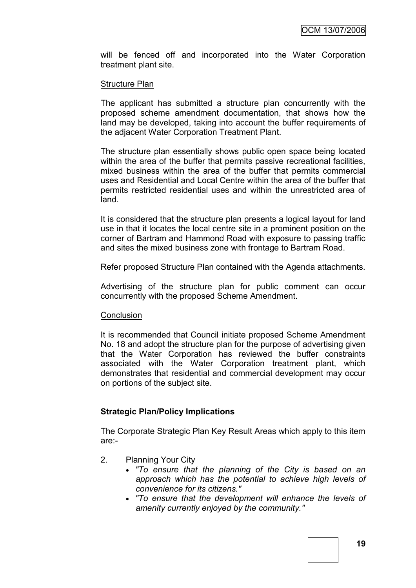will be fenced off and incorporated into the Water Corporation treatment plant site.

#### Structure Plan

The applicant has submitted a structure plan concurrently with the proposed scheme amendment documentation, that shows how the land may be developed, taking into account the buffer requirements of the adjacent Water Corporation Treatment Plant.

The structure plan essentially shows public open space being located within the area of the buffer that permits passive recreational facilities, mixed business within the area of the buffer that permits commercial uses and Residential and Local Centre within the area of the buffer that permits restricted residential uses and within the unrestricted area of land.

It is considered that the structure plan presents a logical layout for land use in that it locates the local centre site in a prominent position on the corner of Bartram and Hammond Road with exposure to passing traffic and sites the mixed business zone with frontage to Bartram Road.

Refer proposed Structure Plan contained with the Agenda attachments.

Advertising of the structure plan for public comment can occur concurrently with the proposed Scheme Amendment.

#### **Conclusion**

It is recommended that Council initiate proposed Scheme Amendment No. 18 and adopt the structure plan for the purpose of advertising given that the Water Corporation has reviewed the buffer constraints associated with the Water Corporation treatment plant, which demonstrates that residential and commercial development may occur on portions of the subject site.

#### **Strategic Plan/Policy Implications**

The Corporate Strategic Plan Key Result Areas which apply to this item are:-

- 2. Planning Your City
	- *"To ensure that the planning of the City is based on an approach which has the potential to achieve high levels of convenience for its citizens."*
	- *"To ensure that the development will enhance the levels of amenity currently enjoyed by the community."*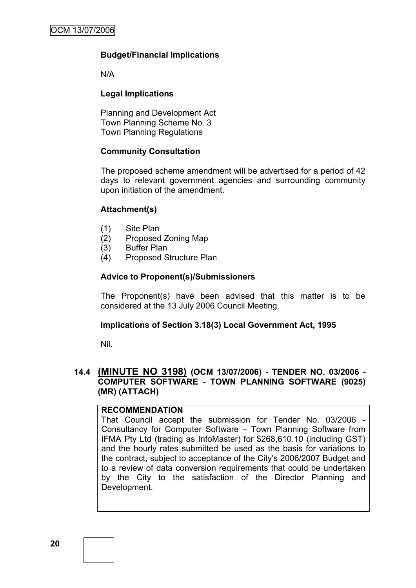# **Budget/Financial Implications**

N/A

# **Legal Implications**

Planning and Development Act Town Planning Scheme No. 3 Town Planning Regulations

# **Community Consultation**

The proposed scheme amendment will be advertised for a period of 42 days to relevant government agencies and surrounding community upon initiation of the amendment.

# **Attachment(s)**

- (1) Site Plan
- (2) Proposed Zoning Map
- (3) Buffer Plan
- (4) Proposed Structure Plan

# **Advice to Proponent(s)/Submissioners**

The Proponent(s) have been advised that this matter is to be considered at the 13 July 2006 Council Meeting.

# **Implications of Section 3.18(3) Local Government Act, 1995**

Nil.

# **14.4 (MINUTE NO 3198) (OCM 13/07/2006) - TENDER NO. 03/2006 - COMPUTER SOFTWARE - TOWN PLANNING SOFTWARE (9025) (MR) (ATTACH)**

# **RECOMMENDATION**

That Council accept the submission for Tender No. 03/2006 - Consultancy for Computer Software – Town Planning Software from IFMA Pty Ltd (trading as InfoMaster) for \$268,610.10 (including GST) and the hourly rates submitted be used as the basis for variations to the contract, subject to acceptance of the City"s 2006/2007 Budget and to a review of data conversion requirements that could be undertaken by the City to the satisfaction of the Director Planning and Development.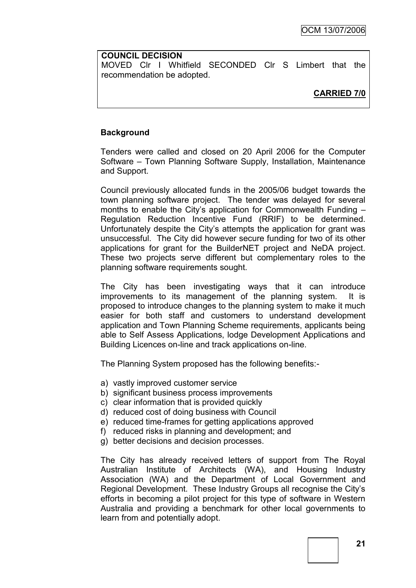#### **COUNCIL DECISION**

MOVED Clr I Whitfield SECONDED Clr S Limbert that the recommendation be adopted.

# **CARRIED 7/0**

# **Background**

Tenders were called and closed on 20 April 2006 for the Computer Software – Town Planning Software Supply, Installation, Maintenance and Support.

Council previously allocated funds in the 2005/06 budget towards the town planning software project. The tender was delayed for several months to enable the City"s application for Commonwealth Funding – Regulation Reduction Incentive Fund (RRIF) to be determined. Unfortunately despite the City"s attempts the application for grant was unsuccessful. The City did however secure funding for two of its other applications for grant for the BuilderNET project and NeDA project. These two projects serve different but complementary roles to the planning software requirements sought.

The City has been investigating ways that it can introduce improvements to its management of the planning system. It is proposed to introduce changes to the planning system to make it much easier for both staff and customers to understand development application and Town Planning Scheme requirements, applicants being able to Self Assess Applications, lodge Development Applications and Building Licences on-line and track applications on-line.

The Planning System proposed has the following benefits:-

- a) vastly improved customer service
- b) significant business process improvements
- c) clear information that is provided quickly
- d) reduced cost of doing business with Council
- e) reduced time-frames for getting applications approved
- f) reduced risks in planning and development; and
- g) better decisions and decision processes.

The City has already received letters of support from The Royal Australian Institute of Architects (WA), and Housing Industry Association (WA) and the Department of Local Government and Regional Development. These Industry Groups all recognise the City"s efforts in becoming a pilot project for this type of software in Western Australia and providing a benchmark for other local governments to learn from and potentially adopt.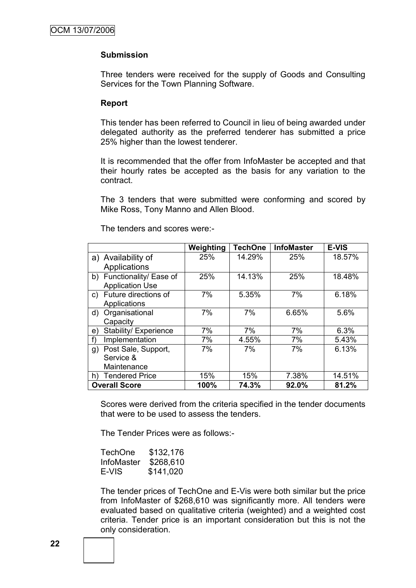### **Submission**

Three tenders were received for the supply of Goods and Consulting Services for the Town Planning Software.

#### **Report**

This tender has been referred to Council in lieu of being awarded under delegated authority as the preferred tenderer has submitted a price 25% higher than the lowest tenderer.

It is recommended that the offer from InfoMaster be accepted and that their hourly rates be accepted as the basis for any variation to the contract.

The 3 tenders that were submitted were conforming and scored by Mike Ross, Tony Manno and Allen Blood.

|                             | Weighting | <b>TechOne</b> | <b>InfoMaster</b> | <b>E-VIS</b> |
|-----------------------------|-----------|----------------|-------------------|--------------|
| a) Availability of          | 25%       | 14.29%         | 25%               | 18.57%       |
| Applications                |           |                |                   |              |
| b) Functionality/ Ease of   | 25%       | 14.13%         | 25%               | 18.48%       |
| <b>Application Use</b>      |           |                |                   |              |
| Future directions of<br>C)  | 7%        | 5.35%          | 7%                | 6.18%        |
| Applications                |           |                |                   |              |
| Organisational<br>d)        | 7%        | 7%             | 6.65%             | 5.6%         |
| Capacity                    |           |                |                   |              |
| Stability/ Experience<br>e) | 7%        | 7%             | 7%                | 6.3%         |
| Implementation<br>f)        | 7%        | 4.55%          | 7%                | 5.43%        |
| Post Sale, Support,<br>g)   | 7%        | 7%             | 7%                | 6.13%        |
| Service &                   |           |                |                   |              |
| Maintenance                 |           |                |                   |              |
| <b>Tendered Price</b><br>h) | 15%       | 15%            | 7.38%             | 14.51%       |
| <b>Overall Score</b>        | 100%      | 74.3%          | 92.0%             | 81.2%        |

The tenders and scores were:-

Scores were derived from the criteria specified in the tender documents that were to be used to assess the tenders.

The Tender Prices were as follows:-

| TechOne    | \$132,176 |
|------------|-----------|
| InfoMaster | \$268,610 |
| E-VIS      | \$141,020 |

The tender prices of TechOne and E-Vis were both similar but the price from InfoMaster of \$268,610 was significantly more. All tenders were evaluated based on qualitative criteria (weighted) and a weighted cost criteria. Tender price is an important consideration but this is not the only consideration.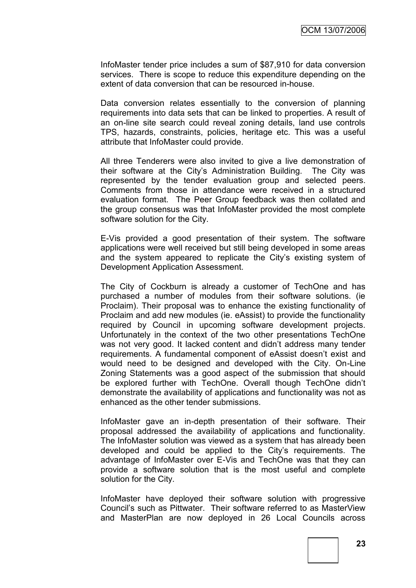InfoMaster tender price includes a sum of \$87,910 for data conversion services. There is scope to reduce this expenditure depending on the extent of data conversion that can be resourced in-house.

Data conversion relates essentially to the conversion of planning requirements into data sets that can be linked to properties. A result of an on-line site search could reveal zoning details, land use controls TPS, hazards, constraints, policies, heritage etc. This was a useful attribute that InfoMaster could provide.

All three Tenderers were also invited to give a live demonstration of their software at the City"s Administration Building. The City was represented by the tender evaluation group and selected peers. Comments from those in attendance were received in a structured evaluation format. The Peer Group feedback was then collated and the group consensus was that InfoMaster provided the most complete software solution for the City.

E-Vis provided a good presentation of their system. The software applications were well received but still being developed in some areas and the system appeared to replicate the City"s existing system of Development Application Assessment.

The City of Cockburn is already a customer of TechOne and has purchased a number of modules from their software solutions. (ie Proclaim). Their proposal was to enhance the existing functionality of Proclaim and add new modules (ie. eAssist) to provide the functionality required by Council in upcoming software development projects. Unfortunately in the context of the two other presentations TechOne was not very good. It lacked content and didn"t address many tender requirements. A fundamental component of eAssist doesn"t exist and would need to be designed and developed with the City. On-Line Zoning Statements was a good aspect of the submission that should be explored further with TechOne. Overall though TechOne didn"t demonstrate the availability of applications and functionality was not as enhanced as the other tender submissions.

InfoMaster gave an in-depth presentation of their software. Their proposal addressed the availability of applications and functionality. The InfoMaster solution was viewed as a system that has already been developed and could be applied to the City"s requirements. The advantage of InfoMaster over E-Vis and TechOne was that they can provide a software solution that is the most useful and complete solution for the City.

InfoMaster have deployed their software solution with progressive Council"s such as Pittwater. Their software referred to as MasterView and MasterPlan are now deployed in 26 Local Councils across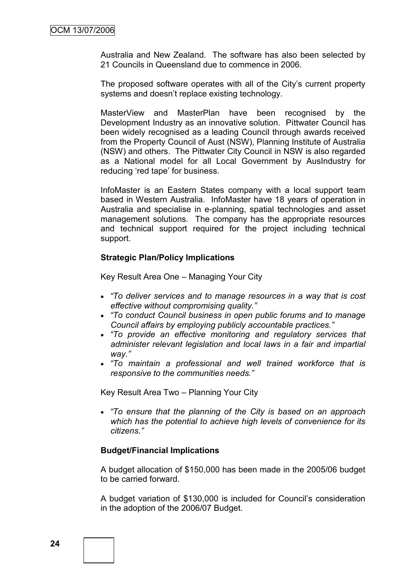Australia and New Zealand. The software has also been selected by 21 Councils in Queensland due to commence in 2006.

The proposed software operates with all of the City's current property systems and doesn"t replace existing technology.

MasterView and MasterPlan have been recognised by the Development Industry as an innovative solution. Pittwater Council has been widely recognised as a leading Council through awards received from the Property Council of Aust (NSW), Planning Institute of Australia (NSW) and others. The Pittwater City Council in NSW is also regarded as a National model for all Local Government by AusIndustry for reducing 'red tape' for business.

InfoMaster is an Eastern States company with a local support team based in Western Australia. InfoMaster have 18 years of operation in Australia and specialise in e-planning, spatial technologies and asset management solutions. The company has the appropriate resources and technical support required for the project including technical support.

#### **Strategic Plan/Policy Implications**

Key Result Area One – Managing Your City

- *"To deliver services and to manage resources in a way that is cost effective without compromising quality."*
- *"To conduct Council business in open public forums and to manage Council affairs by employing publicly accountable practices."*
- *"To provide an effective monitoring and regulatory services that administer relevant legislation and local laws in a fair and impartial way."*
- *"To maintain a professional and well trained workforce that is responsive to the communities needs."*

Key Result Area Two – Planning Your City

 *"To ensure that the planning of the City is based on an approach which has the potential to achieve high levels of convenience for its citizens."*

#### **Budget/Financial Implications**

A budget allocation of \$150,000 has been made in the 2005/06 budget to be carried forward.

A budget variation of \$130,000 is included for Council"s consideration in the adoption of the 2006/07 Budget.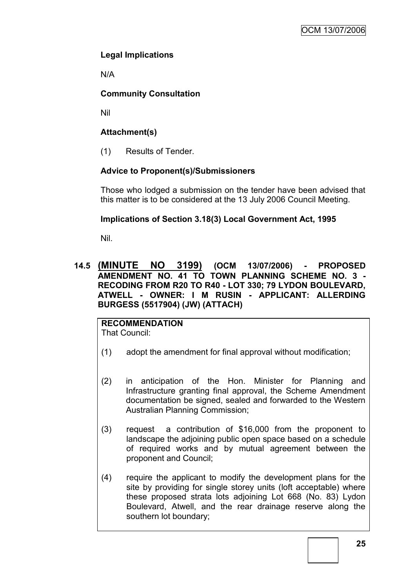# **Legal Implications**

N/A

# **Community Consultation**

Nil

# **Attachment(s)**

(1) Results of Tender.

# **Advice to Proponent(s)/Submissioners**

Those who lodged a submission on the tender have been advised that this matter is to be considered at the 13 July 2006 Council Meeting.

# **Implications of Section 3.18(3) Local Government Act, 1995**

Nil.

# **14.5 (MINUTE NO 3199) (OCM 13/07/2006) - PROPOSED AMENDMENT NO. 41 TO TOWN PLANNING SCHEME NO. 3 - RECODING FROM R20 TO R40 - LOT 330; 79 LYDON BOULEVARD, ATWELL - OWNER: I M RUSIN - APPLICANT: ALLERDING BURGESS (5517904) (JW) (ATTACH)**

**RECOMMENDATION** That Council:

- (1) adopt the amendment for final approval without modification;
- (2) in anticipation of the Hon. Minister for Planning and Infrastructure granting final approval, the Scheme Amendment documentation be signed, sealed and forwarded to the Western Australian Planning Commission;
- (3) request a contribution of \$16,000 from the proponent to landscape the adjoining public open space based on a schedule of required works and by mutual agreement between the proponent and Council;
- (4) require the applicant to modify the development plans for the site by providing for single storey units (loft acceptable) where these proposed strata lots adjoining Lot 668 (No. 83) Lydon Boulevard, Atwell, and the rear drainage reserve along the southern lot boundary;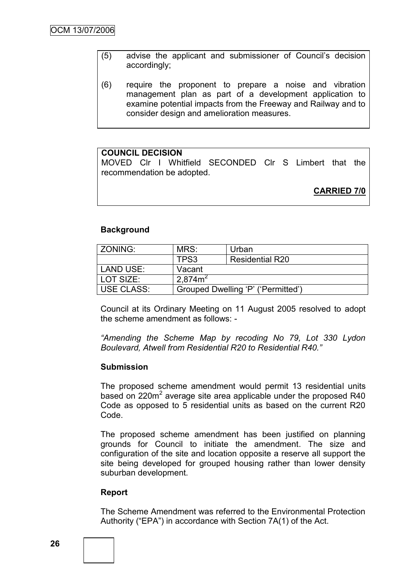- (5) advise the applicant and submissioner of Council"s decision accordingly;
- (6) require the proponent to prepare a noise and vibration management plan as part of a development application to examine potential impacts from the Freeway and Railway and to consider design and amelioration measures.

# **COUNCIL DECISION**

MOVED Clr I Whitfield SECONDED Clr S Limbert that the recommendation be adopted.

**CARRIED 7/0**

# **Background**

| ZONING:           | MRS:                               | Urban                  |
|-------------------|------------------------------------|------------------------|
|                   | TPS3                               | <b>Residential R20</b> |
| LAND USE:         | Vacant                             |                        |
| LOT SIZE:         | 2.874m <sup>2</sup>                |                        |
| <b>USE CLASS:</b> | Grouped Dwelling 'P' ('Permitted') |                        |

Council at its Ordinary Meeting on 11 August 2005 resolved to adopt the scheme amendment as follows: -

*"Amending the Scheme Map by recoding No 79, Lot 330 Lydon Boulevard, Atwell from Residential R20 to Residential R40."*

# **Submission**

The proposed scheme amendment would permit 13 residential units based on 220 $m^2$  average site area applicable under the proposed R40 Code as opposed to 5 residential units as based on the current R20 Code.

The proposed scheme amendment has been justified on planning grounds for Council to initiate the amendment. The size and configuration of the site and location opposite a reserve all support the site being developed for grouped housing rather than lower density suburban development.

#### **Report**

The Scheme Amendment was referred to the Environmental Protection Authority ("EPA") in accordance with Section 7A(1) of the Act.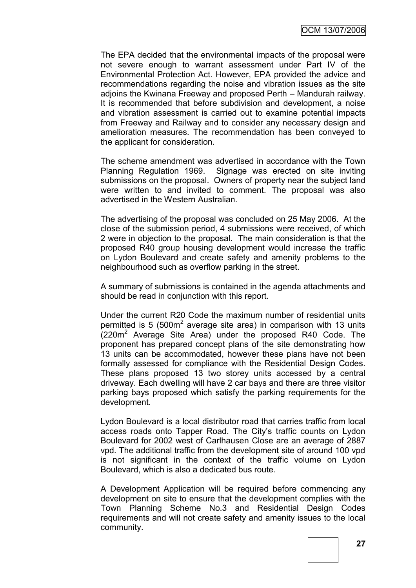The EPA decided that the environmental impacts of the proposal were not severe enough to warrant assessment under Part IV of the Environmental Protection Act. However, EPA provided the advice and recommendations regarding the noise and vibration issues as the site adjoins the Kwinana Freeway and proposed Perth – Mandurah railway. It is recommended that before subdivision and development, a noise and vibration assessment is carried out to examine potential impacts from Freeway and Railway and to consider any necessary design and amelioration measures. The recommendation has been conveyed to the applicant for consideration.

The scheme amendment was advertised in accordance with the Town Planning Regulation 1969. Signage was erected on site inviting submissions on the proposal. Owners of property near the subject land were written to and invited to comment. The proposal was also advertised in the Western Australian.

The advertising of the proposal was concluded on 25 May 2006. At the close of the submission period, 4 submissions were received, of which 2 were in objection to the proposal. The main consideration is that the proposed R40 group housing development would increase the traffic on Lydon Boulevard and create safety and amenity problems to the neighbourhood such as overflow parking in the street.

A summary of submissions is contained in the agenda attachments and should be read in conjunction with this report.

Under the current R20 Code the maximum number of residential units permitted is 5 (500 $m^2$  average site area) in comparison with 13 units  $(220m^2)$  Average Site Area) under the proposed R40 Code. The proponent has prepared concept plans of the site demonstrating how 13 units can be accommodated, however these plans have not been formally assessed for compliance with the Residential Design Codes. These plans proposed 13 two storey units accessed by a central driveway. Each dwelling will have 2 car bays and there are three visitor parking bays proposed which satisfy the parking requirements for the development.

Lydon Boulevard is a local distributor road that carries traffic from local access roads onto Tapper Road. The City"s traffic counts on Lydon Boulevard for 2002 west of Carlhausen Close are an average of 2887 vpd. The additional traffic from the development site of around 100 vpd is not significant in the context of the traffic volume on Lydon Boulevard, which is also a dedicated bus route.

A Development Application will be required before commencing any development on site to ensure that the development complies with the Town Planning Scheme No.3 and Residential Design Codes requirements and will not create safety and amenity issues to the local community.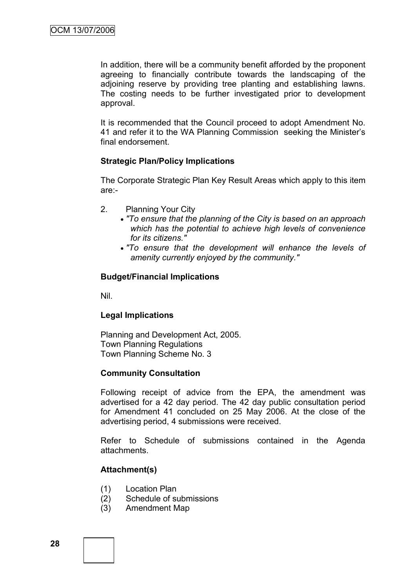In addition, there will be a community benefit afforded by the proponent agreeing to financially contribute towards the landscaping of the adjoining reserve by providing tree planting and establishing lawns. The costing needs to be further investigated prior to development approval.

It is recommended that the Council proceed to adopt Amendment No. 41 and refer it to the WA Planning Commission seeking the Minister"s final endorsement.

# **Strategic Plan/Policy Implications**

The Corporate Strategic Plan Key Result Areas which apply to this item are:-

- 2. Planning Your City
	- *"To ensure that the planning of the City is based on an approach which has the potential to achieve high levels of convenience for its citizens."*
	- *"To ensure that the development will enhance the levels of amenity currently enjoyed by the community."*

#### **Budget/Financial Implications**

Nil.

# **Legal Implications**

Planning and Development Act, 2005. Town Planning Regulations Town Planning Scheme No. 3

#### **Community Consultation**

Following receipt of advice from the EPA, the amendment was advertised for a 42 day period. The 42 day public consultation period for Amendment 41 concluded on 25 May 2006. At the close of the advertising period, 4 submissions were received.

Refer to Schedule of submissions contained in the Agenda attachments.

# **Attachment(s)**

- (1) Location Plan
- (2) Schedule of submissions
- (3) Amendment Map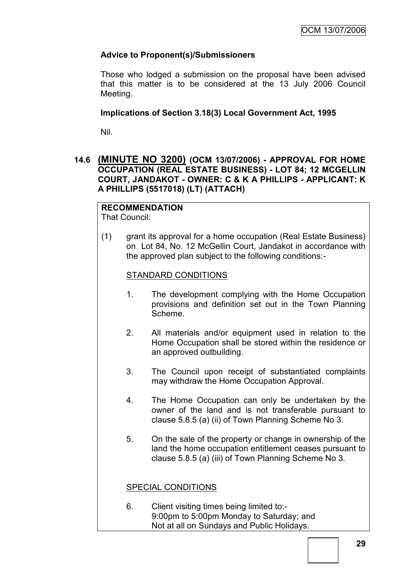# **Advice to Proponent(s)/Submissioners**

Those who lodged a submission on the proposal have been advised that this matter is to be considered at the 13 July 2006 Council Meeting.

# **Implications of Section 3.18(3) Local Government Act, 1995**

Nil.

# **14.6 (MINUTE NO 3200) (OCM 13/07/2006) - APPROVAL FOR HOME OCCUPATION (REAL ESTATE BUSINESS) - LOT 84; 12 MCGELLIN COURT, JANDAKOT - OWNER: C & K A PHILLIPS - APPLICANT: K A PHILLIPS (5517018) (LT) (ATTACH)**

# **RECOMMENDATION**

That Council:

(1) grant its approval for a home occupation (Real Estate Business) on Lot 84, No. 12 McGellin Court, Jandakot in accordance with the approved plan subject to the following conditions:-

# STANDARD CONDITIONS

- 1. The development complying with the Home Occupation provisions and definition set out in the Town Planning Scheme.
- 2. All materials and/or equipment used in relation to the Home Occupation shall be stored within the residence or an approved outbuilding.
- 3. The Council upon receipt of substantiated complaints may withdraw the Home Occupation Approval.
- 4. The Home Occupation can only be undertaken by the owner of the land and is not transferable pursuant to clause 5.8.5 (a) (ii) of Town Planning Scheme No 3.
- 5. On the sale of the property or change in ownership of the land the home occupation entitlement ceases pursuant to clause 5.8.5 (a) (iii) of Town Planning Scheme No 3.

# SPECIAL CONDITIONS

6. Client visiting times being limited to:- 9:00pm to 5:00pm Monday to Saturday; and Not at all on Sundays and Public Holidays.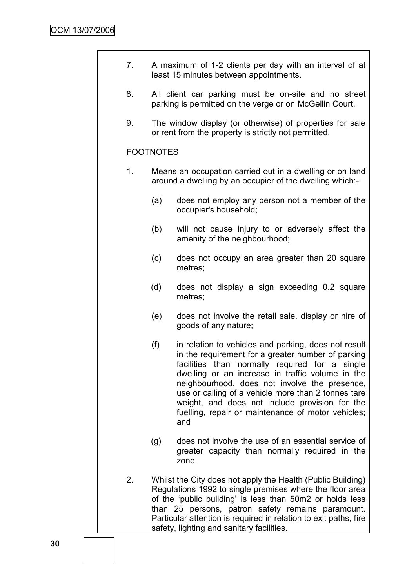| A maximum of 1-2 clients per day with an interval of at |  |  |
|---------------------------------------------------------|--|--|
| least 15 minutes between appointments.                  |  |  |

- 8. All client car parking must be on-site and no street parking is permitted on the verge or on McGellin Court.
- 9. The window display (or otherwise) of properties for sale or rent from the property is strictly not permitted.

# FOOTNOTES

- 1. Means an occupation carried out in a dwelling or on land around a dwelling by an occupier of the dwelling which:-
	- (a) does not employ any person not a member of the occupier's household;
	- (b) will not cause injury to or adversely affect the amenity of the neighbourhood;
	- (c) does not occupy an area greater than 20 square metres;
	- (d) does not display a sign exceeding 0.2 square metres;
	- (e) does not involve the retail sale, display or hire of goods of any nature;
	- (f) in relation to vehicles and parking, does not result in the requirement for a greater number of parking facilities than normally required for a single dwelling or an increase in traffic volume in the neighbourhood, does not involve the presence, use or calling of a vehicle more than 2 tonnes tare weight, and does not include provision for the fuelling, repair or maintenance of motor vehicles; and
	- (g) does not involve the use of an essential service of greater capacity than normally required in the zone.
- 2. Whilst the City does not apply the Health (Public Building) Regulations 1992 to single premises where the floor area of the "public building" is less than 50m2 or holds less than 25 persons, patron safety remains paramount. Particular attention is required in relation to exit paths, fire safety, lighting and sanitary facilities.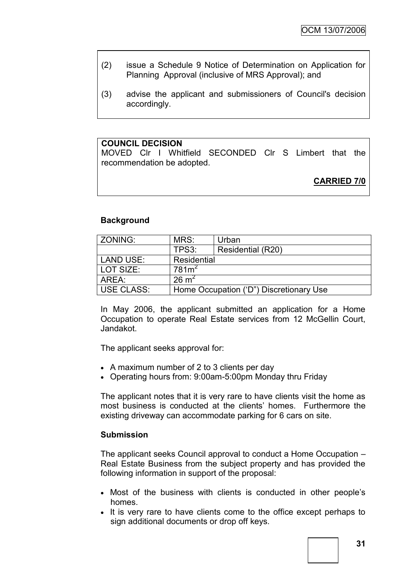- (2) issue a Schedule 9 Notice of Determination on Application for Planning Approval (inclusive of MRS Approval); and
- (3) advise the applicant and submissioners of Council's decision accordingly.

# **COUNCIL DECISION**

MOVED Clr I Whitfield SECONDED Clr S Limbert that the recommendation be adopted.

**CARRIED 7/0**

#### **Background**

| ZONING:           | MRS:                                    | Urban             |
|-------------------|-----------------------------------------|-------------------|
|                   | TPS3:                                   | Residential (R20) |
| LAND USE:         | Residential                             |                   |
| LOT SIZE:         | 781m <sup>2</sup>                       |                   |
| AREA:             | $26 \text{ m}^2$                        |                   |
| <b>USE CLASS:</b> | Home Occupation ('D") Discretionary Use |                   |

In May 2006, the applicant submitted an application for a Home Occupation to operate Real Estate services from 12 McGellin Court, Jandakot.

The applicant seeks approval for:

- A maximum number of 2 to 3 clients per day
- Operating hours from: 9:00am-5:00pm Monday thru Friday

The applicant notes that it is very rare to have clients visit the home as most business is conducted at the clients" homes. Furthermore the existing driveway can accommodate parking for 6 cars on site.

#### **Submission**

The applicant seeks Council approval to conduct a Home Occupation – Real Estate Business from the subject property and has provided the following information in support of the proposal:

- Most of the business with clients is conducted in other people"s homes.
- It is very rare to have clients come to the office except perhaps to sign additional documents or drop off keys.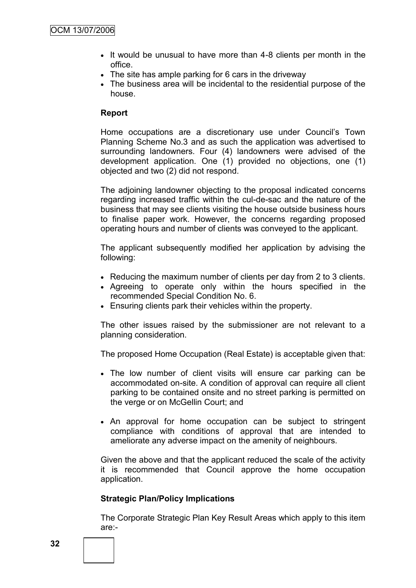- If would be unusual to have more than 4-8 clients per month in the office.
- The site has ample parking for 6 cars in the driveway
- The business area will be incidental to the residential purpose of the house.

#### **Report**

Home occupations are a discretionary use under Council's Town Planning Scheme No.3 and as such the application was advertised to surrounding landowners. Four (4) landowners were advised of the development application. One (1) provided no objections, one (1) objected and two (2) did not respond.

The adjoining landowner objecting to the proposal indicated concerns regarding increased traffic within the cul-de-sac and the nature of the business that may see clients visiting the house outside business hours to finalise paper work. However, the concerns regarding proposed operating hours and number of clients was conveyed to the applicant.

The applicant subsequently modified her application by advising the following:

- Reducing the maximum number of clients per day from 2 to 3 clients.
- Agreeing to operate only within the hours specified in the recommended Special Condition No. 6.
- Ensuring clients park their vehicles within the property.

The other issues raised by the submissioner are not relevant to a planning consideration.

The proposed Home Occupation (Real Estate) is acceptable given that:

- The low number of client visits will ensure car parking can be accommodated on-site. A condition of approval can require all client parking to be contained onsite and no street parking is permitted on the verge or on McGellin Court; and
- An approval for home occupation can be subject to stringent compliance with conditions of approval that are intended to ameliorate any adverse impact on the amenity of neighbours.

Given the above and that the applicant reduced the scale of the activity it is recommended that Council approve the home occupation application.

# **Strategic Plan/Policy Implications**

The Corporate Strategic Plan Key Result Areas which apply to this item are:-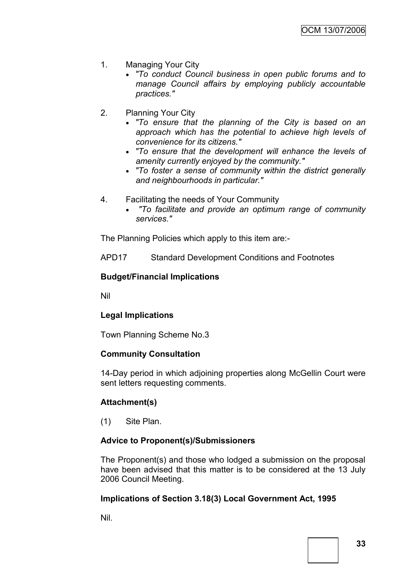- 1. Managing Your City
	- *"To conduct Council business in open public forums and to manage Council affairs by employing publicly accountable practices."*
- 2. Planning Your City
	- *"To ensure that the planning of the City is based on an approach which has the potential to achieve high levels of convenience for its citizens."*
	- *"To ensure that the development will enhance the levels of amenity currently enjoyed by the community."*
	- *"To foster a sense of community within the district generally and neighbourhoods in particular."*
- 4. Facilitating the needs of Your Community
	- *"To facilitate and provide an optimum range of community services."*

The Planning Policies which apply to this item are:-

APD17 Standard Development Conditions and Footnotes

#### **Budget/Financial Implications**

Nil

### **Legal Implications**

Town Planning Scheme No.3

### **Community Consultation**

14-Day period in which adjoining properties along McGellin Court were sent letters requesting comments.

### **Attachment(s)**

(1) Site Plan.

### **Advice to Proponent(s)/Submissioners**

The Proponent(s) and those who lodged a submission on the proposal have been advised that this matter is to be considered at the 13 July 2006 Council Meeting.

### **Implications of Section 3.18(3) Local Government Act, 1995**

Nil.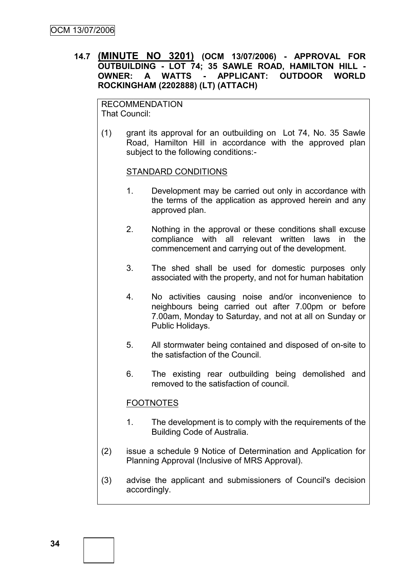### **14.7 (MINUTE NO 3201) (OCM 13/07/2006) - APPROVAL FOR OUTBUILDING - LOT 74; 35 SAWLE ROAD, HAMILTON HILL - OWNER: A WATTS - APPLICANT: OUTDOOR WORLD ROCKINGHAM (2202888) (LT) (ATTACH)**

RECOMMENDATION That Council:

(1) grant its approval for an outbuilding on Lot 74, No. 35 Sawle Road, Hamilton Hill in accordance with the approved plan subject to the following conditions:-

#### STANDARD CONDITIONS

- 1. Development may be carried out only in accordance with the terms of the application as approved herein and any approved plan.
- 2. Nothing in the approval or these conditions shall excuse compliance with all relevant written laws in the commencement and carrying out of the development.
- 3. The shed shall be used for domestic purposes only associated with the property, and not for human habitation
- 4. No activities causing noise and/or inconvenience to neighbours being carried out after 7.00pm or before 7.00am, Monday to Saturday, and not at all on Sunday or Public Holidays.
- 5. All stormwater being contained and disposed of on-site to the satisfaction of the Council.
- 6. The existing rear outbuilding being demolished and removed to the satisfaction of council.

## FOOTNOTES

- 1. The development is to comply with the requirements of the Building Code of Australia.
- (2) issue a schedule 9 Notice of Determination and Application for Planning Approval (Inclusive of MRS Approval).
- (3) advise the applicant and submissioners of Council's decision accordingly.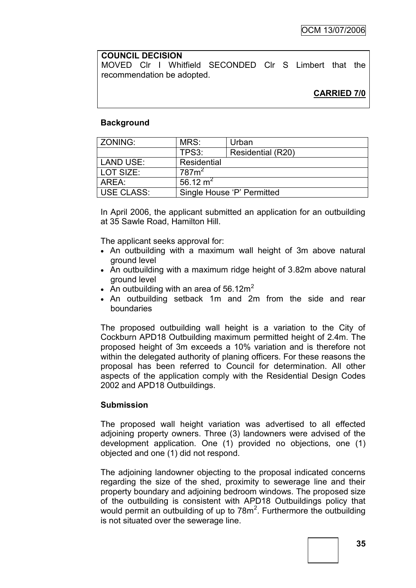#### **COUNCIL DECISION**

MOVED Clr I Whitfield SECONDED Clr S Limbert that the recommendation be adopted.

### **Background**

| ZONING:    | MRS:                       | Urban             |  |
|------------|----------------------------|-------------------|--|
|            | TPS3:                      | Residential (R20) |  |
| LAND USE:  | Residential                |                   |  |
| LOT SIZE:  | 787m <sup>2</sup>          |                   |  |
| l AREA:    | 56.12 $m2$                 |                   |  |
| USE CLASS: | Single House 'P' Permitted |                   |  |

In April 2006, the applicant submitted an application for an outbuilding at 35 Sawle Road, Hamilton Hill.

The applicant seeks approval for:

- An outbuilding with a maximum wall height of 3m above natural ground level
- An outbuilding with a maximum ridge height of 3.82m above natural ground level
- An outbuilding with an area of 56.12 $m<sup>2</sup>$
- An outbuilding setback 1m and 2m from the side and rear boundaries

The proposed outbuilding wall height is a variation to the City of Cockburn APD18 Outbuilding maximum permitted height of 2.4m. The proposed height of 3m exceeds a 10% variation and is therefore not within the delegated authority of planing officers. For these reasons the proposal has been referred to Council for determination. All other aspects of the application comply with the Residential Design Codes 2002 and APD18 Outbuildings.

### **Submission**

The proposed wall height variation was advertised to all effected adjoining property owners. Three (3) landowners were advised of the development application. One (1) provided no objections, one (1) objected and one (1) did not respond.

The adjoining landowner objecting to the proposal indicated concerns regarding the size of the shed, proximity to sewerage line and their property boundary and adjoining bedroom windows. The proposed size of the outbuilding is consistent with APD18 Outbuildings policy that would permit an outbuilding of up to  $78m^2$ . Furthermore the outbuilding is not situated over the sewerage line.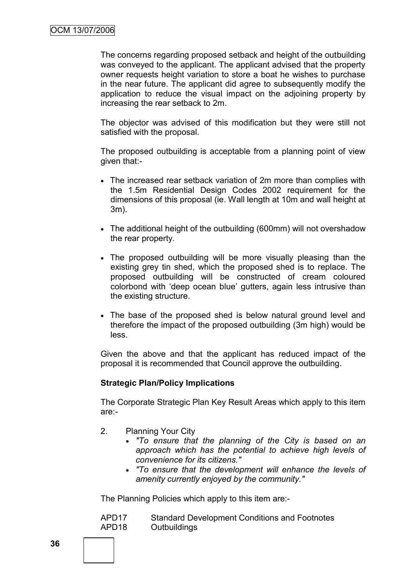The concerns regarding proposed setback and height of the outbuilding was conveyed to the applicant. The applicant advised that the property owner requests height variation to store a boat he wishes to purchase in the near future. The applicant did agree to subsequently modify the application to reduce the visual impact on the adjoining property by increasing the rear setback to 2m.

The objector was advised of this modification but they were still not satisfied with the proposal.

The proposed outbuilding is acceptable from a planning point of view given that:-

- The increased rear setback variation of 2m more than complies with the 1.5m Residential Design Codes 2002 requirement for the dimensions of this proposal (ie. Wall length at 10m and wall height at 3m).
- The additional height of the outbuilding (600mm) will not overshadow the rear property.
- The proposed outbuilding will be more visually pleasing than the existing grey tin shed, which the proposed shed is to replace. The proposed outbuilding will be constructed of cream coloured colorbond with "deep ocean blue" gutters, again less intrusive than the existing structure.
- The base of the proposed shed is below natural ground level and therefore the impact of the proposed outbuilding (3m high) would be less.

Given the above and that the applicant has reduced impact of the proposal it is recommended that Council approve the outbuilding.

### **Strategic Plan/Policy Implications**

The Corporate Strategic Plan Key Result Areas which apply to this item are:-

- 2. Planning Your City
	- *"To ensure that the planning of the City is based on an approach which has the potential to achieve high levels of convenience for its citizens."*
	- *"To ensure that the development will enhance the levels of amenity currently enjoyed by the community."*

The Planning Policies which apply to this item are:-

| APD <sub>17</sub> | <b>Standard Development Conditions and Footnotes</b> |
|-------------------|------------------------------------------------------|
| APD <sub>18</sub> | Outbuildings                                         |

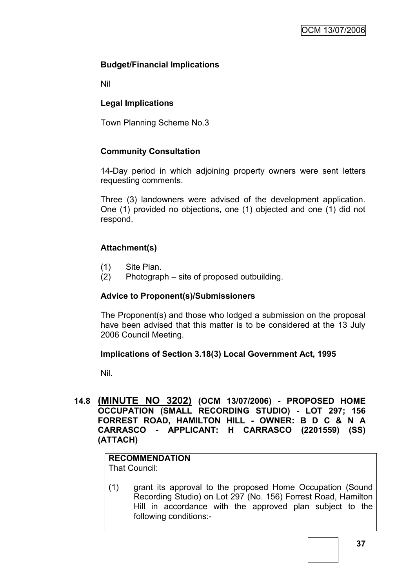## **Budget/Financial Implications**

Nil

## **Legal Implications**

Town Planning Scheme No.3

## **Community Consultation**

14-Day period in which adjoining property owners were sent letters requesting comments.

Three (3) landowners were advised of the development application. One (1) provided no objections, one (1) objected and one (1) did not respond.

## **Attachment(s)**

- (1) Site Plan.
- (2) Photograph site of proposed outbuilding.

## **Advice to Proponent(s)/Submissioners**

The Proponent(s) and those who lodged a submission on the proposal have been advised that this matter is to be considered at the 13 July 2006 Council Meeting.

## **Implications of Section 3.18(3) Local Government Act, 1995**

Nil.

**14.8 (MINUTE NO 3202) (OCM 13/07/2006) - PROPOSED HOME OCCUPATION (SMALL RECORDING STUDIO) - LOT 297; 156 FORREST ROAD, HAMILTON HILL - OWNER: B D C & N A CARRASCO - APPLICANT: H CARRASCO (2201559) (SS) (ATTACH)**

#### **RECOMMENDATION** That Council:

(1) grant its approval to the proposed Home Occupation (Sound Recording Studio) on Lot 297 (No. 156) Forrest Road, Hamilton Hill in accordance with the approved plan subject to the following conditions:-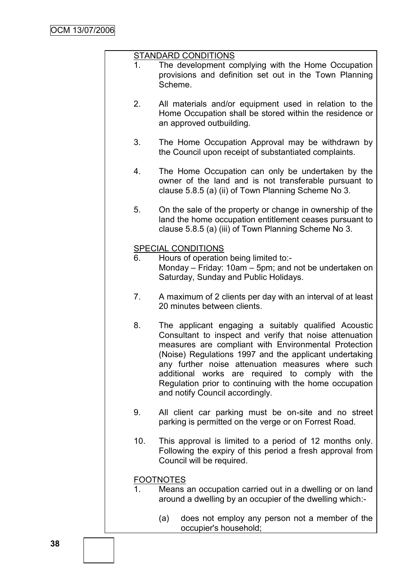#### STANDARD CONDITIONS

- 1. The development complying with the Home Occupation provisions and definition set out in the Town Planning Scheme.
- 2. All materials and/or equipment used in relation to the Home Occupation shall be stored within the residence or an approved outbuilding.
- 3. The Home Occupation Approval may be withdrawn by the Council upon receipt of substantiated complaints.
- 4. The Home Occupation can only be undertaken by the owner of the land and is not transferable pursuant to clause 5.8.5 (a) (ii) of Town Planning Scheme No 3.
- 5. On the sale of the property or change in ownership of the land the home occupation entitlement ceases pursuant to clause 5.8.5 (a) (iii) of Town Planning Scheme No 3.

#### SPECIAL CONDITIONS

- 6. Hours of operation being limited to:- Monday – Friday: 10am – 5pm; and not be undertaken on Saturday, Sunday and Public Holidays.
- 7. A maximum of 2 clients per day with an interval of at least 20 minutes between clients.
- 8. The applicant engaging a suitably qualified Acoustic Consultant to inspect and verify that noise attenuation measures are compliant with Environmental Protection (Noise) Regulations 1997 and the applicant undertaking any further noise attenuation measures where such additional works are required to comply with the Regulation prior to continuing with the home occupation and notify Council accordingly.
- 9. All client car parking must be on-site and no street parking is permitted on the verge or on Forrest Road.
- 10. This approval is limited to a period of 12 months only. Following the expiry of this period a fresh approval from Council will be required.

### FOOTNOTES

- 1. Means an occupation carried out in a dwelling or on land around a dwelling by an occupier of the dwelling which:-
	- (a) does not employ any person not a member of the occupier's household;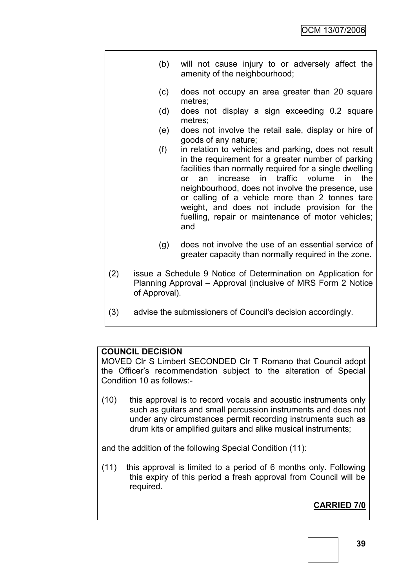- (b) will not cause injury to or adversely affect the amenity of the neighbourhood;
	- (c) does not occupy an area greater than 20 square metres;
	- (d) does not display a sign exceeding 0.2 square metres;
- (e) does not involve the retail sale, display or hire of goods of any nature;
- (f) in relation to vehicles and parking, does not result in the requirement for a greater number of parking facilities than normally required for a single dwelling or an increase in traffic volume in the neighbourhood, does not involve the presence, use or calling of a vehicle more than 2 tonnes tare weight, and does not include provision for the fuelling, repair or maintenance of motor vehicles; and
- (g) does not involve the use of an essential service of greater capacity than normally required in the zone.
- (2) issue a Schedule 9 Notice of Determination on Application for Planning Approval – Approval (inclusive of MRS Form 2 Notice of Approval).
- (3) advise the submissioners of Council's decision accordingly.

### **COUNCIL DECISION**

MOVED Clr S Limbert SECONDED Clr T Romano that Council adopt the Officer"s recommendation subject to the alteration of Special Condition 10 as follows:-

(10) this approval is to record vocals and acoustic instruments only such as guitars and small percussion instruments and does not under any circumstances permit recording instruments such as drum kits or amplified guitars and alike musical instruments;

and the addition of the following Special Condition (11):

(11) this approval is limited to a period of 6 months only. Following this expiry of this period a fresh approval from Council will be required.

## **CARRIED 7/0**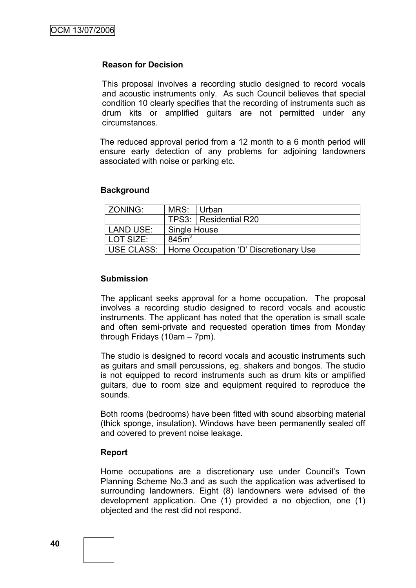#### **Reason for Decision**

This proposal involves a recording studio designed to record vocals and acoustic instruments only. As such Council believes that special condition 10 clearly specifies that the recording of instruments such as drum kits or amplified guitars are not permitted under any circumstances.

The reduced approval period from a 12 month to a 6 month period will ensure early detection of any problems for adjoining landowners associated with noise or parking etc.

#### **Background**

| <b>ZONING:</b> | MRS: Urban                            |                         |  |
|----------------|---------------------------------------|-------------------------|--|
|                |                                       | TPS3:   Residential R20 |  |
| LAND USE:      | Single House                          |                         |  |
| LOT SIZE:      | 845m <sup>2</sup>                     |                         |  |
| USE CLASS:     | Home Occupation 'D' Discretionary Use |                         |  |

#### **Submission**

The applicant seeks approval for a home occupation. The proposal involves a recording studio designed to record vocals and acoustic instruments. The applicant has noted that the operation is small scale and often semi-private and requested operation times from Monday through Fridays (10am – 7pm).

The studio is designed to record vocals and acoustic instruments such as guitars and small percussions, eg. shakers and bongos. The studio is not equipped to record instruments such as drum kits or amplified guitars, due to room size and equipment required to reproduce the sounds.

Both rooms (bedrooms) have been fitted with sound absorbing material (thick sponge, insulation). Windows have been permanently sealed off and covered to prevent noise leakage.

### **Report**

Home occupations are a discretionary use under Council's Town Planning Scheme No.3 and as such the application was advertised to surrounding landowners. Eight (8) landowners were advised of the development application. One (1) provided a no objection, one (1) objected and the rest did not respond.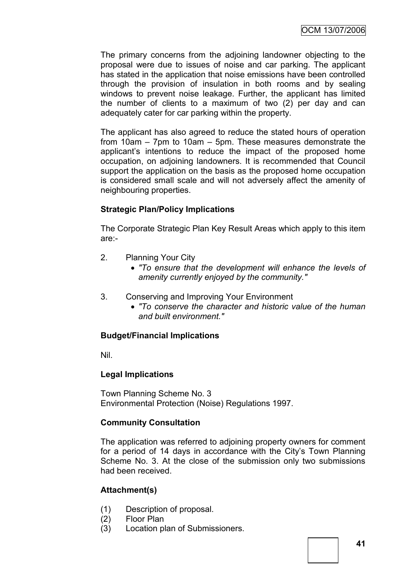The primary concerns from the adjoining landowner objecting to the proposal were due to issues of noise and car parking. The applicant has stated in the application that noise emissions have been controlled through the provision of insulation in both rooms and by sealing windows to prevent noise leakage. Further, the applicant has limited the number of clients to a maximum of two (2) per day and can adequately cater for car parking within the property.

The applicant has also agreed to reduce the stated hours of operation from 10am – 7pm to 10am – 5pm. These measures demonstrate the applicant"s intentions to reduce the impact of the proposed home occupation, on adjoining landowners. It is recommended that Council support the application on the basis as the proposed home occupation is considered small scale and will not adversely affect the amenity of neighbouring properties.

## **Strategic Plan/Policy Implications**

The Corporate Strategic Plan Key Result Areas which apply to this item are:-

- 2. Planning Your City
	- *"To ensure that the development will enhance the levels of amenity currently enjoyed by the community."*
- 3. Conserving and Improving Your Environment
	- *"To conserve the character and historic value of the human and built environment."*

## **Budget/Financial Implications**

Nil.

### **Legal Implications**

Town Planning Scheme No. 3 Environmental Protection (Noise) Regulations 1997.

### **Community Consultation**

The application was referred to adjoining property owners for comment for a period of 14 days in accordance with the City's Town Planning Scheme No. 3. At the close of the submission only two submissions had been received.

## **Attachment(s)**

- (1) Description of proposal.
- (2) Floor Plan
- (3) Location plan of Submissioners.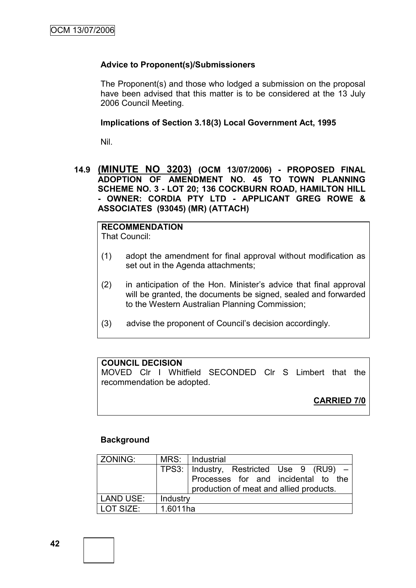### **Advice to Proponent(s)/Submissioners**

The Proponent(s) and those who lodged a submission on the proposal have been advised that this matter is to be considered at the 13 July 2006 Council Meeting.

### **Implications of Section 3.18(3) Local Government Act, 1995**

Nil.

### **14.9 (MINUTE NO 3203) (OCM 13/07/2006) - PROPOSED FINAL ADOPTION OF AMENDMENT NO. 45 TO TOWN PLANNING SCHEME NO. 3 - LOT 20; 136 COCKBURN ROAD, HAMILTON HILL - OWNER: CORDIA PTY LTD - APPLICANT GREG ROWE & ASSOCIATES (93045) (MR) (ATTACH)**

# **RECOMMENDATION**

That Council:

- (1) adopt the amendment for final approval without modification as set out in the Agenda attachments;
- (2) in anticipation of the Hon. Minister"s advice that final approval will be granted, the documents be signed, sealed and forwarded to the Western Australian Planning Commission;
- (3) advise the proponent of Council"s decision accordingly.

### **COUNCIL DECISION**

MOVED Clr I Whitfield SECONDED Clr S Limbert that the recommendation be adopted.

## **CARRIED 7/0**

## **Background**

| ZONING:          |          | MRS: Industrial                              |
|------------------|----------|----------------------------------------------|
|                  |          | TPS3:   Industry, Restricted Use 9 (RU9) $-$ |
|                  |          | Processes for and incidental to the          |
|                  |          | production of meat and allied products.      |
| <b>LAND USE:</b> | Industry |                                              |
| LOT SIZE:        | 1.6011ha |                                              |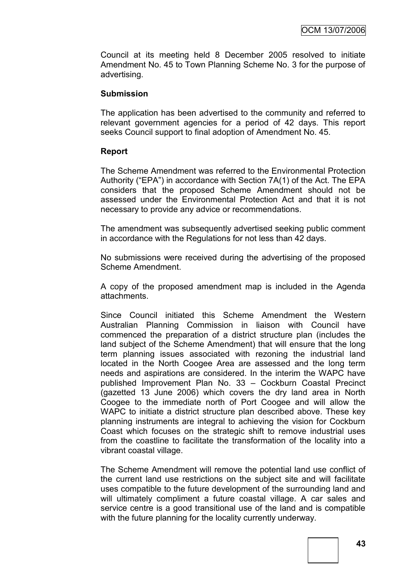Council at its meeting held 8 December 2005 resolved to initiate Amendment No. 45 to Town Planning Scheme No. 3 for the purpose of advertising.

#### **Submission**

The application has been advertised to the community and referred to relevant government agencies for a period of 42 days. This report seeks Council support to final adoption of Amendment No. 45.

### **Report**

The Scheme Amendment was referred to the Environmental Protection Authority ("EPA") in accordance with Section 7A(1) of the Act. The EPA considers that the proposed Scheme Amendment should not be assessed under the Environmental Protection Act and that it is not necessary to provide any advice or recommendations.

The amendment was subsequently advertised seeking public comment in accordance with the Regulations for not less than 42 days.

No submissions were received during the advertising of the proposed Scheme Amendment.

A copy of the proposed amendment map is included in the Agenda attachments.

Since Council initiated this Scheme Amendment the Western Australian Planning Commission in liaison with Council have commenced the preparation of a district structure plan (includes the land subject of the Scheme Amendment) that will ensure that the long term planning issues associated with rezoning the industrial land located in the North Coogee Area are assessed and the long term needs and aspirations are considered. In the interim the WAPC have published Improvement Plan No. 33 – Cockburn Coastal Precinct (gazetted 13 June 2006) which covers the dry land area in North Coogee to the immediate north of Port Coogee and will allow the WAPC to initiate a district structure plan described above. These key planning instruments are integral to achieving the vision for Cockburn Coast which focuses on the strategic shift to remove industrial uses from the coastline to facilitate the transformation of the locality into a vibrant coastal village.

The Scheme Amendment will remove the potential land use conflict of the current land use restrictions on the subject site and will facilitate uses compatible to the future development of the surrounding land and will ultimately compliment a future coastal village. A car sales and service centre is a good transitional use of the land and is compatible with the future planning for the locality currently underway.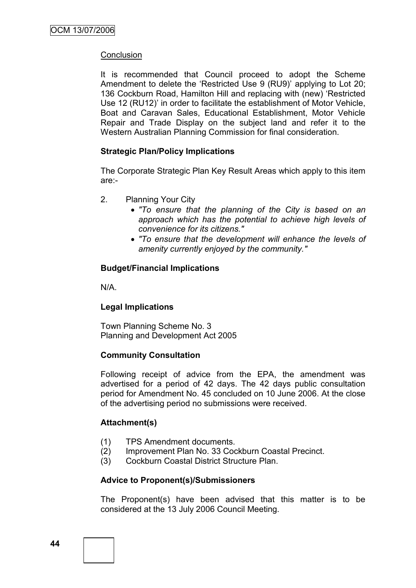### **Conclusion**

It is recommended that Council proceed to adopt the Scheme Amendment to delete the "Restricted Use 9 (RU9)" applying to Lot 20; 136 Cockburn Road, Hamilton Hill and replacing with (new) "Restricted Use 12 (RU12)" in order to facilitate the establishment of Motor Vehicle, Boat and Caravan Sales, Educational Establishment, Motor Vehicle Repair and Trade Display on the subject land and refer it to the Western Australian Planning Commission for final consideration.

### **Strategic Plan/Policy Implications**

The Corporate Strategic Plan Key Result Areas which apply to this item are:-

- 2. Planning Your City
	- *"To ensure that the planning of the City is based on an approach which has the potential to achieve high levels of convenience for its citizens."*
	- *"To ensure that the development will enhance the levels of amenity currently enjoyed by the community."*

### **Budget/Financial Implications**

N/A.

## **Legal Implications**

Town Planning Scheme No. 3 Planning and Development Act 2005

## **Community Consultation**

Following receipt of advice from the EPA, the amendment was advertised for a period of 42 days. The 42 days public consultation period for Amendment No. 45 concluded on 10 June 2006. At the close of the advertising period no submissions were received.

### **Attachment(s)**

- (1) TPS Amendment documents.
- (2) Improvement Plan No. 33 Cockburn Coastal Precinct.
- (3) Cockburn Coastal District Structure Plan.

## **Advice to Proponent(s)/Submissioners**

The Proponent(s) have been advised that this matter is to be considered at the 13 July 2006 Council Meeting.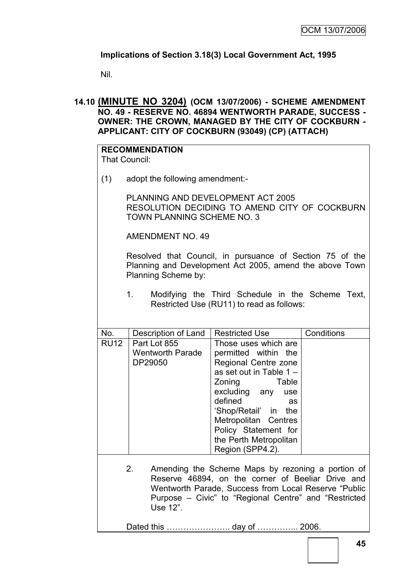## **Implications of Section 3.18(3) Local Government Act, 1995**

Nil.

**14.10 (MINUTE NO 3204) (OCM 13/07/2006) - SCHEME AMENDMENT NO. 49 - RESERVE NO. 46894 WENTWORTH PARADE, SUCCESS - OWNER: THE CROWN, MANAGED BY THE CITY OF COCKBURN - APPLICANT: CITY OF COCKBURN (93049) (CP) (ATTACH)**

| <b>That Council:</b>                                                                                                                                                                                                                      | <b>RECOMMENDATION</b>                                                                                                                                                                                                                             |                                                                                                                                                                                                                                                                                      |            |  |  |
|-------------------------------------------------------------------------------------------------------------------------------------------------------------------------------------------------------------------------------------------|---------------------------------------------------------------------------------------------------------------------------------------------------------------------------------------------------------------------------------------------------|--------------------------------------------------------------------------------------------------------------------------------------------------------------------------------------------------------------------------------------------------------------------------------------|------------|--|--|
| (1)                                                                                                                                                                                                                                       | adopt the following amendment:-                                                                                                                                                                                                                   |                                                                                                                                                                                                                                                                                      |            |  |  |
|                                                                                                                                                                                                                                           | PLANNING AND DEVELOPMENT ACT 2005<br>RESOLUTION DECIDING TO AMEND CITY OF COCKBURN<br><b>TOWN PLANNING SCHEME NO. 3</b>                                                                                                                           |                                                                                                                                                                                                                                                                                      |            |  |  |
|                                                                                                                                                                                                                                           | <b>AMENDMENT NO. 49</b>                                                                                                                                                                                                                           |                                                                                                                                                                                                                                                                                      |            |  |  |
|                                                                                                                                                                                                                                           | Resolved that Council, in pursuance of Section 75 of the<br>Planning and Development Act 2005, amend the above Town<br>Planning Scheme by:<br>1.<br>Modifying the Third Schedule in the Scheme Text,<br>Restricted Use (RU11) to read as follows: |                                                                                                                                                                                                                                                                                      |            |  |  |
| No.                                                                                                                                                                                                                                       |                                                                                                                                                                                                                                                   | <b>Restricted Use</b>                                                                                                                                                                                                                                                                | Conditions |  |  |
| <b>RU12</b>                                                                                                                                                                                                                               | Description of Land<br>Part Lot 855<br><b>Wentworth Parade</b><br>DP29050                                                                                                                                                                         | Those uses which are<br>permitted within the<br>Regional Centre zone<br>as set out in Table 1 -<br>Zoning<br>Table<br>excluding any<br>use<br>defined<br>as<br>'Shop/Retail' in<br>the<br>Metropolitan Centres<br>Policy Statement for<br>the Perth Metropolitan<br>Region (SPP4.2). |            |  |  |
| Amending the Scheme Maps by rezoning a portion of<br>2.<br>Reserve 46894, on the corner of Beeliar Drive and<br>Wentworth Parade, Success from Local Reserve "Public<br>Purpose - Civic" to "Regional Centre" and "Restricted<br>Use 12". |                                                                                                                                                                                                                                                   |                                                                                                                                                                                                                                                                                      |            |  |  |
|                                                                                                                                                                                                                                           |                                                                                                                                                                                                                                                   |                                                                                                                                                                                                                                                                                      |            |  |  |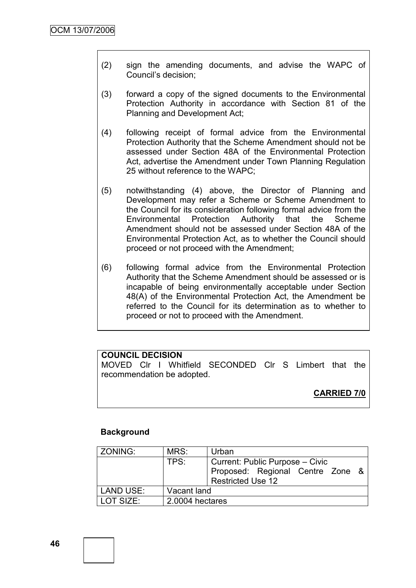- (2) sign the amending documents, and advise the WAPC of Council"s decision;
- (3) forward a copy of the signed documents to the Environmental Protection Authority in accordance with Section 81 of the Planning and Development Act;
- (4) following receipt of formal advice from the Environmental Protection Authority that the Scheme Amendment should not be assessed under Section 48A of the Environmental Protection Act, advertise the Amendment under Town Planning Regulation 25 without reference to the WAPC;
- (5) notwithstanding (4) above, the Director of Planning and Development may refer a Scheme or Scheme Amendment to the Council for its consideration following formal advice from the Environmental Protection Authority that the Scheme Amendment should not be assessed under Section 48A of the Environmental Protection Act, as to whether the Council should proceed or not proceed with the Amendment;
- (6) following formal advice from the Environmental Protection Authority that the Scheme Amendment should be assessed or is incapable of being environmentally acceptable under Section 48(A) of the Environmental Protection Act, the Amendment be referred to the Council for its determination as to whether to proceed or not to proceed with the Amendment.

### **COUNCIL DECISION**

MOVED Clr I Whitfield SECONDED Clr S Limbert that the recommendation be adopted.

## **CARRIED 7/0**

#### **Background**

| ZONING:   | MRS:            | Urban                            |  |  |  |
|-----------|-----------------|----------------------------------|--|--|--|
|           | TPS:            | Current: Public Purpose – Civic  |  |  |  |
|           |                 | Proposed: Regional Centre Zone & |  |  |  |
|           |                 | Restricted Use 12                |  |  |  |
| LAND USE: | Vacant land     |                                  |  |  |  |
| LOT SIZE: | 2.0004 hectares |                                  |  |  |  |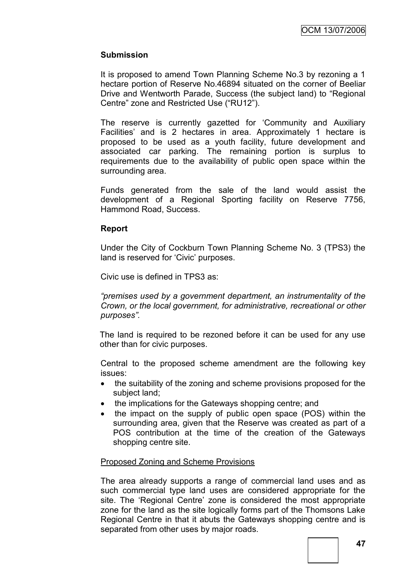### **Submission**

It is proposed to amend Town Planning Scheme No.3 by rezoning a 1 hectare portion of Reserve No.46894 situated on the corner of Beeliar Drive and Wentworth Parade, Success (the subject land) to "Regional Centre" zone and Restricted Use ("RU12").

The reserve is currently gazetted for "Community and Auxiliary Facilities' and is 2 hectares in area. Approximately 1 hectare is proposed to be used as a youth facility, future development and associated car parking. The remaining portion is surplus to requirements due to the availability of public open space within the surrounding area.

Funds generated from the sale of the land would assist the development of a Regional Sporting facility on Reserve 7756, Hammond Road, Success.

#### **Report**

Under the City of Cockburn Town Planning Scheme No. 3 (TPS3) the land is reserved for 'Civic' purposes.

Civic use is defined in TPS3 as:

*"premises used by a government department, an instrumentality of the Crown, or the local government, for administrative, recreational or other purposes".*

The land is required to be rezoned before it can be used for any use other than for civic purposes.

Central to the proposed scheme amendment are the following key issues:

- the suitability of the zoning and scheme provisions proposed for the subject land;
- the implications for the Gateways shopping centre; and
- the impact on the supply of public open space (POS) within the surrounding area, given that the Reserve was created as part of a POS contribution at the time of the creation of the Gateways shopping centre site.

### Proposed Zoning and Scheme Provisions

The area already supports a range of commercial land uses and as such commercial type land uses are considered appropriate for the site. The 'Regional Centre' zone is considered the most appropriate zone for the land as the site logically forms part of the Thomsons Lake Regional Centre in that it abuts the Gateways shopping centre and is separated from other uses by major roads.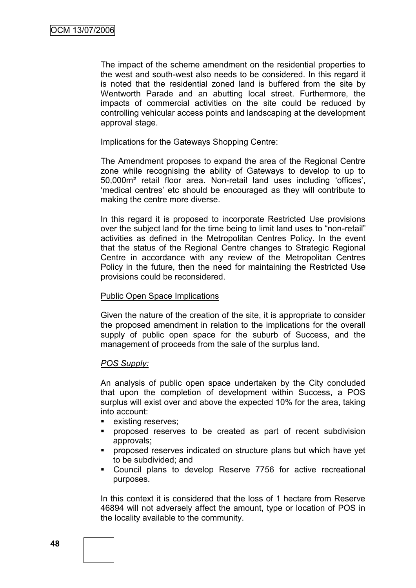The impact of the scheme amendment on the residential properties to the west and south-west also needs to be considered. In this regard it is noted that the residential zoned land is buffered from the site by Wentworth Parade and an abutting local street. Furthermore, the impacts of commercial activities on the site could be reduced by controlling vehicular access points and landscaping at the development approval stage.

#### Implications for the Gateways Shopping Centre:

The Amendment proposes to expand the area of the Regional Centre zone while recognising the ability of Gateways to develop to up to 50,000m² retail floor area. Non-retail land uses including "offices", "medical centres" etc should be encouraged as they will contribute to making the centre more diverse.

In this regard it is proposed to incorporate Restricted Use provisions over the subject land for the time being to limit land uses to "non-retail" activities as defined in the Metropolitan Centres Policy. In the event that the status of the Regional Centre changes to Strategic Regional Centre in accordance with any review of the Metropolitan Centres Policy in the future, then the need for maintaining the Restricted Use provisions could be reconsidered.

#### Public Open Space Implications

Given the nature of the creation of the site, it is appropriate to consider the proposed amendment in relation to the implications for the overall supply of public open space for the suburb of Success, and the management of proceeds from the sale of the surplus land.

### *POS Supply:*

An analysis of public open space undertaken by the City concluded that upon the completion of development within Success, a POS surplus will exist over and above the expected 10% for the area, taking into account:

- **existing reserves;**
- proposed reserves to be created as part of recent subdivision approvals;
- proposed reserves indicated on structure plans but which have yet to be subdivided; and
- Council plans to develop Reserve 7756 for active recreational purposes.

In this context it is considered that the loss of 1 hectare from Reserve 46894 will not adversely affect the amount, type or location of POS in the locality available to the community.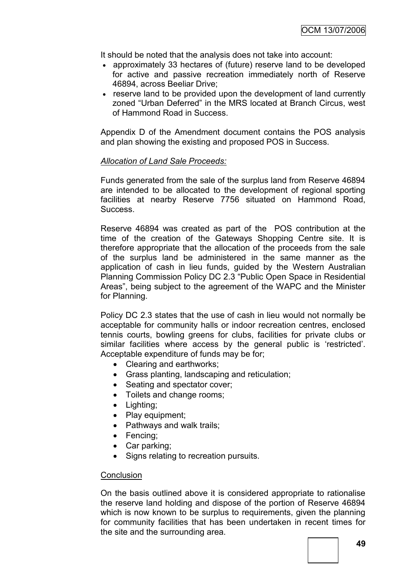It should be noted that the analysis does not take into account:

- approximately 33 hectares of (future) reserve land to be developed for active and passive recreation immediately north of Reserve 46894, across Beeliar Drive;
- reserve land to be provided upon the development of land currently zoned "Urban Deferred" in the MRS located at Branch Circus, west of Hammond Road in Success.

Appendix D of the Amendment document contains the POS analysis and plan showing the existing and proposed POS in Success.

#### *Allocation of Land Sale Proceeds:*

Funds generated from the sale of the surplus land from Reserve 46894 are intended to be allocated to the development of regional sporting facilities at nearby Reserve 7756 situated on Hammond Road, Success.

Reserve 46894 was created as part of the POS contribution at the time of the creation of the Gateways Shopping Centre site. It is therefore appropriate that the allocation of the proceeds from the sale of the surplus land be administered in the same manner as the application of cash in lieu funds, guided by the Western Australian Planning Commission Policy DC 2.3 "Public Open Space in Residential Areas", being subject to the agreement of the WAPC and the Minister for Planning.

Policy DC 2.3 states that the use of cash in lieu would not normally be acceptable for community halls or indoor recreation centres, enclosed tennis courts, bowling greens for clubs, facilities for private clubs or similar facilities where access by the general public is 'restricted'. Acceptable expenditure of funds may be for;

- Clearing and earthworks:
- Grass planting, landscaping and reticulation;
- Seating and spectator cover;
- Toilets and change rooms:
- Lighting;
- Play equipment;
- Pathways and walk trails;
- Fencing:
- Car parking;
- Signs relating to recreation pursuits.

### **Conclusion**

On the basis outlined above it is considered appropriate to rationalise the reserve land holding and dispose of the portion of Reserve 46894 which is now known to be surplus to requirements, given the planning for community facilities that has been undertaken in recent times for the site and the surrounding area.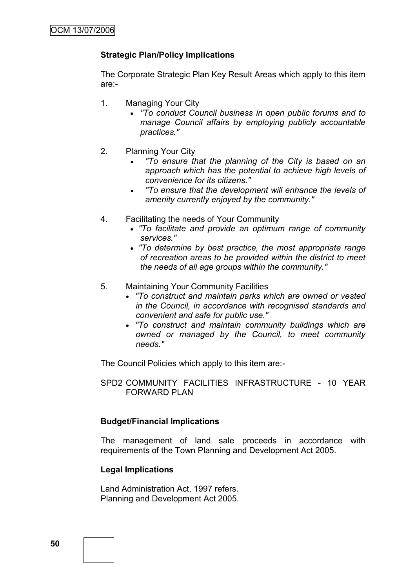### **Strategic Plan/Policy Implications**

The Corporate Strategic Plan Key Result Areas which apply to this item are:-

- 1. Managing Your City
	- *"To conduct Council business in open public forums and to manage Council affairs by employing publicly accountable practices."*
- 2. Planning Your City
	- *"To ensure that the planning of the City is based on an approach which has the potential to achieve high levels of convenience for its citizens."*
	- *"To ensure that the development will enhance the levels of amenity currently enjoyed by the community."*
- 4. Facilitating the needs of Your Community
	- *"To facilitate and provide an optimum range of community services."*
	- *"To determine by best practice, the most appropriate range of recreation areas to be provided within the district to meet the needs of all age groups within the community."*
- 5. Maintaining Your Community Facilities
	- *"To construct and maintain parks which are owned or vested in the Council, in accordance with recognised standards and convenient and safe for public use."*
	- *"To construct and maintain community buildings which are owned or managed by the Council, to meet community needs."*

The Council Policies which apply to this item are:-

SPD2 COMMUNITY FACILITIES INFRASTRUCTURE - 10 YEAR FORWARD PLAN

#### **Budget/Financial Implications**

The management of land sale proceeds in accordance with requirements of the Town Planning and Development Act 2005.

### **Legal Implications**

Land Administration Act, 1997 refers. Planning and Development Act 2005.

**50**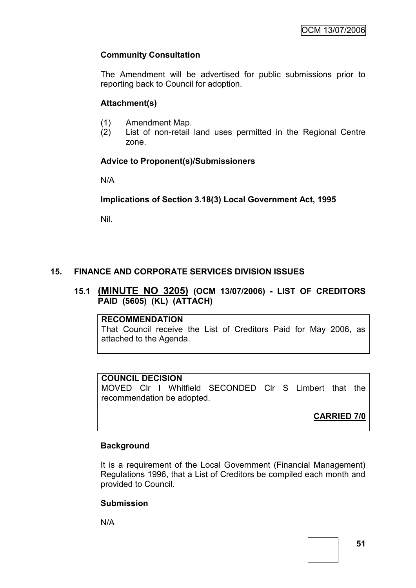## **Community Consultation**

The Amendment will be advertised for public submissions prior to reporting back to Council for adoption.

## **Attachment(s)**

- (1) Amendment Map.
- (2) List of non-retail land uses permitted in the Regional Centre zone.

## **Advice to Proponent(s)/Submissioners**

N/A

**Implications of Section 3.18(3) Local Government Act, 1995**

Nil.

## **15. FINANCE AND CORPORATE SERVICES DIVISION ISSUES**

### **15.1 (MINUTE NO 3205) (OCM 13/07/2006) - LIST OF CREDITORS PAID (5605) (KL) (ATTACH)**

#### **RECOMMENDATION**

That Council receive the List of Creditors Paid for May 2006, as attached to the Agenda.

## **COUNCIL DECISION**

MOVED Clr I Whitfield SECONDED Clr S Limbert that the recommendation be adopted.

## **CARRIED 7/0**

## **Background**

It is a requirement of the Local Government (Financial Management) Regulations 1996, that a List of Creditors be compiled each month and provided to Council.

### **Submission**

N/A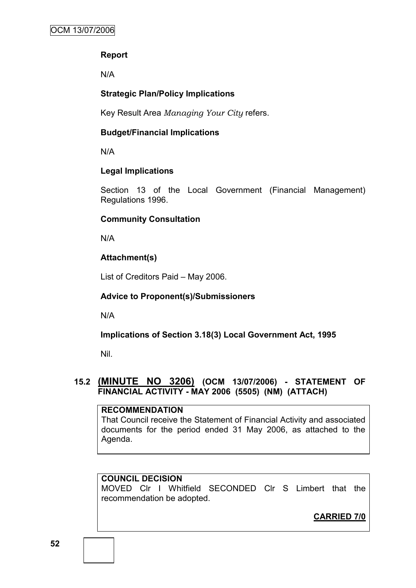## **Report**

N/A

## **Strategic Plan/Policy Implications**

Key Result Area *Managing Your City* refers.

## **Budget/Financial Implications**

N/A

## **Legal Implications**

Section 13 of the Local Government (Financial Management) Regulations 1996.

## **Community Consultation**

N/A

## **Attachment(s)**

List of Creditors Paid – May 2006.

## **Advice to Proponent(s)/Submissioners**

N/A

**Implications of Section 3.18(3) Local Government Act, 1995**

Nil.

## **15.2 (MINUTE NO 3206) (OCM 13/07/2006) - STATEMENT OF FINANCIAL ACTIVITY - MAY 2006 (5505) (NM) (ATTACH)**

### **RECOMMENDATION**

That Council receive the Statement of Financial Activity and associated documents for the period ended 31 May 2006, as attached to the Agenda.

## **COUNCIL DECISION**

MOVED Clr I Whitfield SECONDED Clr S Limbert that the recommendation be adopted.

**CARRIED 7/0**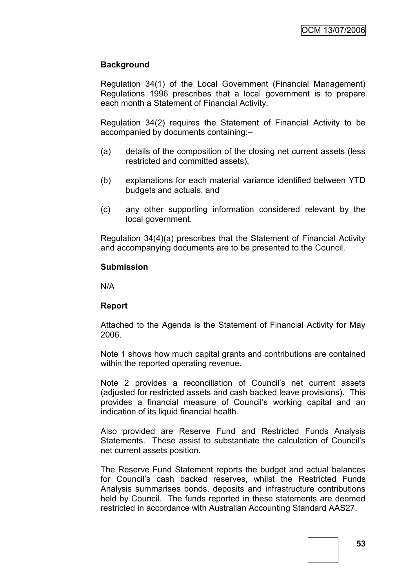### **Background**

Regulation 34(1) of the Local Government (Financial Management) Regulations 1996 prescribes that a local government is to prepare each month a Statement of Financial Activity.

Regulation 34(2) requires the Statement of Financial Activity to be accompanied by documents containing:–

- (a) details of the composition of the closing net current assets (less restricted and committed assets),
- (b) explanations for each material variance identified between YTD budgets and actuals; and
- (c) any other supporting information considered relevant by the local government.

Regulation 34(4)(a) prescribes that the Statement of Financial Activity and accompanying documents are to be presented to the Council.

#### **Submission**

N/A

#### **Report**

Attached to the Agenda is the Statement of Financial Activity for May 2006.

Note 1 shows how much capital grants and contributions are contained within the reported operating revenue.

Note 2 provides a reconciliation of Council's net current assets (adjusted for restricted assets and cash backed leave provisions). This provides a financial measure of Council"s working capital and an indication of its liquid financial health.

Also provided are Reserve Fund and Restricted Funds Analysis Statements. These assist to substantiate the calculation of Council"s net current assets position.

The Reserve Fund Statement reports the budget and actual balances for Council"s cash backed reserves, whilst the Restricted Funds Analysis summarises bonds, deposits and infrastructure contributions held by Council. The funds reported in these statements are deemed restricted in accordance with Australian Accounting Standard AAS27.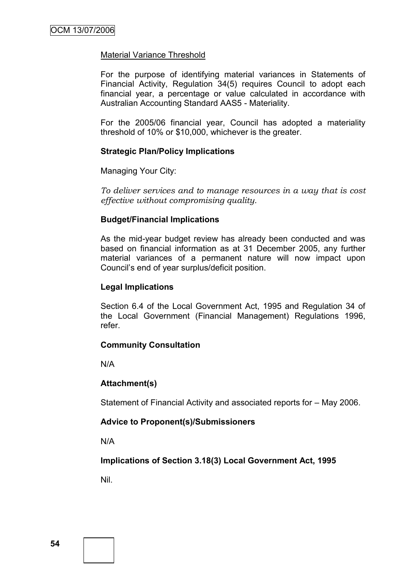### Material Variance Threshold

For the purpose of identifying material variances in Statements of Financial Activity, Regulation 34(5) requires Council to adopt each financial year, a percentage or value calculated in accordance with Australian Accounting Standard AAS5 - Materiality.

For the 2005/06 financial year, Council has adopted a materiality threshold of 10% or \$10,000, whichever is the greater.

#### **Strategic Plan/Policy Implications**

Managing Your City:

*To deliver services and to manage resources in a way that is cost effective without compromising quality.*

### **Budget/Financial Implications**

As the mid-year budget review has already been conducted and was based on financial information as at 31 December 2005, any further material variances of a permanent nature will now impact upon Council"s end of year surplus/deficit position.

#### **Legal Implications**

Section 6.4 of the Local Government Act, 1995 and Regulation 34 of the Local Government (Financial Management) Regulations 1996, refer.

#### **Community Consultation**

N/A

### **Attachment(s)**

Statement of Financial Activity and associated reports for – May 2006.

### **Advice to Proponent(s)/Submissioners**

N/A

### **Implications of Section 3.18(3) Local Government Act, 1995**

Nil.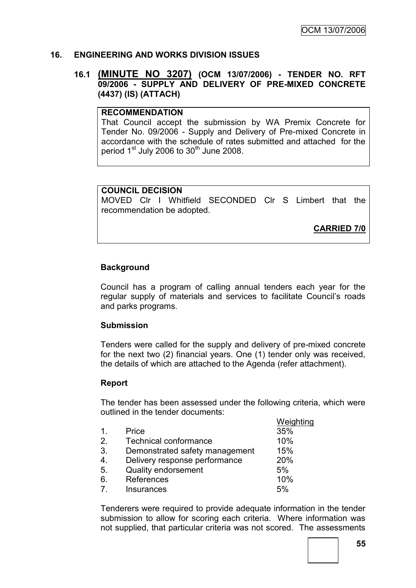### **16. ENGINEERING AND WORKS DIVISION ISSUES**

### **16.1 (MINUTE NO 3207) (OCM 13/07/2006) - TENDER NO. RFT 09/2006 - SUPPLY AND DELIVERY OF PRE-MIXED CONCRETE (4437) (IS) (ATTACH)**

### **RECOMMENDATION**

That Council accept the submission by WA Premix Concrete for Tender No. 09/2006 - Supply and Delivery of Pre-mixed Concrete in accordance with the schedule of rates submitted and attached for the period  $1<sup>st</sup>$  July 2006 to  $30<sup>th</sup>$  June 2008.

#### **COUNCIL DECISION**

MOVED Clr I Whitfield SECONDED Clr S Limbert that the recommendation be adopted.

**CARRIED 7/0**

### **Background**

Council has a program of calling annual tenders each year for the regular supply of materials and services to facilitate Council"s roads and parks programs.

#### **Submission**

Tenders were called for the supply and delivery of pre-mixed concrete for the next two (2) financial years. One (1) tender only was received, the details of which are attached to the Agenda (refer attachment).

#### **Report**

The tender has been assessed under the following criteria, which were outlined in the tender documents:

|                |                                | Weighting |
|----------------|--------------------------------|-----------|
| 1 <sub>1</sub> | Price                          | 35%       |
| 2.             | Technical conformance          | 10%       |
| 3.             | Demonstrated safety management | 15%       |
| 4.             | Delivery response performance  | 20%       |
| 5.             | <b>Quality endorsement</b>     | 5%        |
| 6.             | References                     | 10%       |
| 7.             | <b>Insurances</b>              | 5%        |
|                |                                |           |

Tenderers were required to provide adequate information in the tender submission to allow for scoring each criteria. Where information was not supplied, that particular criteria was not scored. The assessments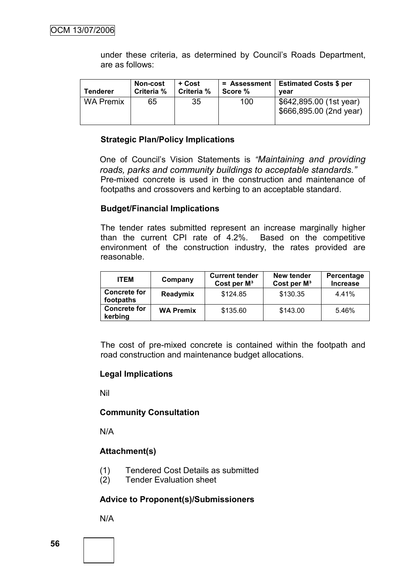under these criteria, as determined by Council"s Roads Department, are as follows:

| <b>Tenderer</b>  | <b>Non-cost</b><br>Criteria % | + Cost<br>Criteria % | Score % | = Assessment   Estimated Costs \$ per<br>vear      |
|------------------|-------------------------------|----------------------|---------|----------------------------------------------------|
| <b>WA Premix</b> | 65                            | 35                   | 100     | \$642,895.00 (1st year)<br>\$666,895.00 (2nd year) |

### **Strategic Plan/Policy Implications**

One of Council"s Vision Statements is *"Maintaining and providing roads, parks and community buildings to acceptable standards."* Pre-mixed concrete is used in the construction and maintenance of footpaths and crossovers and kerbing to an acceptable standard.

#### **Budget/Financial Implications**

The tender rates submitted represent an increase marginally higher than the current CPI rate of 4.2%. Based on the competitive environment of the construction industry, the rates provided are reasonable.

| <b>ITEM</b>                      | Company          | <b>Current tender</b><br>Cost per $M^3$ | New tender<br>Cost per M <sup>3</sup> | Percentage<br><b>Increase</b> |
|----------------------------------|------------------|-----------------------------------------|---------------------------------------|-------------------------------|
| <b>Concrete for</b><br>footpaths | Readymix         | \$124.85                                | \$130.35                              | 4.41%                         |
| <b>Concrete for</b><br>kerbing   | <b>WA Premix</b> | \$135.60                                | \$143.00                              | 5.46%                         |

The cost of pre-mixed concrete is contained within the footpath and road construction and maintenance budget allocations.

#### **Legal Implications**

Nil

#### **Community Consultation**

N/A

### **Attachment(s)**

- (1) Tendered Cost Details as submitted
- (2) Tender Evaluation sheet

#### **Advice to Proponent(s)/Submissioners**

N/A

**56**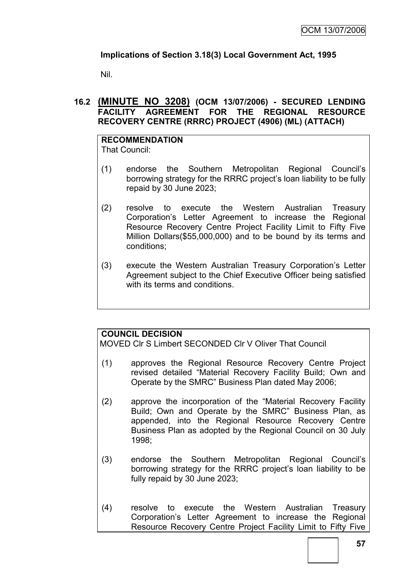## **Implications of Section 3.18(3) Local Government Act, 1995**

Nil.

## **16.2 (MINUTE NO 3208) (OCM 13/07/2006) - SECURED LENDING FACILITY AGREEMENT FOR THE REGIONAL RESOURCE RECOVERY CENTRE (RRRC) PROJECT (4906) (ML) (ATTACH)**

**RECOMMENDATION** That Council:

- (1) endorse the Southern Metropolitan Regional Council"s borrowing strategy for the RRRC project"s loan liability to be fully repaid by 30 June 2023;
- (2) resolve to execute the Western Australian Treasury Corporation"s Letter Agreement to increase the Regional Resource Recovery Centre Project Facility Limit to Fifty Five Million Dollars(\$55,000,000) and to be bound by its terms and conditions;
- (3) execute the Western Australian Treasury Corporation"s Letter Agreement subject to the Chief Executive Officer being satisfied with its terms and conditions.

## **COUNCIL DECISION**

MOVED Clr S Limbert SECONDED Clr V Oliver That Council

- (1) approves the Regional Resource Recovery Centre Project revised detailed "Material Recovery Facility Build; Own and Operate by the SMRC" Business Plan dated May 2006;
- (2) approve the incorporation of the "Material Recovery Facility Build; Own and Operate by the SMRC" Business Plan, as appended, into the Regional Resource Recovery Centre Business Plan as adopted by the Regional Council on 30 July 1998;
- (3) endorse the Southern Metropolitan Regional Council"s borrowing strategy for the RRRC project's loan liability to be fully repaid by 30 June 2023;
- (4) resolve to execute the Western Australian Treasury Corporation"s Letter Agreement to increase the Regional Resource Recovery Centre Project Facility Limit to Fifty Five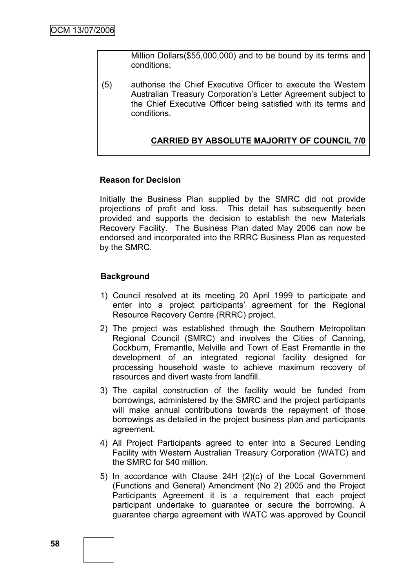Million Dollars(\$55,000,000) and to be bound by its terms and conditions;

(5) authorise the Chief Executive Officer to execute the Western Australian Treasury Corporation"s Letter Agreement subject to the Chief Executive Officer being satisfied with its terms and conditions.

### **CARRIED BY ABSOLUTE MAJORITY OF COUNCIL 7/0**

### **Reason for Decision**

Initially the Business Plan supplied by the SMRC did not provide projections of profit and loss. This detail has subsequently been provided and supports the decision to establish the new Materials Recovery Facility. The Business Plan dated May 2006 can now be endorsed and incorporated into the RRRC Business Plan as requested by the SMRC.

### **Background**

- 1) Council resolved at its meeting 20 April 1999 to participate and enter into a project participants' agreement for the Regional Resource Recovery Centre (RRRC) project.
- 2) The project was established through the Southern Metropolitan Regional Council (SMRC) and involves the Cities of Canning, Cockburn, Fremantle, Melville and Town of East Fremantle in the development of an integrated regional facility designed for processing household waste to achieve maximum recovery of resources and divert waste from landfill.
- 3) The capital construction of the facility would be funded from borrowings, administered by the SMRC and the project participants will make annual contributions towards the repayment of those borrowings as detailed in the project business plan and participants agreement.
- 4) All Project Participants agreed to enter into a Secured Lending Facility with Western Australian Treasury Corporation (WATC) and the SMRC for \$40 million.
- 5) In accordance with Clause 24H (2)(c) of the Local Government (Functions and General) Amendment (No 2) 2005 and the Project Participants Agreement it is a requirement that each project participant undertake to guarantee or secure the borrowing. A guarantee charge agreement with WATC was approved by Council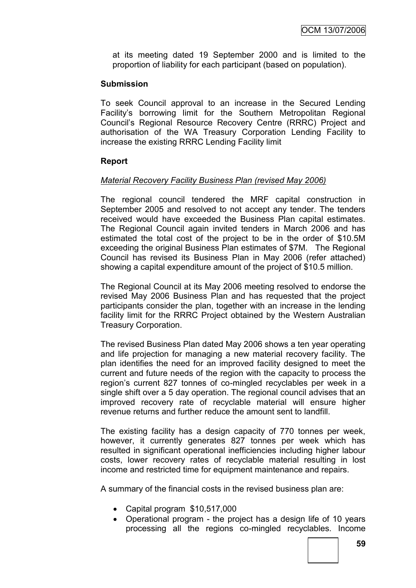at its meeting dated 19 September 2000 and is limited to the proportion of liability for each participant (based on population).

### **Submission**

To seek Council approval to an increase in the Secured Lending Facility"s borrowing limit for the Southern Metropolitan Regional Council"s Regional Resource Recovery Centre (RRRC) Project and authorisation of the WA Treasury Corporation Lending Facility to increase the existing RRRC Lending Facility limit

#### **Report**

### *Material Recovery Facility Business Plan (revised May 2006)*

The regional council tendered the MRF capital construction in September 2005 and resolved to not accept any tender. The tenders received would have exceeded the Business Plan capital estimates. The Regional Council again invited tenders in March 2006 and has estimated the total cost of the project to be in the order of \$10.5M exceeding the original Business Plan estimates of \$7M. The Regional Council has revised its Business Plan in May 2006 (refer attached) showing a capital expenditure amount of the project of \$10.5 million.

The Regional Council at its May 2006 meeting resolved to endorse the revised May 2006 Business Plan and has requested that the project participants consider the plan, together with an increase in the lending facility limit for the RRRC Project obtained by the Western Australian Treasury Corporation.

The revised Business Plan dated May 2006 shows a ten year operating and life projection for managing a new material recovery facility. The plan identifies the need for an improved facility designed to meet the current and future needs of the region with the capacity to process the region's current 827 tonnes of co-mingled recyclables per week in a single shift over a 5 day operation. The regional council advises that an improved recovery rate of recyclable material will ensure higher revenue returns and further reduce the amount sent to landfill.

The existing facility has a design capacity of 770 tonnes per week, however, it currently generates 827 tonnes per week which has resulted in significant operational inefficiencies including higher labour costs, lower recovery rates of recyclable material resulting in lost income and restricted time for equipment maintenance and repairs.

A summary of the financial costs in the revised business plan are:

- Capital program \$10,517,000
- Operational program the project has a design life of 10 years processing all the regions co-mingled recyclables. Income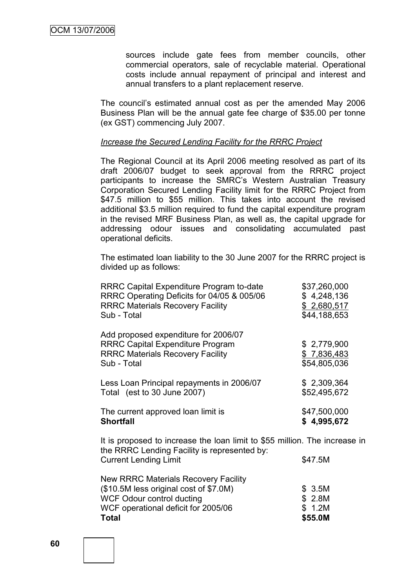sources include gate fees from member councils, other commercial operators, sale of recyclable material. Operational costs include annual repayment of principal and interest and annual transfers to a plant replacement reserve.

The council"s estimated annual cost as per the amended May 2006 Business Plan will be the annual gate fee charge of \$35.00 per tonne (ex GST) commencing July 2007.

#### *Increase the Secured Lending Facility for the RRRC Project*

The Regional Council at its April 2006 meeting resolved as part of its draft 2006/07 budget to seek approval from the RRRC project participants to increase the SMRC"s Western Australian Treasury Corporation Secured Lending Facility limit for the RRRC Project from \$47.5 million to \$55 million. This takes into account the revised additional \$3.5 million required to fund the capital expenditure program in the revised MRF Business Plan, as well as, the capital upgrade for addressing odour issues and consolidating accumulated past operational deficits.

The estimated loan liability to the 30 June 2007 for the RRRC project is divided up as follows:

| \$37,260,000<br>\$4,248,136<br>\$2,680,517<br>\$44,188,653 |
|------------------------------------------------------------|
| \$2,779,900<br>\$7,836,483<br>\$54,805,036                 |
| \$2,309,364<br>\$52,495,672                                |
| \$47,500,000<br>\$4,995,672                                |
|                                                            |

It is proposed to increase the loan limit to \$55 million. The increase in the RRRC Lending Facility is represented by: Current Lending Limit  $$47.5M$ New RRRC Materials Recovery Facility  $(S10.5M$  less original cost of \$7.0M)  $S<sub>3.5M</sub>$ 

| Total                                              | \$55.0M       |
|----------------------------------------------------|---------------|
| WCF operational deficit for 2005/06                | \$ 1.2M       |
| WCF Odour control ducting                          | \$2.8M        |
| $(4.017)$ . The state of the contract of $(4.017)$ | <b>P</b> P.P. |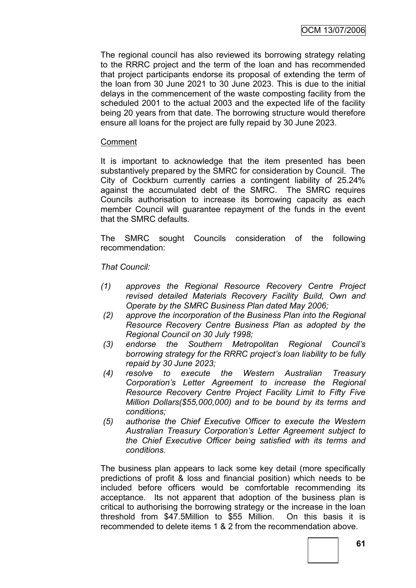The regional council has also reviewed its borrowing strategy relating to the RRRC project and the term of the loan and has recommended that project participants endorse its proposal of extending the term of the loan from 30 June 2021 to 30 June 2023. This is due to the initial delays in the commencement of the waste composting facility from the scheduled 2001 to the actual 2003 and the expected life of the facility being 20 years from that date. The borrowing structure would therefore ensure all loans for the project are fully repaid by 30 June 2023.

### Comment

It is important to acknowledge that the item presented has been substantively prepared by the SMRC for consideration by Council. The City of Cockburn currently carries a contingent liability of 25.24% against the accumulated debt of the SMRC. The SMRC requires Councils authorisation to increase its borrowing capacity as each member Council will guarantee repayment of the funds in the event that the SMRC defaults.

The SMRC sought Councils consideration of the following recommendation:

#### *That Council:*

- *(1) approves the Regional Resource Recovery Centre Project revised detailed Materials Recovery Facility Build, Own and Operate by the SMRC Business Plan dated May 2006;*
- *(2) approve the incorporation of the Business Plan into the Regional Resource Recovery Centre Business Plan as adopted by the Regional Council on 30 July 1998;*
- *(3) endorse the Southern Metropolitan Regional Council"s borrowing strategy for the RRRC project"s loan liability to be fully repaid by 30 June 2023;*
- *(4) resolve to execute the Western Australian Treasury Corporation"s Letter Agreement to increase the Regional Resource Recovery Centre Project Facility Limit to Fifty Five Million Dollars(\$55,000,000) and to be bound by its terms and conditions;*
- *(5) authorise the Chief Executive Officer to execute the Western Australian Treasury Corporation"s Letter Agreement subject to the Chief Executive Officer being satisfied with its terms and conditions.*

The business plan appears to lack some key detail (more specifically predictions of profit & loss and financial position) which needs to be included before officers would be comfortable recommending its acceptance. Its not apparent that adoption of the business plan is critical to authorising the borrowing strategy or the increase in the loan threshold from \$47.5Million to \$55 Million. On this basis it is recommended to delete items 1 & 2 from the recommendation above.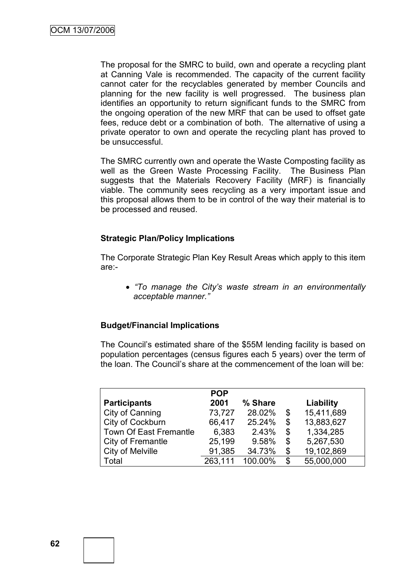The proposal for the SMRC to build, own and operate a recycling plant at Canning Vale is recommended. The capacity of the current facility cannot cater for the recyclables generated by member Councils and planning for the new facility is well progressed. The business plan identifies an opportunity to return significant funds to the SMRC from the ongoing operation of the new MRF that can be used to offset gate fees, reduce debt or a combination of both. The alternative of using a private operator to own and operate the recycling plant has proved to be unsuccessful.

The SMRC currently own and operate the Waste Composting facility as well as the Green Waste Processing Facility. The Business Plan suggests that the Materials Recovery Facility (MRF) is financially viable. The community sees recycling as a very important issue and this proposal allows them to be in control of the way their material is to be processed and reused.

### **Strategic Plan/Policy Implications**

The Corporate Strategic Plan Key Result Areas which apply to this item are:-

 *"To manage the City"s waste stream in an environmentally acceptable manner."*

### **Budget/Financial Implications**

The Council"s estimated share of the \$55M lending facility is based on population percentages (census figures each 5 years) over the term of the loan. The Council"s share at the commencement of the loan will be:

|                               | <b>POP</b> |         |    |            |
|-------------------------------|------------|---------|----|------------|
| <b>Participants</b>           | 2001       | % Share |    | Liability  |
| City of Canning               | 73,727     | 28.02%  | \$ | 15,411,689 |
| City of Cockburn              | 66,417     | 25.24%  | \$ | 13,883,627 |
| <b>Town Of East Fremantle</b> | 6,383      | 2.43%   | \$ | 1,334,285  |
| City of Fremantle             | 25,199     | 9.58%   | \$ | 5,267,530  |
| City of Melville              | 91,385     | 34.73%  | \$ | 19,102,869 |
| Total                         | 263,111    | 100.00% | S. | 55,000,000 |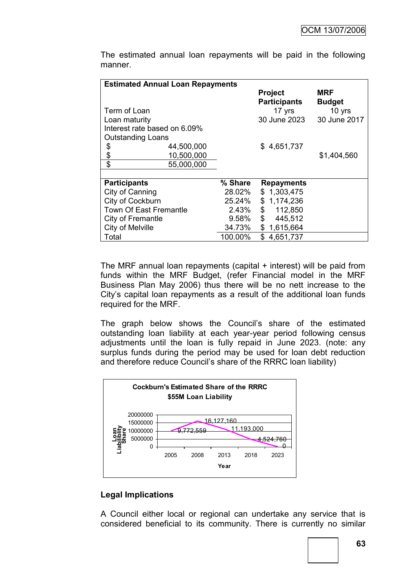| <b>Estimated Annual Loan Repayments</b> |         |                                       |                      |
|-----------------------------------------|---------|---------------------------------------|----------------------|
|                                         |         | <b>Project</b><br><b>Participants</b> | MRF<br><b>Budget</b> |
| Term of Loan                            |         | 17 yrs                                | 10 yrs               |
| Loan maturity                           |         | 30 June 2023                          | 30 June 2017         |
| Interest rate based on 6.09%            |         |                                       |                      |
| <b>Outstanding Loans</b>                |         |                                       |                      |
| \$<br>44,500,000                        |         | \$4,651,737                           |                      |
| \$<br>10,500,000                        |         |                                       | \$1,404,560          |
| \$<br>55,000,000                        |         |                                       |                      |
|                                         |         |                                       |                      |
| <b>Participants</b>                     | % Share | <b>Repayments</b>                     |                      |
| City of Canning                         | 28.02%  | \$1,303,475                           |                      |
| City of Cockburn                        | 25.24%  | 1,174,236<br>\$                       |                      |
| <b>Town Of East Fremantle</b>           | 2.43%   | \$<br>112,850                         |                      |
| City of Fremantle                       | 9.58%   | $\mathfrak{F}$<br>445,512             |                      |
| City of Melville                        | 34.73%  | \$1,615,664                           |                      |
| Total                                   | 100.00% | \$4,651,737                           |                      |

The estimated annual loan repayments will be paid in the following manner.

The MRF annual loan repayments (capital + interest) will be paid from funds within the MRF Budget, (refer Financial model in the MRF Business Plan May 2006) thus there will be no nett increase to the City"s capital loan repayments as a result of the additional loan funds required for the MRF.

The graph below shows the Council's share of the estimated outstanding loan liability at each year-year period following census adjustments until the loan is fully repaid in June 2023. (note: any surplus funds during the period may be used for loan debt reduction and therefore reduce Council"s share of the RRRC loan liability)



## **Legal Implications**

A Council either local or regional can undertake any service that is considered beneficial to its community. There is currently no similar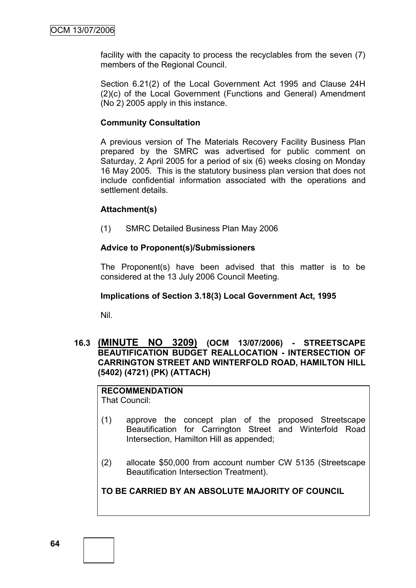facility with the capacity to process the recyclables from the seven (7) members of the Regional Council.

Section 6.21(2) of the Local Government Act 1995 and Clause 24H (2)(c) of the Local Government (Functions and General) Amendment (No 2) 2005 apply in this instance.

### **Community Consultation**

A previous version of The Materials Recovery Facility Business Plan prepared by the SMRC was advertised for public comment on Saturday, 2 April 2005 for a period of six (6) weeks closing on Monday 16 May 2005. This is the statutory business plan version that does not include confidential information associated with the operations and settlement details.

#### **Attachment(s)**

(1) SMRC Detailed Business Plan May 2006

### **Advice to Proponent(s)/Submissioners**

The Proponent(s) have been advised that this matter is to be considered at the 13 July 2006 Council Meeting.

#### **Implications of Section 3.18(3) Local Government Act, 1995**

Nil.

### **16.3 (MINUTE NO 3209) (OCM 13/07/2006) - STREETSCAPE BEAUTIFICATION BUDGET REALLOCATION - INTERSECTION OF CARRINGTON STREET AND WINTERFOLD ROAD, HAMILTON HILL (5402) (4721) (PK) (ATTACH)**

#### **RECOMMENDATION** That Council:

- (1) approve the concept plan of the proposed Streetscape Beautification for Carrington Street and Winterfold Road Intersection, Hamilton Hill as appended;
- (2) allocate \$50,000 from account number CW 5135 (Streetscape Beautification Intersection Treatment).

**TO BE CARRIED BY AN ABSOLUTE MAJORITY OF COUNCIL**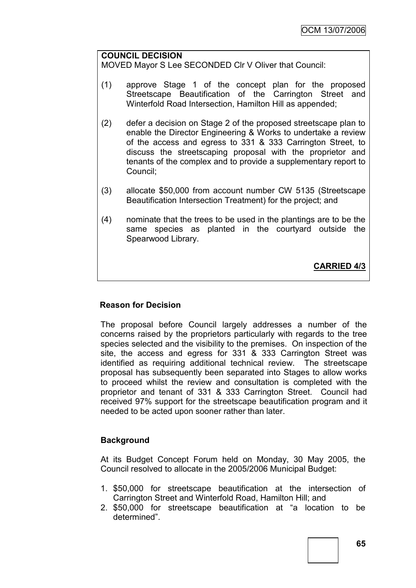#### **COUNCIL DECISION**

MOVED Mayor S Lee SECONDED Clr V Oliver that Council:

- (1) approve Stage 1 of the concept plan for the proposed Streetscape Beautification of the Carrington Street and Winterfold Road Intersection, Hamilton Hill as appended;
- (2) defer a decision on Stage 2 of the proposed streetscape plan to enable the Director Engineering & Works to undertake a review of the access and egress to 331 & 333 Carrington Street, to discuss the streetscaping proposal with the proprietor and tenants of the complex and to provide a supplementary report to Council;
- (3) allocate \$50,000 from account number CW 5135 (Streetscape Beautification Intersection Treatment) for the project; and
- (4) nominate that the trees to be used in the plantings are to be the same species as planted in the courtyard outside the Spearwood Library.

**CARRIED 4/3**

### **Reason for Decision**

The proposal before Council largely addresses a number of the concerns raised by the proprietors particularly with regards to the tree species selected and the visibility to the premises. On inspection of the site, the access and egress for 331 & 333 Carrington Street was identified as requiring additional technical review. The streetscape proposal has subsequently been separated into Stages to allow works to proceed whilst the review and consultation is completed with the proprietor and tenant of 331 & 333 Carrington Street. Council had received 97% support for the streetscape beautification program and it needed to be acted upon sooner rather than later.

### **Background**

At its Budget Concept Forum held on Monday, 30 May 2005, the Council resolved to allocate in the 2005/2006 Municipal Budget:

- 1. \$50,000 for streetscape beautification at the intersection of Carrington Street and Winterfold Road, Hamilton Hill; and
- 2. \$50,000 for streetscape beautification at "a location to be determined".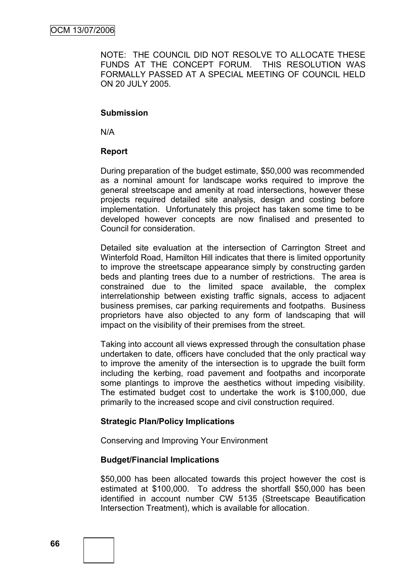NOTE: THE COUNCIL DID NOT RESOLVE TO ALLOCATE THESE FUNDS AT THE CONCEPT FORUM. THIS RESOLUTION WAS FORMALLY PASSED AT A SPECIAL MEETING OF COUNCIL HELD ON 20 JULY 2005.

#### **Submission**

N/A

### **Report**

During preparation of the budget estimate, \$50,000 was recommended as a nominal amount for landscape works required to improve the general streetscape and amenity at road intersections, however these projects required detailed site analysis, design and costing before implementation. Unfortunately this project has taken some time to be developed however concepts are now finalised and presented to Council for consideration.

Detailed site evaluation at the intersection of Carrington Street and Winterfold Road, Hamilton Hill indicates that there is limited opportunity to improve the streetscape appearance simply by constructing garden beds and planting trees due to a number of restrictions. The area is constrained due to the limited space available, the complex interrelationship between existing traffic signals, access to adjacent business premises, car parking requirements and footpaths. Business proprietors have also objected to any form of landscaping that will impact on the visibility of their premises from the street.

Taking into account all views expressed through the consultation phase undertaken to date, officers have concluded that the only practical way to improve the amenity of the intersection is to upgrade the built form including the kerbing, road pavement and footpaths and incorporate some plantings to improve the aesthetics without impeding visibility. The estimated budget cost to undertake the work is \$100,000, due primarily to the increased scope and civil construction required.

### **Strategic Plan/Policy Implications**

Conserving and Improving Your Environment

#### **Budget/Financial Implications**

\$50,000 has been allocated towards this project however the cost is estimated at \$100,000. To address the shortfall \$50,000 has been identified in account number CW 5135 (Streetscape Beautification Intersection Treatment), which is available for allocation.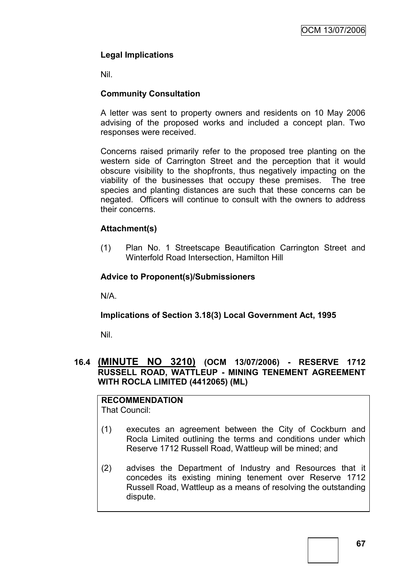## **Legal Implications**

Nil.

### **Community Consultation**

A letter was sent to property owners and residents on 10 May 2006 advising of the proposed works and included a concept plan. Two responses were received.

Concerns raised primarily refer to the proposed tree planting on the western side of Carrington Street and the perception that it would obscure visibility to the shopfronts, thus negatively impacting on the viability of the businesses that occupy these premises. The tree species and planting distances are such that these concerns can be negated. Officers will continue to consult with the owners to address their concerns.

### **Attachment(s)**

(1) Plan No. 1 Streetscape Beautification Carrington Street and Winterfold Road Intersection, Hamilton Hill

### **Advice to Proponent(s)/Submissioners**

N/A.

## **Implications of Section 3.18(3) Local Government Act, 1995**

Nil.

### **16.4 (MINUTE NO 3210) (OCM 13/07/2006) - RESERVE 1712 RUSSELL ROAD, WATTLEUP - MINING TENEMENT AGREEMENT WITH ROCLA LIMITED (4412065) (ML)**

# **RECOMMENDATION**

That Council:

- (1) executes an agreement between the City of Cockburn and Rocla Limited outlining the terms and conditions under which Reserve 1712 Russell Road, Wattleup will be mined; and
- (2) advises the Department of Industry and Resources that it concedes its existing mining tenement over Reserve 1712 Russell Road, Wattleup as a means of resolving the outstanding dispute.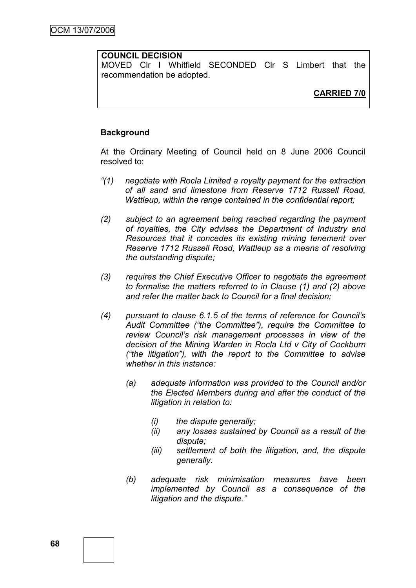### **COUNCIL DECISION**

MOVED Clr I Whitfield SECONDED Clr S Limbert that the recommendation be adopted.

## **CARRIED 7/0**

#### **Background**

At the Ordinary Meeting of Council held on 8 June 2006 Council resolved to:

- *"(1) negotiate with Rocla Limited a royalty payment for the extraction of all sand and limestone from Reserve 1712 Russell Road, Wattleup, within the range contained in the confidential report;*
- *(2) subject to an agreement being reached regarding the payment of royalties, the City advises the Department of Industry and Resources that it concedes its existing mining tenement over Reserve 1712 Russell Road, Wattleup as a means of resolving the outstanding dispute;*
- *(3) requires the Chief Executive Officer to negotiate the agreement to formalise the matters referred to in Clause (1) and (2) above and refer the matter back to Council for a final decision;*
- *(4) pursuant to clause 6.1.5 of the terms of reference for Council"s Audit Committee ("the Committee"), require the Committee to review Council"s risk management processes in view of the decision of the Mining Warden in Rocla Ltd v City of Cockburn ("the litigation"), with the report to the Committee to advise whether in this instance:*
	- *(a) adequate information was provided to the Council and/or the Elected Members during and after the conduct of the litigation in relation to:*
		- *(i) the dispute generally;*
		- *(ii) any losses sustained by Council as a result of the dispute;*
		- *(iii) settlement of both the litigation, and, the dispute generally.*
	- *(b) adequate risk minimisation measures have been implemented by Council as a consequence of the litigation and the dispute."*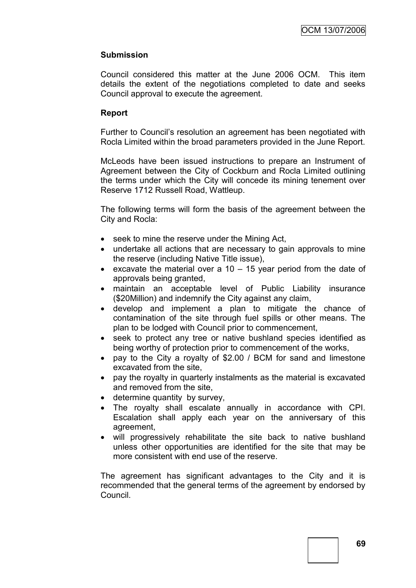### **Submission**

Council considered this matter at the June 2006 OCM. This item details the extent of the negotiations completed to date and seeks Council approval to execute the agreement.

#### **Report**

Further to Council"s resolution an agreement has been negotiated with Rocla Limited within the broad parameters provided in the June Report.

McLeods have been issued instructions to prepare an Instrument of Agreement between the City of Cockburn and Rocla Limited outlining the terms under which the City will concede its mining tenement over Reserve 1712 Russell Road, Wattleup.

The following terms will form the basis of the agreement between the City and Rocla:

- seek to mine the reserve under the Mining Act,
- undertake all actions that are necessary to gain approvals to mine the reserve (including Native Title issue),
- excavate the material over a  $10 15$  year period from the date of approvals being granted,
- maintain an acceptable level of Public Liability insurance (\$20Million) and indemnify the City against any claim,
- develop and implement a plan to mitigate the chance of contamination of the site through fuel spills or other means. The plan to be lodged with Council prior to commencement,
- seek to protect any tree or native bushland species identified as being worthy of protection prior to commencement of the works,
- pay to the City a royalty of \$2.00 / BCM for sand and limestone excavated from the site,
- pay the royalty in quarterly instalments as the material is excavated and removed from the site,
- determine quantity by survey,
- The royalty shall escalate annually in accordance with CPI. Escalation shall apply each year on the anniversary of this agreement,
- will progressively rehabilitate the site back to native bushland unless other opportunities are identified for the site that may be more consistent with end use of the reserve.

The agreement has significant advantages to the City and it is recommended that the general terms of the agreement by endorsed by Council.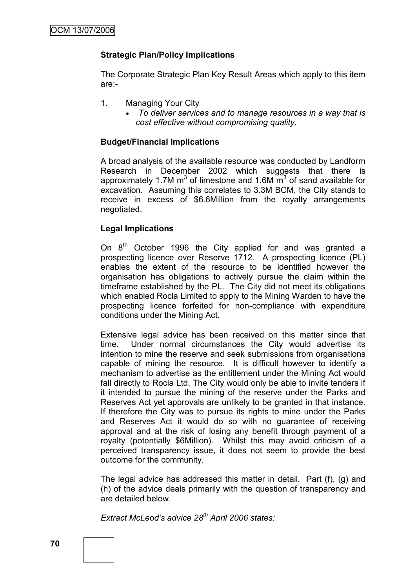### **Strategic Plan/Policy Implications**

The Corporate Strategic Plan Key Result Areas which apply to this item are:-

- 1. Managing Your City
	- *To deliver services and to manage resources in a way that is cost effective without compromising quality.*

### **Budget/Financial Implications**

A broad analysis of the available resource was conducted by Landform Research in December 2002 which suggests that there is approximately 1.7M  $m^3$  of limestone and 1.6M  $\overline{m}^3$  of sand available for excavation. Assuming this correlates to 3.3M BCM, the City stands to receive in excess of \$6.6Million from the royalty arrangements negotiated.

### **Legal Implications**

On  $8<sup>th</sup>$  October 1996 the City applied for and was granted a prospecting licence over Reserve 1712. A prospecting licence (PL) enables the extent of the resource to be identified however the organisation has obligations to actively pursue the claim within the timeframe established by the PL. The City did not meet its obligations which enabled Rocla Limited to apply to the Mining Warden to have the prospecting licence forfeited for non-compliance with expenditure conditions under the Mining Act.

Extensive legal advice has been received on this matter since that time. Under normal circumstances the City would advertise its intention to mine the reserve and seek submissions from organisations capable of mining the resource. It is difficult however to identify a mechanism to advertise as the entitlement under the Mining Act would fall directly to Rocla Ltd. The City would only be able to invite tenders if it intended to pursue the mining of the reserve under the Parks and Reserves Act yet approvals are unlikely to be granted in that instance. If therefore the City was to pursue its rights to mine under the Parks and Reserves Act it would do so with no guarantee of receiving approval and at the risk of losing any benefit through payment of a royalty (potentially \$6Million). Whilst this may avoid criticism of a perceived transparency issue, it does not seem to provide the best outcome for the community.

The legal advice has addressed this matter in detail. Part (f), (g) and (h) of the advice deals primarily with the question of transparency and are detailed below.

*Extract McLeod"s advice 28th April 2006 states:*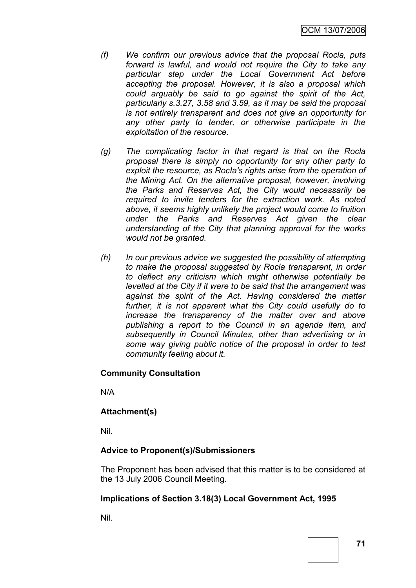- *(f) We confirm our previous advice that the proposal Rocla, puts forward is lawful, and would not require the City to take any particular step under the Local Government Act before accepting the proposal. However, it is also a proposal which could arguably be said to go against the spirit of the Act, particularly s.3.27, 3.58 and 3.59, as it may be said the proposal is not entirely transparent and does not give an opportunity for any other party to tender, or otherwise participate in the exploitation of the resource.*
- *(g) The complicating factor in that regard is that on the Rocla proposal there is simply no opportunity for any other party to exploit the resource, as RocIa's rights arise from the operation of the Mining Act. On the alternative proposal, however, involving the Parks and Reserves Act, the City would necessarily be required to invite tenders for the extraction work. As noted above, it seems highly unlikely the project would come to fruition under the Parks and Reserves Act given the clear understanding of the City that planning approval for the works would not be granted.*
- *(h) In our previous advice we suggested the possibility of attempting to make the proposal suggested by Rocla transparent, in order to deflect any criticism which might otherwise potentially be levelled at the City if it were to be said that the arrangement was*  against the spirit of the Act. Having considered the matter further, it is not apparent what the City could usefully do to *increase the transparency of the matter over and above publishing a report to the Council in an agenda item, and subsequently in Council Minutes, other than advertising or in some way giving public notice of the proposal in order to test community feeling about it.*

### **Community Consultation**

N/A

### **Attachment(s)**

Nil.

# **Advice to Proponent(s)/Submissioners**

The Proponent has been advised that this matter is to be considered at the 13 July 2006 Council Meeting.

# **Implications of Section 3.18(3) Local Government Act, 1995**

Nil.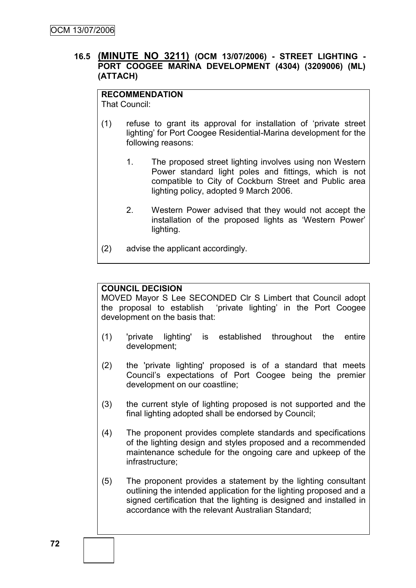### **16.5 (MINUTE NO 3211) (OCM 13/07/2006) - STREET LIGHTING - PORT COOGEE MARINA DEVELOPMENT (4304) (3209006) (ML) (ATTACH)**

# **RECOMMENDATION**

That Council:

- (1) refuse to grant its approval for installation of "private street lighting" for Port Coogee Residential-Marina development for the following reasons:
	- 1. The proposed street lighting involves using non Western Power standard light poles and fittings, which is not compatible to City of Cockburn Street and Public area lighting policy, adopted 9 March 2006.
	- 2. Western Power advised that they would not accept the installation of the proposed lights as "Western Power" lighting.
- (2) advise the applicant accordingly.

# **COUNCIL DECISION**

MOVED Mayor S Lee SECONDED Clr S Limbert that Council adopt the proposal to establish "private lighting" in the Port Coogee development on the basis that:

- (1) 'private lighting' is established throughout the entire development;
- (2) the 'private lighting' proposed is of a standard that meets Council"s expectations of Port Coogee being the premier development on our coastline;
- (3) the current style of lighting proposed is not supported and the final lighting adopted shall be endorsed by Council;
- (4) The proponent provides complete standards and specifications of the lighting design and styles proposed and a recommended maintenance schedule for the ongoing care and upkeep of the infrastructure;
- (5) The proponent provides a statement by the lighting consultant outlining the intended application for the lighting proposed and a signed certification that the lighting is designed and installed in accordance with the relevant Australian Standard;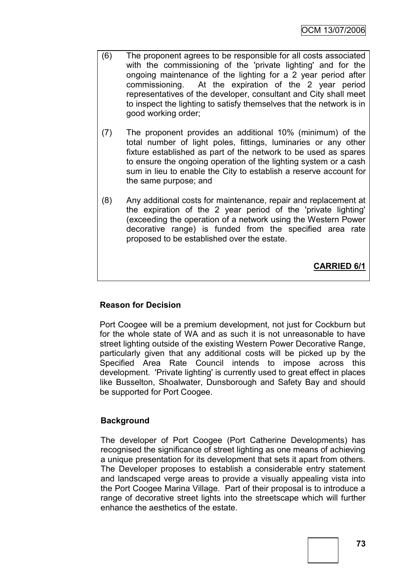- (6) The proponent agrees to be responsible for all costs associated with the commissioning of the 'private lighting' and for the ongoing maintenance of the lighting for a 2 year period after commissioning. At the expiration of the 2 year period representatives of the developer, consultant and City shall meet to inspect the lighting to satisfy themselves that the network is in good working order;
- (7) The proponent provides an additional 10% (minimum) of the total number of light poles, fittings, luminaries or any other fixture established as part of the network to be used as spares to ensure the ongoing operation of the lighting system or a cash sum in lieu to enable the City to establish a reserve account for the same purpose; and
- (8) Any additional costs for maintenance, repair and replacement at the expiration of the 2 year period of the 'private lighting' (exceeding the operation of a network using the Western Power decorative range) is funded from the specified area rate proposed to be established over the estate.

**CARRIED 6/1**

# **Reason for Decision**

Port Coogee will be a premium development, not just for Cockburn but for the whole state of WA and as such it is not unreasonable to have street lighting outside of the existing Western Power Decorative Range, particularly given that any additional costs will be picked up by the Specified Area Rate Council intends to impose across this development. 'Private lighting' is currently used to great effect in places like Busselton, Shoalwater, Dunsborough and Safety Bay and should be supported for Port Coogee.

# **Background**

The developer of Port Coogee (Port Catherine Developments) has recognised the significance of street lighting as one means of achieving a unique presentation for its development that sets it apart from others. The Developer proposes to establish a considerable entry statement and landscaped verge areas to provide a visually appealing vista into the Port Coogee Marina Village. Part of their proposal is to introduce a range of decorative street lights into the streetscape which will further enhance the aesthetics of the estate.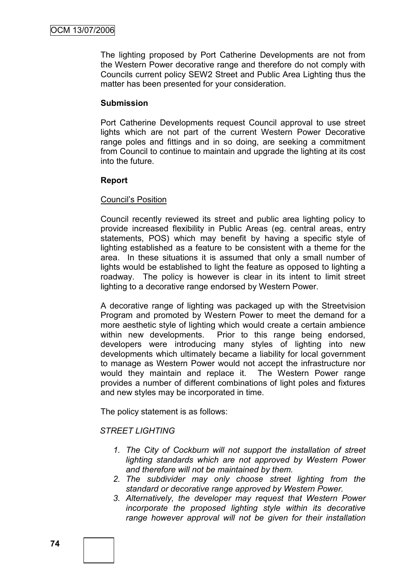The lighting proposed by Port Catherine Developments are not from the Western Power decorative range and therefore do not comply with Councils current policy SEW2 Street and Public Area Lighting thus the matter has been presented for your consideration.

### **Submission**

Port Catherine Developments request Council approval to use street lights which are not part of the current Western Power Decorative range poles and fittings and in so doing, are seeking a commitment from Council to continue to maintain and upgrade the lighting at its cost into the future.

### **Report**

#### Council"s Position

Council recently reviewed its street and public area lighting policy to provide increased flexibility in Public Areas (eg. central areas, entry statements, POS) which may benefit by having a specific style of lighting established as a feature to be consistent with a theme for the area. In these situations it is assumed that only a small number of lights would be established to light the feature as opposed to lighting a roadway. The policy is however is clear in its intent to limit street lighting to a decorative range endorsed by Western Power.

A decorative range of lighting was packaged up with the Streetvision Program and promoted by Western Power to meet the demand for a more aesthetic style of lighting which would create a certain ambience within new developments. Prior to this range being endorsed, developers were introducing many styles of lighting into new developments which ultimately became a liability for local government to manage as Western Power would not accept the infrastructure nor would they maintain and replace it. The Western Power range provides a number of different combinations of light poles and fixtures and new styles may be incorporated in time.

The policy statement is as follows:

### *STREET LIGHTING*

- *1. The City of Cockburn will not support the installation of street lighting standards which are not approved by Western Power and therefore will not be maintained by them.*
- *2. The subdivider may only choose street lighting from the standard or decorative range approved by Western Power.*
- *3. Alternatively, the developer may request that Western Power incorporate the proposed lighting style within its decorative range however approval will not be given for their installation*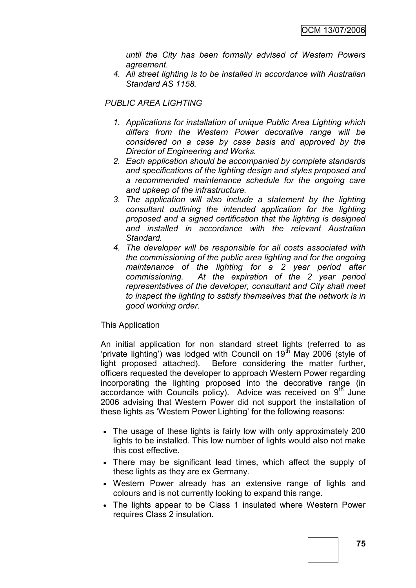*until the City has been formally advised of Western Powers agreement.*

*4. All street lighting is to be installed in accordance with Australian Standard AS 1158.*

*PUBLIC AREA LIGHTING*

- *1. Applications for installation of unique Public Area Lighting which differs from the Western Power decorative range will be considered on a case by case basis and approved by the Director of Engineering and Works.*
- *2. Each application should be accompanied by complete standards and specifications of the lighting design and styles proposed and a recommended maintenance schedule for the ongoing care and upkeep of the infrastructure.*
- *3. The application will also include a statement by the lighting consultant outlining the intended application for the lighting proposed and a signed certification that the lighting is designed and installed in accordance with the relevant Australian Standard.*
- *4. The developer will be responsible for all costs associated with the commissioning of the public area lighting and for the ongoing maintenance of the lighting for a 2 year period after commissioning. At the expiration of the 2 year period representatives of the developer, consultant and City shall meet to inspect the lighting to satisfy themselves that the network is in good working order.*

#### This Application

An initial application for non standard street lights (referred to as "private lighting") was lodged with Council on  $19<sup>th</sup>$  May 2006 (style of light proposed attached). Before considering the matter further, officers requested the developer to approach Western Power regarding incorporating the lighting proposed into the decorative range (in accordance with Councils policy). Advice was received on  $9<sup>th</sup>$  June 2006 advising that Western Power did not support the installation of these lights as "Western Power Lighting" for the following reasons:

- The usage of these lights is fairly low with only approximately 200 lights to be installed. This low number of lights would also not make this cost effective.
- There may be significant lead times, which affect the supply of these lights as they are ex Germany.
- Western Power already has an extensive range of lights and colours and is not currently looking to expand this range.
- The lights appear to be Class 1 insulated where Western Power requires Class 2 insulation.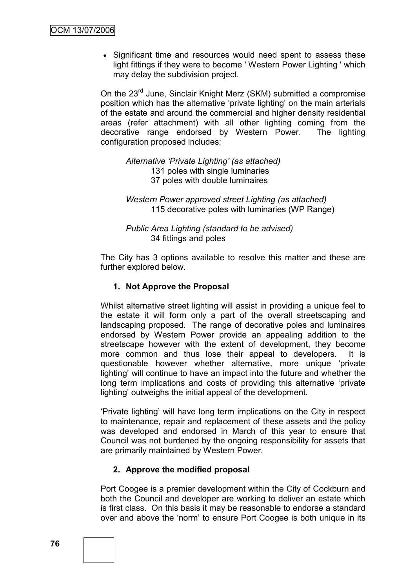• Significant time and resources would need spent to assess these light fittings if they were to become ' Western Power Lighting ' which may delay the subdivision project.

On the 23<sup>rd</sup> June. Sinclair Knight Merz (SKM) submitted a compromise position which has the alternative 'private lighting' on the main arterials of the estate and around the commercial and higher density residential areas (refer attachment) with all other lighting coming from the decorative range endorsed by Western Power. The lighting configuration proposed includes;

*Alternative "Private Lighting" (as attached)* 131 poles with single luminaries 37 poles with double luminaires

*Western Power approved street Lighting (as attached)* 115 decorative poles with luminaries (WP Range)

*Public Area Lighting (standard to be advised)* 34 fittings and poles

The City has 3 options available to resolve this matter and these are further explored below.

### **1. Not Approve the Proposal**

Whilst alternative street lighting will assist in providing a unique feel to the estate it will form only a part of the overall streetscaping and landscaping proposed. The range of decorative poles and luminaires endorsed by Western Power provide an appealing addition to the streetscape however with the extent of development, they become more common and thus lose their appeal to developers. It is questionable however whether alternative, more unique "private lighting" will continue to have an impact into the future and whether the long term implications and costs of providing this alternative "private lighting" outweighs the initial appeal of the development.

"Private lighting" will have long term implications on the City in respect to maintenance, repair and replacement of these assets and the policy was developed and endorsed in March of this year to ensure that Council was not burdened by the ongoing responsibility for assets that are primarily maintained by Western Power.

### **2. Approve the modified proposal**

Port Coogee is a premier development within the City of Cockburn and both the Council and developer are working to deliver an estate which is first class. On this basis it may be reasonable to endorse a standard over and above the "norm" to ensure Port Coogee is both unique in its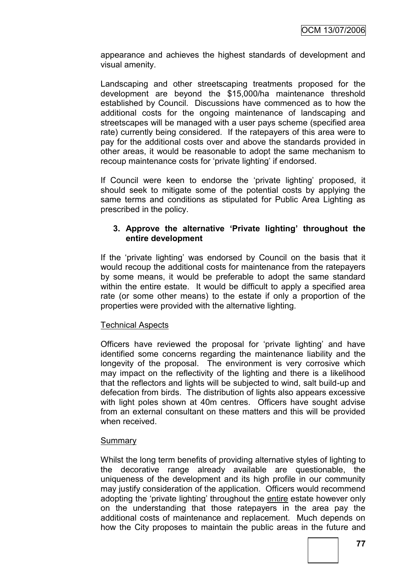appearance and achieves the highest standards of development and visual amenity.

Landscaping and other streetscaping treatments proposed for the development are beyond the \$15,000/ha maintenance threshold established by Council. Discussions have commenced as to how the additional costs for the ongoing maintenance of landscaping and streetscapes will be managed with a user pays scheme (specified area rate) currently being considered. If the ratepayers of this area were to pay for the additional costs over and above the standards provided in other areas, it would be reasonable to adopt the same mechanism to recoup maintenance costs for 'private lighting' if endorsed.

If Council were keen to endorse the "private lighting" proposed, it should seek to mitigate some of the potential costs by applying the same terms and conditions as stipulated for Public Area Lighting as prescribed in the policy.

### **3. Approve the alternative 'Private lighting' throughout the entire development**

If the "private lighting" was endorsed by Council on the basis that it would recoup the additional costs for maintenance from the ratepayers by some means, it would be preferable to adopt the same standard within the entire estate. It would be difficult to apply a specified area rate (or some other means) to the estate if only a proportion of the properties were provided with the alternative lighting.

### Technical Aspects

Officers have reviewed the proposal for "private lighting" and have identified some concerns regarding the maintenance liability and the longevity of the proposal. The environment is very corrosive which may impact on the reflectivity of the lighting and there is a likelihood that the reflectors and lights will be subjected to wind, salt build-up and defecation from birds. The distribution of lights also appears excessive with light poles shown at 40m centres. Officers have sought advise from an external consultant on these matters and this will be provided when received.

#### **Summary**

Whilst the long term benefits of providing alternative styles of lighting to the decorative range already available are questionable, the uniqueness of the development and its high profile in our community may justify consideration of the application. Officers would recommend adopting the 'private lighting' throughout the entire estate however only on the understanding that those ratepayers in the area pay the additional costs of maintenance and replacement. Much depends on how the City proposes to maintain the public areas in the future and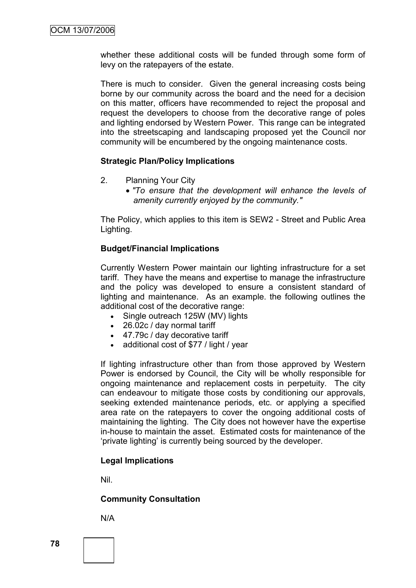whether these additional costs will be funded through some form of levy on the ratepayers of the estate.

There is much to consider. Given the general increasing costs being borne by our community across the board and the need for a decision on this matter, officers have recommended to reject the proposal and request the developers to choose from the decorative range of poles and lighting endorsed by Western Power. This range can be integrated into the streetscaping and landscaping proposed yet the Council nor community will be encumbered by the ongoing maintenance costs.

#### **Strategic Plan/Policy Implications**

- 2. Planning Your City
	- *"To ensure that the development will enhance the levels of amenity currently enjoyed by the community."*

The Policy, which applies to this item is SEW2 - Street and Public Area Lighting.

#### **Budget/Financial Implications**

Currently Western Power maintain our lighting infrastructure for a set tariff. They have the means and expertise to manage the infrastructure and the policy was developed to ensure a consistent standard of lighting and maintenance. As an example. the following outlines the additional cost of the decorative range:

- Single outreach 125W (MV) lights
- 26.02c / day normal tariff
- 47.79c / day decorative tariff
- additional cost of \$77 / light / year

If lighting infrastructure other than from those approved by Western Power is endorsed by Council, the City will be wholly responsible for ongoing maintenance and replacement costs in perpetuity. The city can endeavour to mitigate those costs by conditioning our approvals, seeking extended maintenance periods, etc. or applying a specified area rate on the ratepayers to cover the ongoing additional costs of maintaining the lighting. The City does not however have the expertise in-house to maintain the asset. Estimated costs for maintenance of the "private lighting" is currently being sourced by the developer.

#### **Legal Implications**

Nil.

#### **Community Consultation**

N/A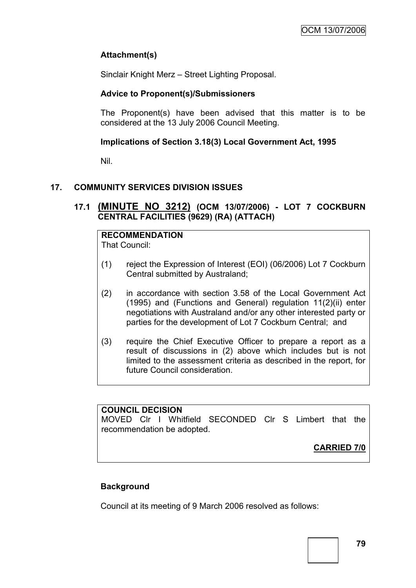# **Attachment(s)**

Sinclair Knight Merz – Street Lighting Proposal.

### **Advice to Proponent(s)/Submissioners**

The Proponent(s) have been advised that this matter is to be considered at the 13 July 2006 Council Meeting.

### **Implications of Section 3.18(3) Local Government Act, 1995**

Nil.

# **17. COMMUNITY SERVICES DIVISION ISSUES**

**17.1 (MINUTE NO 3212) (OCM 13/07/2006) - LOT 7 COCKBURN CENTRAL FACILITIES (9629) (RA) (ATTACH)**

**RECOMMENDATION** That Council:

- (1) reject the Expression of Interest (EOI) (06/2006) Lot 7 Cockburn Central submitted by Australand;
- (2) in accordance with section 3.58 of the Local Government Act (1995) and (Functions and General) regulation 11(2)(ii) enter negotiations with Australand and/or any other interested party or parties for the development of Lot 7 Cockburn Central; and
- (3) require the Chief Executive Officer to prepare a report as a result of discussions in (2) above which includes but is not limited to the assessment criteria as described in the report, for future Council consideration.

### **COUNCIL DECISION**

MOVED Clr I Whitfield SECONDED Clr S Limbert that the recommendation be adopted.

**CARRIED 7/0**

# **Background**

Council at its meeting of 9 March 2006 resolved as follows: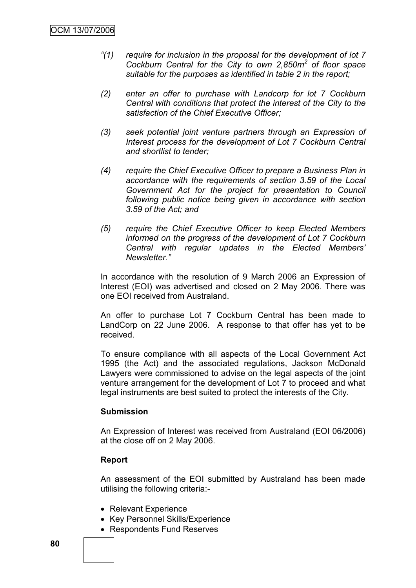- *"(1) require for inclusion in the proposal for the development of lot 7 Cockburn Central for the City to own 2,850m<sup>2</sup> of floor space suitable for the purposes as identified in table 2 in the report;*
- *(2) enter an offer to purchase with Landcorp for lot 7 Cockburn Central with conditions that protect the interest of the City to the satisfaction of the Chief Executive Officer;*
- *(3) seek potential joint venture partners through an Expression of Interest process for the development of Lot 7 Cockburn Central and shortlist to tender;*
- *(4) require the Chief Executive Officer to prepare a Business Plan in accordance with the requirements of section 3.59 of the Local Government Act for the project for presentation to Council following public notice being given in accordance with section 3.59 of the Act; and*
- *(5) require the Chief Executive Officer to keep Elected Members informed on the progress of the development of Lot 7 Cockburn Central with regular updates in the Elected Members" Newsletter."*

In accordance with the resolution of 9 March 2006 an Expression of Interest (EOI) was advertised and closed on 2 May 2006. There was one EOI received from Australand.

An offer to purchase Lot 7 Cockburn Central has been made to LandCorp on 22 June 2006. A response to that offer has yet to be received.

To ensure compliance with all aspects of the Local Government Act 1995 (the Act) and the associated regulations, Jackson McDonald Lawyers were commissioned to advise on the legal aspects of the joint venture arrangement for the development of Lot 7 to proceed and what legal instruments are best suited to protect the interests of the City.

### **Submission**

An Expression of Interest was received from Australand (EOI 06/2006) at the close off on 2 May 2006.

### **Report**

An assessment of the EOI submitted by Australand has been made utilising the following criteria:-

- Relevant Experience
- Key Personnel Skills/Experience
- Respondents Fund Reserves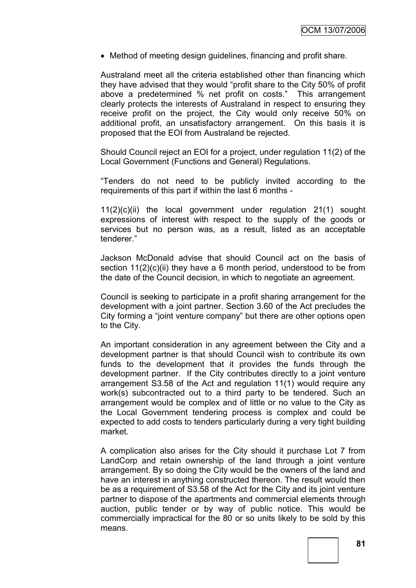Method of meeting design guidelines, financing and profit share.

Australand meet all the criteria established other than financing which they have advised that they would "profit share to the City 50% of profit above a predetermined % net profit on costs." This arrangement clearly protects the interests of Australand in respect to ensuring they receive profit on the project, the City would only receive 50% on additional profit, an unsatisfactory arrangement. On this basis it is proposed that the EOI from Australand be rejected.

Should Council reject an EOI for a project, under regulation 11(2) of the Local Government (Functions and General) Regulations.

"Tenders do not need to be publicly invited according to the requirements of this part if within the last 6 months -

11(2)(c)(ii) the local government under regulation 21(1) sought expressions of interest with respect to the supply of the goods or services but no person was, as a result, listed as an acceptable tenderer."

Jackson McDonald advise that should Council act on the basis of section  $11(2)(c)(ii)$  they have a 6 month period, understood to be from the date of the Council decision, in which to negotiate an agreement.

Council is seeking to participate in a profit sharing arrangement for the development with a joint partner. Section 3.60 of the Act precludes the City forming a "joint venture company" but there are other options open to the City.

An important consideration in any agreement between the City and a development partner is that should Council wish to contribute its own funds to the development that it provides the funds through the development partner. If the City contributes directly to a joint venture arrangement S3.58 of the Act and regulation 11(1) would require any work(s) subcontracted out to a third party to be tendered. Such an arrangement would be complex and of little or no value to the City as the Local Government tendering process is complex and could be expected to add costs to tenders particularly during a very tight building market.

A complication also arises for the City should it purchase Lot 7 from LandCorp and retain ownership of the land through a joint venture arrangement. By so doing the City would be the owners of the land and have an interest in anything constructed thereon. The result would then be as a requirement of S3.58 of the Act for the City and its joint venture partner to dispose of the apartments and commercial elements through auction, public tender or by way of public notice. This would be commercially impractical for the 80 or so units likely to be sold by this means.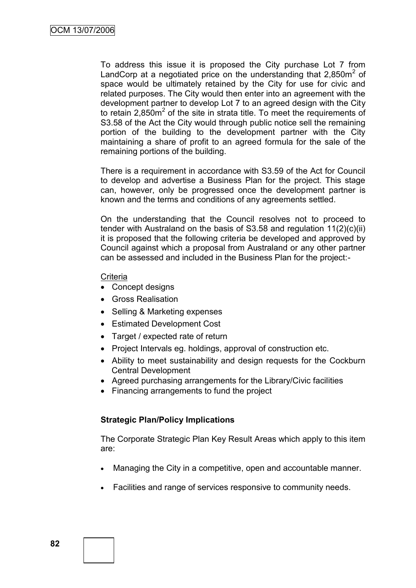To address this issue it is proposed the City purchase Lot 7 from LandCorp at a negotiated price on the understanding that  $2,850m^2$  of space would be ultimately retained by the City for use for civic and related purposes. The City would then enter into an agreement with the development partner to develop Lot 7 to an agreed design with the City to retain  $2,850m^2$  of the site in strata title. To meet the requirements of S3.58 of the Act the City would through public notice sell the remaining portion of the building to the development partner with the City maintaining a share of profit to an agreed formula for the sale of the remaining portions of the building.

There is a requirement in accordance with S3.59 of the Act for Council to develop and advertise a Business Plan for the project. This stage can, however, only be progressed once the development partner is known and the terms and conditions of any agreements settled.

On the understanding that the Council resolves not to proceed to tender with Australand on the basis of S3.58 and regulation 11(2)(c)(ii) it is proposed that the following criteria be developed and approved by Council against which a proposal from Australand or any other partner can be assessed and included in the Business Plan for the project:-

#### **Criteria**

- Concept designs
- Gross Realisation
- Selling & Marketing expenses
- Estimated Development Cost
- Target / expected rate of return
- Project Intervals eg. holdings, approval of construction etc.
- Ability to meet sustainability and design requests for the Cockburn Central Development
- Agreed purchasing arrangements for the Library/Civic facilities
- Financing arrangements to fund the project

# **Strategic Plan/Policy Implications**

The Corporate Strategic Plan Key Result Areas which apply to this item are:

- Managing the City in a competitive, open and accountable manner.
- Facilities and range of services responsive to community needs.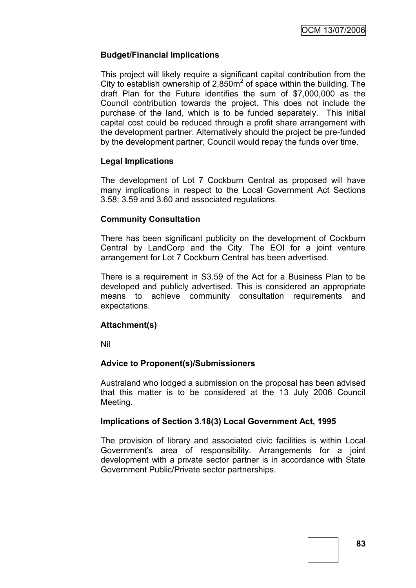### **Budget/Financial Implications**

This project will likely require a significant capital contribution from the City to establish ownership of 2,850 $m<sup>2</sup>$  of space within the building. The draft Plan for the Future identifies the sum of \$7,000,000 as the Council contribution towards the project. This does not include the purchase of the land, which is to be funded separately. This initial capital cost could be reduced through a profit share arrangement with the development partner. Alternatively should the project be pre-funded by the development partner, Council would repay the funds over time.

#### **Legal Implications**

The development of Lot 7 Cockburn Central as proposed will have many implications in respect to the Local Government Act Sections 3.58; 3.59 and 3.60 and associated regulations.

#### **Community Consultation**

There has been significant publicity on the development of Cockburn Central by LandCorp and the City. The EOI for a joint venture arrangement for Lot 7 Cockburn Central has been advertised.

There is a requirement in S3.59 of the Act for a Business Plan to be developed and publicly advertised. This is considered an appropriate means to achieve community consultation requirements and expectations.

### **Attachment(s)**

Nil

### **Advice to Proponent(s)/Submissioners**

Australand who lodged a submission on the proposal has been advised that this matter is to be considered at the 13 July 2006 Council Meeting.

#### **Implications of Section 3.18(3) Local Government Act, 1995**

The provision of library and associated civic facilities is within Local Government"s area of responsibility. Arrangements for a joint development with a private sector partner is in accordance with State Government Public/Private sector partnerships.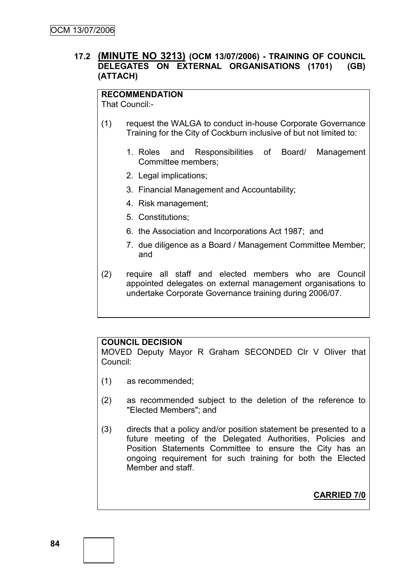### **17.2 (MINUTE NO 3213) (OCM 13/07/2006) - TRAINING OF COUNCIL DELEGATES ON EXTERNAL ORGANISATIONS (1701) (GB) (ATTACH)**

# **RECOMMENDATION**

That Council:-

- (1) request the WALGA to conduct in-house Corporate Governance Training for the City of Cockburn inclusive of but not limited to:
	- 1. Roles and Responsibilities of Board/ Management Committee members;
	- 2. Legal implications;
	- 3. Financial Management and Accountability;
	- 4. Risk management;
	- 5. Constitutions;
	- 6. the Association and Incorporations Act 1987; and
	- 7. due diligence as a Board / Management Committee Member; and
- (2) require all staff and elected members who are Council appointed delegates on external management organisations to undertake Corporate Governance training during 2006/07.

### **COUNCIL DECISION**

MOVED Deputy Mayor R Graham SECONDED Clr V Oliver that Council:

- (1) as recommended;
- (2) as recommended subject to the deletion of the reference to "Elected Members"; and
- (3) directs that a policy and/or position statement be presented to a future meeting of the Delegated Authorities, Policies and Position Statements Committee to ensure the City has an ongoing requirement for such training for both the Elected Member and staff.

**CARRIED 7/0**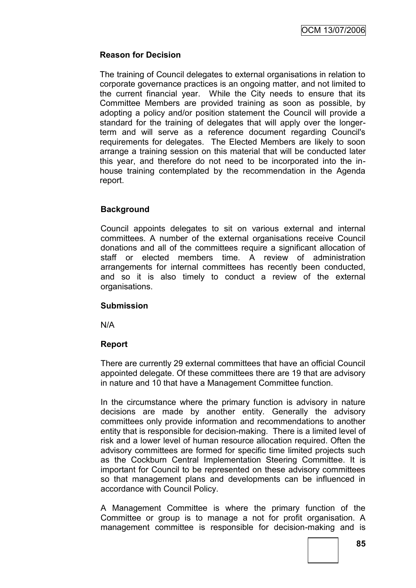### **Reason for Decision**

The training of Council delegates to external organisations in relation to corporate governance practices is an ongoing matter, and not limited to the current financial year. While the City needs to ensure that its Committee Members are provided training as soon as possible, by adopting a policy and/or position statement the Council will provide a standard for the training of delegates that will apply over the longerterm and will serve as a reference document regarding Council's requirements for delegates. The Elected Members are likely to soon arrange a training session on this material that will be conducted later this year, and therefore do not need to be incorporated into the inhouse training contemplated by the recommendation in the Agenda report.

### **Background**

Council appoints delegates to sit on various external and internal committees. A number of the external organisations receive Council donations and all of the committees require a significant allocation of staff or elected members time. A review of administration arrangements for internal committees has recently been conducted, and so it is also timely to conduct a review of the external organisations.

### **Submission**

N/A

### **Report**

There are currently 29 external committees that have an official Council appointed delegate. Of these committees there are 19 that are advisory in nature and 10 that have a Management Committee function.

In the circumstance where the primary function is advisory in nature decisions are made by another entity. Generally the advisory committees only provide information and recommendations to another entity that is responsible for decision-making. There is a limited level of risk and a lower level of human resource allocation required. Often the advisory committees are formed for specific time limited projects such as the Cockburn Central Implementation Steering Committee. It is important for Council to be represented on these advisory committees so that management plans and developments can be influenced in accordance with Council Policy.

A Management Committee is where the primary function of the Committee or group is to manage a not for profit organisation. A management committee is responsible for decision-making and is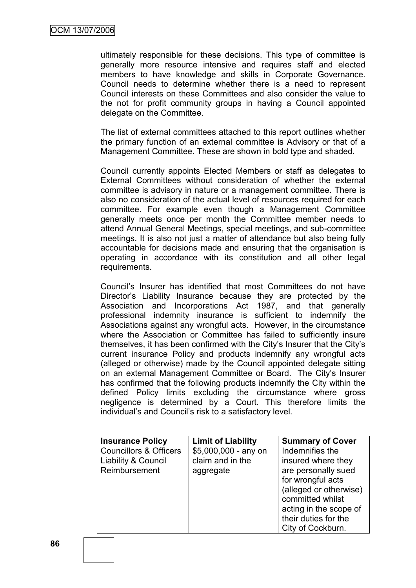ultimately responsible for these decisions. This type of committee is generally more resource intensive and requires staff and elected members to have knowledge and skills in Corporate Governance. Council needs to determine whether there is a need to represent Council interests on these Committees and also consider the value to the not for profit community groups in having a Council appointed delegate on the Committee.

The list of external committees attached to this report outlines whether the primary function of an external committee is Advisory or that of a Management Committee. These are shown in bold type and shaded.

Council currently appoints Elected Members or staff as delegates to External Committees without consideration of whether the external committee is advisory in nature or a management committee. There is also no consideration of the actual level of resources required for each committee. For example even though a Management Committee generally meets once per month the Committee member needs to attend Annual General Meetings, special meetings, and sub-committee meetings. It is also not just a matter of attendance but also being fully accountable for decisions made and ensuring that the organisation is operating in accordance with its constitution and all other legal requirements.

Council"s Insurer has identified that most Committees do not have Director"s Liability Insurance because they are protected by the Association and Incorporations Act 1987, and that generally professional indemnity insurance is sufficient to indemnify the Associations against any wrongful acts. However, in the circumstance where the Association or Committee has failed to sufficiently insure themselves, it has been confirmed with the City"s Insurer that the City"s current insurance Policy and products indemnify any wrongful acts (alleged or otherwise) made by the Council appointed delegate sitting on an external Management Committee or Board. The City"s Insurer has confirmed that the following products indemnify the City within the defined Policy limits excluding the circumstance where gross negligence is determined by a Court. This therefore limits the individual"s and Council"s risk to a satisfactory level.

| <b>Insurance Policy</b>           | <b>Limit of Liability</b> | <b>Summary of Cover</b> |
|-----------------------------------|---------------------------|-------------------------|
| <b>Councillors &amp; Officers</b> | $$5,000,000 - any on$     | Indemnifies the         |
| Liability & Council               | claim and in the          | insured where they      |
| Reimbursement                     | aggregate                 | are personally sued     |
|                                   |                           | for wrongful acts       |
|                                   |                           | (alleged or otherwise)  |
|                                   |                           | committed whilst        |
|                                   |                           | acting in the scope of  |
|                                   |                           | their duties for the    |
|                                   |                           | City of Cockburn.       |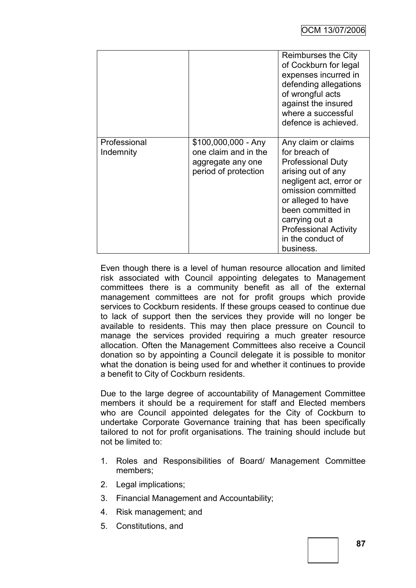|                           |                                                                                          | Reimburses the City<br>of Cockburn for legal<br>expenses incurred in<br>defending allegations<br>of wrongful acts<br>against the insured<br>where a successful<br>defence is achieved.                                                                                 |
|---------------------------|------------------------------------------------------------------------------------------|------------------------------------------------------------------------------------------------------------------------------------------------------------------------------------------------------------------------------------------------------------------------|
| Professional<br>Indemnity | \$100,000,000 - Any<br>one claim and in the<br>aggregate any one<br>period of protection | Any claim or claims<br>for breach of<br><b>Professional Duty</b><br>arising out of any<br>negligent act, error or<br>omission committed<br>or alleged to have<br>been committed in<br>carrying out a<br><b>Professional Activity</b><br>in the conduct of<br>business. |

Even though there is a level of human resource allocation and limited risk associated with Council appointing delegates to Management committees there is a community benefit as all of the external management committees are not for profit groups which provide services to Cockburn residents. If these groups ceased to continue due to lack of support then the services they provide will no longer be available to residents. This may then place pressure on Council to manage the services provided requiring a much greater resource allocation. Often the Management Committees also receive a Council donation so by appointing a Council delegate it is possible to monitor what the donation is being used for and whether it continues to provide a benefit to City of Cockburn residents.

Due to the large degree of accountability of Management Committee members it should be a requirement for staff and Elected members who are Council appointed delegates for the City of Cockburn to undertake Corporate Governance training that has been specifically tailored to not for profit organisations. The training should include but not be limited to:

- 1. Roles and Responsibilities of Board/ Management Committee members;
- 2. Legal implications;
- 3. Financial Management and Accountability;
- 4. Risk management; and
- 5. Constitutions, and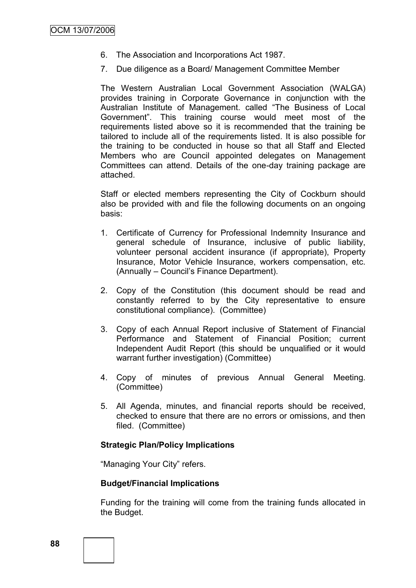- 6. The Association and Incorporations Act 1987.
- 7. Due diligence as a Board/ Management Committee Member

The Western Australian Local Government Association (WALGA) provides training in Corporate Governance in conjunction with the Australian Institute of Management. called "The Business of Local Government". This training course would meet most of the requirements listed above so it is recommended that the training be tailored to include all of the requirements listed. It is also possible for the training to be conducted in house so that all Staff and Elected Members who are Council appointed delegates on Management Committees can attend. Details of the one-day training package are attached.

Staff or elected members representing the City of Cockburn should also be provided with and file the following documents on an ongoing basis:

- 1. Certificate of Currency for Professional Indemnity Insurance and general schedule of Insurance, inclusive of public liability, volunteer personal accident insurance (if appropriate), Property Insurance, Motor Vehicle Insurance, workers compensation, etc. (Annually – Council"s Finance Department).
- 2. Copy of the Constitution (this document should be read and constantly referred to by the City representative to ensure constitutional compliance). (Committee)
- 3. Copy of each Annual Report inclusive of Statement of Financial Performance and Statement of Financial Position; current Independent Audit Report (this should be unqualified or it would warrant further investigation) (Committee)
- 4. Copy of minutes of previous Annual General Meeting. (Committee)
- 5. All Agenda, minutes, and financial reports should be received, checked to ensure that there are no errors or omissions, and then filed. (Committee)

#### **Strategic Plan/Policy Implications**

"Managing Your City" refers.

#### **Budget/Financial Implications**

Funding for the training will come from the training funds allocated in the Budget.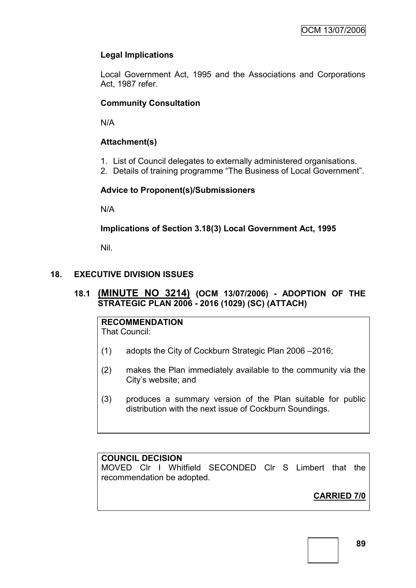# **Legal Implications**

Local Government Act, 1995 and the Associations and Corporations Act, 1987 refer.

# **Community Consultation**

N/A

# **Attachment(s)**

- 1. List of Council delegates to externally administered organisations.
- 2. Details of training programme "The Business of Local Government".

# **Advice to Proponent(s)/Submissioners**

N/A

# **Implications of Section 3.18(3) Local Government Act, 1995**

Nil.

# **18. EXECUTIVE DIVISION ISSUES**

# **18.1 (MINUTE NO 3214) (OCM 13/07/2006) - ADOPTION OF THE STRATEGIC PLAN 2006 - 2016 (1029) (SC) (ATTACH)**

**RECOMMENDATION** That Council:

- (1) adopts the City of Cockburn Strategic Plan 2006 –2016;
- (2) makes the Plan immediately available to the community via the City"s website; and
- (3) produces a summary version of the Plan suitable for public distribution with the next issue of Cockburn Soundings.

# **COUNCIL DECISION**

MOVED Clr I Whitfield SECONDED Clr S Limbert that the recommendation be adopted.

# **CARRIED 7/0**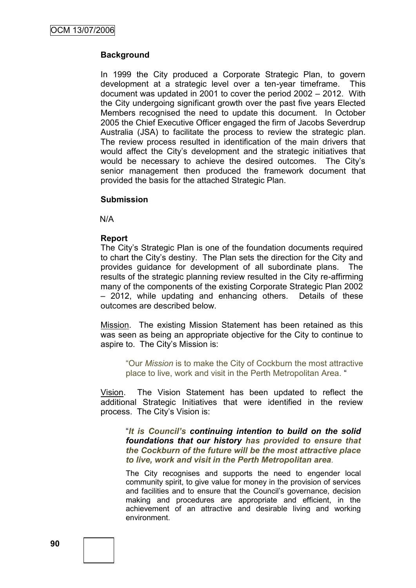### **Background**

In 1999 the City produced a Corporate Strategic Plan, to govern development at a strategic level over a ten-year timeframe. This document was updated in 2001 to cover the period 2002 – 2012. With the City undergoing significant growth over the past five years Elected Members recognised the need to update this document. In October 2005 the Chief Executive Officer engaged the firm of Jacobs Severdrup Australia (JSA) to facilitate the process to review the strategic plan. The review process resulted in identification of the main drivers that would affect the City"s development and the strategic initiatives that would be necessary to achieve the desired outcomes. The City"s senior management then produced the framework document that provided the basis for the attached Strategic Plan.

#### **Submission**

N/A

#### **Report**

The City"s Strategic Plan is one of the foundation documents required to chart the City"s destiny. The Plan sets the direction for the City and provides guidance for development of all subordinate plans. The results of the strategic planning review resulted in the City re-affirming many of the components of the existing Corporate Strategic Plan 2002 – 2012, while updating and enhancing others. Details of these outcomes are described below.

Mission. The existing Mission Statement has been retained as this was seen as being an appropriate objective for the City to continue to aspire to. The City's Mission is:

"Our *Mission* is to make the City of Cockburn the most attractive place to live, work and visit in the Perth Metropolitan Area. "

Vision. The Vision Statement has been updated to reflect the additional Strategic Initiatives that were identified in the review process. The City"s Vision is:

"*It is Council's continuing intention to build on the solid foundations that our history has provided to ensure that the Cockburn of the future will be the most attractive place to live, work and visit in the Perth Metropolitan area.*

The City recognises and supports the need to engender local community spirit, to give value for money in the provision of services and facilities and to ensure that the Council"s governance, decision making and procedures are appropriate and efficient, in the achievement of an attractive and desirable living and working environment.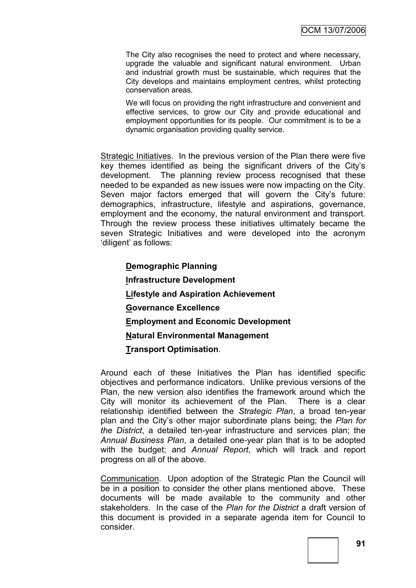The City also recognises the need to protect and where necessary, upgrade the valuable and significant natural environment. Urban and industrial growth must be sustainable, which requires that the City develops and maintains employment centres, whilst protecting conservation areas.

We will focus on providing the right infrastructure and convenient and effective services, to grow our City and provide educational and employment opportunities for its people. Our commitment is to be a dynamic organisation providing quality service.

Strategic Initiatives. In the previous version of the Plan there were five key themes identified as being the significant drivers of the City"s development. The planning review process recognised that these needed to be expanded as new issues were now impacting on the City. Seven major factors emerged that will govern the City's future: demographics, infrastructure, lifestyle and aspirations, governance, employment and the economy, the natural environment and transport. Through the review process these initiatives ultimately became the seven Strategic Initiatives and were developed into the acronym "diligent" as follows:

**Demographic Planning Infrastructure Development Lifestyle and Aspiration Achievement Governance Excellence Employment and Economic Development Natural Environmental Management Transport Optimisation**.

Around each of these Initiatives the Plan has identified specific objectives and performance indicators. Unlike previous versions of the Plan, the new version also identifies the framework around which the City will monitor its achievement of the Plan. There is a clear relationship identified between the *Strategic Plan*, a broad ten-year plan and the City"s other major subordinate plans being; the *Plan for the District*, a detailed ten-year infrastructure and services plan; the *Annual Business Plan*, a detailed one-year plan that is to be adopted with the budget; and *Annual Report*, which will track and report progress on all of the above.

Communication. Upon adoption of the Strategic Plan the Council will be in a position to consider the other plans mentioned above. These documents will be made available to the community and other stakeholders. In the case of the *Plan for the District* a draft version of this document is provided in a separate agenda item for Council to consider.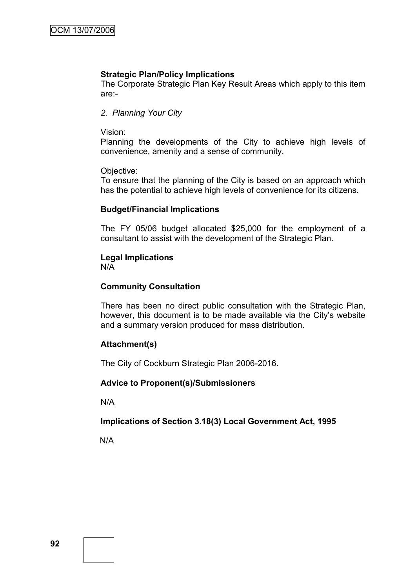#### **Strategic Plan/Policy Implications**

The Corporate Strategic Plan Key Result Areas which apply to this item are:-

#### *2. Planning Your City*

Vision:

Planning the developments of the City to achieve high levels of convenience, amenity and a sense of community.

#### Objective:

To ensure that the planning of the City is based on an approach which has the potential to achieve high levels of convenience for its citizens.

#### **Budget/Financial Implications**

The FY 05/06 budget allocated \$25,000 for the employment of a consultant to assist with the development of the Strategic Plan.

### **Legal Implications**

N/A

#### **Community Consultation**

There has been no direct public consultation with the Strategic Plan, however, this document is to be made available via the City"s website and a summary version produced for mass distribution.

### **Attachment(s)**

The City of Cockburn Strategic Plan 2006-2016.

#### **Advice to Proponent(s)/Submissioners**

N/A

### **Implications of Section 3.18(3) Local Government Act, 1995**

N/A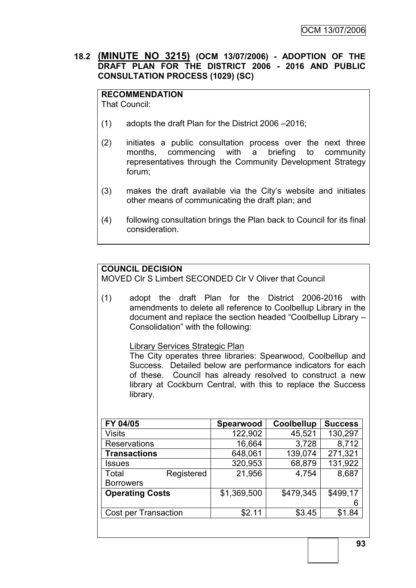### **18.2 (MINUTE NO 3215) (OCM 13/07/2006) - ADOPTION OF THE DRAFT PLAN FOR THE DISTRICT 2006 - 2016 AND PUBLIC CONSULTATION PROCESS (1029) (SC)**

**RECOMMENDATION** That Council:

- (1) adopts the draft Plan for the District 2006 –2016;
- (2) initiates a public consultation process over the next three months, commencing with a briefing to community representatives through the Community Development Strategy forum;
- (3) makes the draft available via the City"s website and initiates other means of communicating the draft plan; and
- (4) following consultation brings the Plan back to Council for its final consideration.

# **COUNCIL DECISION**

MOVED Clr S Limbert SECONDED Clr V Oliver that Council

(1) adopt the draft Plan for the District 2006-2016 with amendments to delete all reference to Coolbellup Library in the document and replace the section headed "Coolbellup Library – Consolidation" with the following:

Library Services Strategic Plan

The City operates three libraries: Spearwood, Coolbellup and Success. Detailed below are performance indicators for each of these. Council has already resolved to construct a new library at Cockburn Central, with this to replace the Success library.

| FY 04/05                    |            | <b>Spearwood</b> | Coolbellup | <b>Success</b> |
|-----------------------------|------------|------------------|------------|----------------|
| <b>Visits</b>               |            | 122,902          | 45,521     | 130,297        |
| <b>Reservations</b>         |            | 16,664           | 3,728      | 8,712          |
| <b>Transactions</b>         |            | 648,061          | 139,074    | 271,321        |
| <b>Issues</b>               |            | 320,953          | 68,879     | 131,922        |
| Total                       | Registered | 21,956           | 4,754      | 8,687          |
| <b>Borrowers</b>            |            |                  |            |                |
| <b>Operating Costs</b>      |            | \$1,369,500      | \$479,345  | \$499,17       |
|                             |            |                  |            | 6              |
| <b>Cost per Transaction</b> |            | \$2.11           | \$3.45     | \$1.84         |
|                             |            |                  |            |                |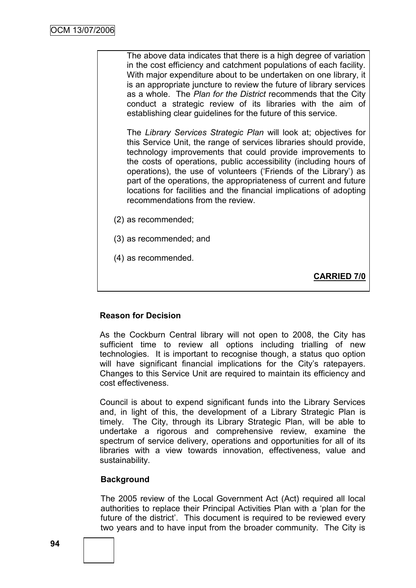The above data indicates that there is a high degree of variation in the cost efficiency and catchment populations of each facility. With major expenditure about to be undertaken on one library, it is an appropriate juncture to review the future of library services as a whole. The *Plan for the District* recommends that the City conduct a strategic review of its libraries with the aim of establishing clear guidelines for the future of this service.

The *Library Services Strategic Plan* will look at; objectives for this Service Unit, the range of services libraries should provide, technology improvements that could provide improvements to the costs of operations, public accessibility (including hours of operations), the use of volunteers ("Friends of the Library") as part of the operations, the appropriateness of current and future locations for facilities and the financial implications of adopting recommendations from the review.

- (2) as recommended;
- (3) as recommended; and
- (4) as recommended.

**CARRIED 7/0**

# **Reason for Decision**

As the Cockburn Central library will not open to 2008, the City has sufficient time to review all options including trialling of new technologies. It is important to recognise though, a status quo option will have significant financial implications for the City's ratepayers. Changes to this Service Unit are required to maintain its efficiency and cost effectiveness.

Council is about to expend significant funds into the Library Services and, in light of this, the development of a Library Strategic Plan is timely. The City, through its Library Strategic Plan, will be able to undertake a rigorous and comprehensive review, examine the spectrum of service delivery, operations and opportunities for all of its libraries with a view towards innovation, effectiveness, value and sustainability.

### **Background**

The 2005 review of the Local Government Act (Act) required all local authorities to replace their Principal Activities Plan with a "plan for the future of the district'. This document is required to be reviewed every two years and to have input from the broader community. The City is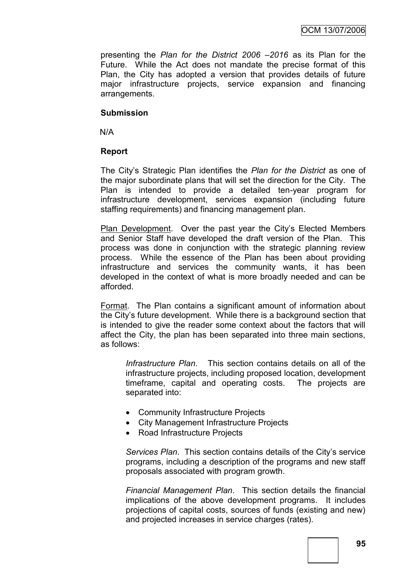presenting the *Plan for the District 2006 –2016* as its Plan for the Future. While the Act does not mandate the precise format of this Plan, the City has adopted a version that provides details of future major infrastructure projects, service expansion and financing arrangements.

#### **Submission**

N/A

### **Report**

The City"s Strategic Plan identifies the *Plan for the District* as one of the major subordinate plans that will set the direction for the City. The Plan is intended to provide a detailed ten-year program for infrastructure development, services expansion (including future staffing requirements) and financing management plan.

Plan Development. Over the past year the City"s Elected Members and Senior Staff have developed the draft version of the Plan. This process was done in conjunction with the strategic planning review process. While the essence of the Plan has been about providing infrastructure and services the community wants, it has been developed in the context of what is more broadly needed and can be afforded.

Format. The Plan contains a significant amount of information about the City"s future development. While there is a background section that is intended to give the reader some context about the factors that will affect the City, the plan has been separated into three main sections, as follows:

*Infrastructure Plan*. This section contains details on all of the infrastructure projects, including proposed location, development timeframe, capital and operating costs. The projects are separated into:

- Community Infrastructure Projects
- City Management Infrastructure Projects
- Road Infrastructure Projects

*Services Plan*. This section contains details of the City"s service programs, including a description of the programs and new staff proposals associated with program growth.

*Financial Management Plan*. This section details the financial implications of the above development programs. It includes projections of capital costs, sources of funds (existing and new) and projected increases in service charges (rates).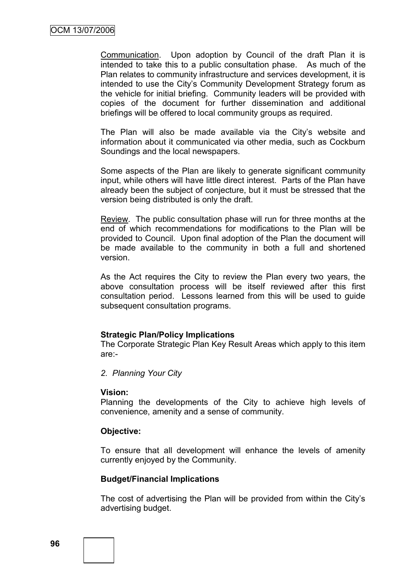Communication. Upon adoption by Council of the draft Plan it is intended to take this to a public consultation phase. As much of the Plan relates to community infrastructure and services development, it is intended to use the City"s Community Development Strategy forum as the vehicle for initial briefing. Community leaders will be provided with copies of the document for further dissemination and additional briefings will be offered to local community groups as required.

The Plan will also be made available via the City"s website and information about it communicated via other media, such as Cockburn Soundings and the local newspapers.

Some aspects of the Plan are likely to generate significant community input, while others will have little direct interest. Parts of the Plan have already been the subject of conjecture, but it must be stressed that the version being distributed is only the draft.

Review. The public consultation phase will run for three months at the end of which recommendations for modifications to the Plan will be provided to Council. Upon final adoption of the Plan the document will be made available to the community in both a full and shortened version.

As the Act requires the City to review the Plan every two years, the above consultation process will be itself reviewed after this first consultation period. Lessons learned from this will be used to guide subsequent consultation programs.

### **Strategic Plan/Policy Implications**

The Corporate Strategic Plan Key Result Areas which apply to this item are:-

*2. Planning Your City*

#### **Vision:**

Planning the developments of the City to achieve high levels of convenience, amenity and a sense of community.

### **Objective:**

To ensure that all development will enhance the levels of amenity currently enjoyed by the Community.

### **Budget/Financial Implications**

The cost of advertising the Plan will be provided from within the City"s advertising budget.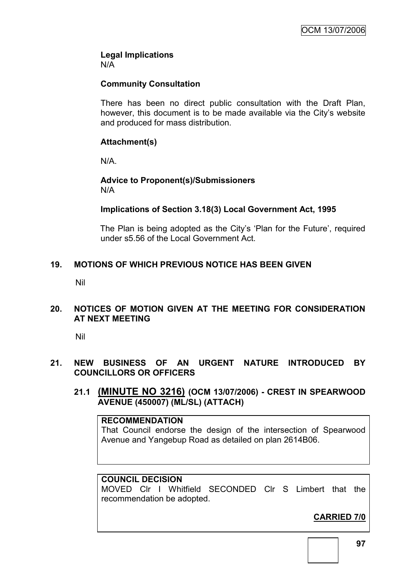#### **Legal Implications** N/A

### **Community Consultation**

There has been no direct public consultation with the Draft Plan, however, this document is to be made available via the City"s website and produced for mass distribution.

### **Attachment(s)**

N/A.

### **Advice to Proponent(s)/Submissioners** N/A

### **Implications of Section 3.18(3) Local Government Act, 1995**

The Plan is being adopted as the City's 'Plan for the Future', required under s5.56 of the Local Government Act.

### **19. MOTIONS OF WHICH PREVIOUS NOTICE HAS BEEN GIVEN**

Nil

### **20. NOTICES OF MOTION GIVEN AT THE MEETING FOR CONSIDERATION AT NEXT MEETING**

Nil

### **21. NEW BUSINESS OF AN URGENT NATURE INTRODUCED BY COUNCILLORS OR OFFICERS**

**21.1 (MINUTE NO 3216) (OCM 13/07/2006) - CREST IN SPEARWOOD AVENUE (450007) (ML/SL) (ATTACH)**

#### **RECOMMENDATION**

That Council endorse the design of the intersection of Spearwood Avenue and Yangebup Road as detailed on plan 2614B06.

### **COUNCIL DECISION**

MOVED Clr I Whitfield SECONDED Clr S Limbert that the recommendation be adopted.

# **CARRIED 7/0**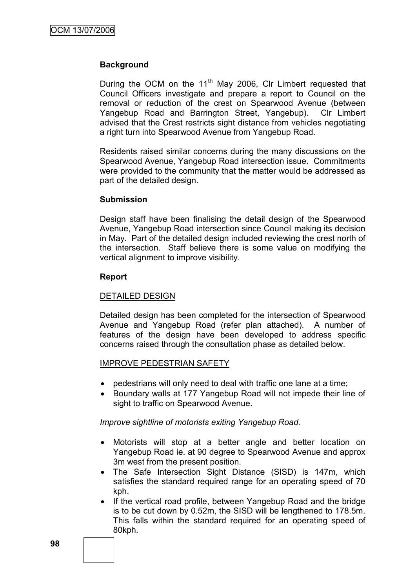#### **Background**

During the OCM on the  $11<sup>th</sup>$  May 2006, CIr Limbert requested that Council Officers investigate and prepare a report to Council on the removal or reduction of the crest on Spearwood Avenue (between Yangebup Road and Barrington Street, Yangebup). Clr Limbert advised that the Crest restricts sight distance from vehicles negotiating a right turn into Spearwood Avenue from Yangebup Road.

Residents raised similar concerns during the many discussions on the Spearwood Avenue, Yangebup Road intersection issue. Commitments were provided to the community that the matter would be addressed as part of the detailed design.

#### **Submission**

Design staff have been finalising the detail design of the Spearwood Avenue, Yangebup Road intersection since Council making its decision in May. Part of the detailed design included reviewing the crest north of the intersection. Staff believe there is some value on modifying the vertical alignment to improve visibility.

#### **Report**

#### DETAILED DESIGN

Detailed design has been completed for the intersection of Spearwood Avenue and Yangebup Road (refer plan attached). A number of features of the design have been developed to address specific concerns raised through the consultation phase as detailed below.

### IMPROVE PEDESTRIAN SAFETY

- pedestrians will only need to deal with traffic one lane at a time;
- Boundary walls at 177 Yangebup Road will not impede their line of sight to traffic on Spearwood Avenue.

*Improve sightline of motorists exiting Yangebup Road.*

- Motorists will stop at a better angle and better location on Yangebup Road ie. at 90 degree to Spearwood Avenue and approx 3m west from the present position.
- The Safe Intersection Sight Distance (SISD) is 147m, which satisfies the standard required range for an operating speed of 70 kph.
- If the vertical road profile, between Yangebup Road and the bridge is to be cut down by 0.52m, the SISD will be lengthened to 178.5m. This falls within the standard required for an operating speed of 80kph.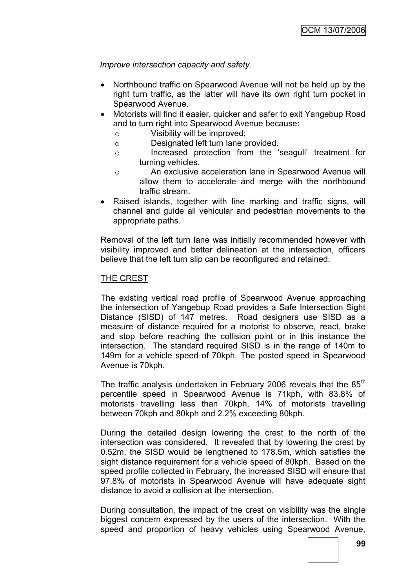*Improve intersection capacity and safety.*

- Northbound traffic on Spearwood Avenue will not be held up by the right turn traffic, as the latter will have its own right turn pocket in Spearwood Avenue.
- Motorists will find it easier, quicker and safer to exit Yangebup Road and to turn right into Spearwood Avenue because:
	- o Visibility will be improved;
	- o Designated left turn lane provided.
	- o Increased protection from the "seagull" treatment for turning vehicles.
	- o An exclusive acceleration lane in Spearwood Avenue will allow them to accelerate and merge with the northbound traffic stream.
- Raised islands, together with line marking and traffic signs, will channel and guide all vehicular and pedestrian movements to the appropriate paths.

Removal of the left turn lane was initially recommended however with visibility improved and better delineation at the intersection, officers believe that the left turn slip can be reconfigured and retained.

### THE CREST

The existing vertical road profile of Spearwood Avenue approaching the intersection of Yangebup Road provides a Safe Intersection Sight Distance (SISD) of 147 metres. Road designers use SISD as a measure of distance required for a motorist to observe, react, brake and stop before reaching the collision point or in this instance the intersection. The standard required SISD is in the range of 140m to 149m for a vehicle speed of 70kph. The posted speed in Spearwood Avenue is 70kph.

The traffic analysis undertaken in February 2006 reveals that the  $85<sup>th</sup>$ percentile speed in Spearwood Avenue is 71kph, with 83.8% of motorists travelling less than 70kph, 14% of motorists travelling between 70kph and 80kph and 2.2% exceeding 80kph.

During the detailed design lowering the crest to the north of the intersection was considered. It revealed that by lowering the crest by 0.52m, the SISD would be lengthened to 178.5m, which satisfies the sight distance requirement for a vehicle speed of 80kph. Based on the speed profile collected in February, the increased SISD will ensure that 97.8% of motorists in Spearwood Avenue will have adequate sight distance to avoid a collision at the intersection.

During consultation, the impact of the crest on visibility was the single biggest concern expressed by the users of the intersection. With the speed and proportion of heavy vehicles using Spearwood Avenue,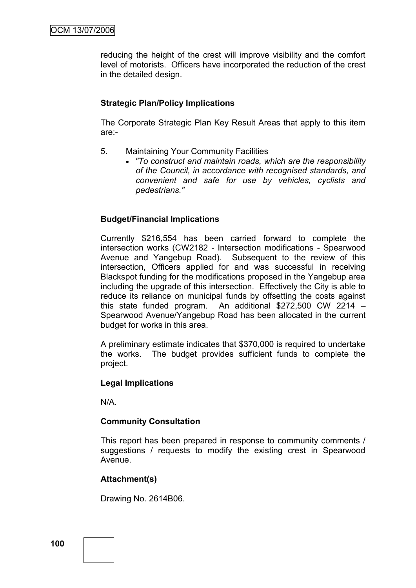reducing the height of the crest will improve visibility and the comfort level of motorists. Officers have incorporated the reduction of the crest in the detailed design.

### **Strategic Plan/Policy Implications**

The Corporate Strategic Plan Key Result Areas that apply to this item are:-

- 5. Maintaining Your Community Facilities
	- *"To construct and maintain roads, which are the responsibility of the Council, in accordance with recognised standards, and convenient and safe for use by vehicles, cyclists and pedestrians."*

### **Budget/Financial Implications**

Currently \$216,554 has been carried forward to complete the intersection works (CW2182 - Intersection modifications - Spearwood Avenue and Yangebup Road). Subsequent to the review of this intersection, Officers applied for and was successful in receiving Blackspot funding for the modifications proposed in the Yangebup area including the upgrade of this intersection. Effectively the City is able to reduce its reliance on municipal funds by offsetting the costs against this state funded program. An additional \$272,500 CW 2214 – Spearwood Avenue/Yangebup Road has been allocated in the current budget for works in this area.

A preliminary estimate indicates that \$370,000 is required to undertake the works. The budget provides sufficient funds to complete the project.

### **Legal Implications**

N/A.

### **Community Consultation**

This report has been prepared in response to community comments / suggestions / requests to modify the existing crest in Spearwood Avenue.

### **Attachment(s)**

Drawing No. 2614B06.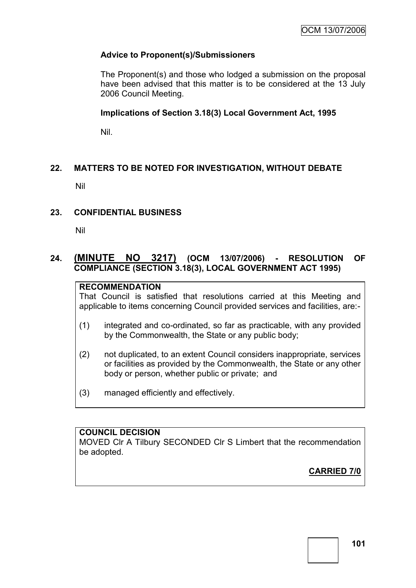# **Advice to Proponent(s)/Submissioners**

The Proponent(s) and those who lodged a submission on the proposal have been advised that this matter is to be considered at the 13 July 2006 Council Meeting.

### **Implications of Section 3.18(3) Local Government Act, 1995**

Nil.

# **22. MATTERS TO BE NOTED FOR INVESTIGATION, WITHOUT DEBATE**

Nil

### **23. CONFIDENTIAL BUSINESS**

Nil

# **24. (MINUTE NO 3217) (OCM 13/07/2006) - RESOLUTION OF COMPLIANCE (SECTION 3.18(3), LOCAL GOVERNMENT ACT 1995)**

# **RECOMMENDATION**

That Council is satisfied that resolutions carried at this Meeting and applicable to items concerning Council provided services and facilities, are:-

- (1) integrated and co-ordinated, so far as practicable, with any provided by the Commonwealth, the State or any public body;
- (2) not duplicated, to an extent Council considers inappropriate, services or facilities as provided by the Commonwealth, the State or any other body or person, whether public or private; and
- (3) managed efficiently and effectively.

### **COUNCIL DECISION**

MOVED Clr A Tilbury SECONDED Clr S Limbert that the recommendation be adopted.

**CARRIED 7/0**